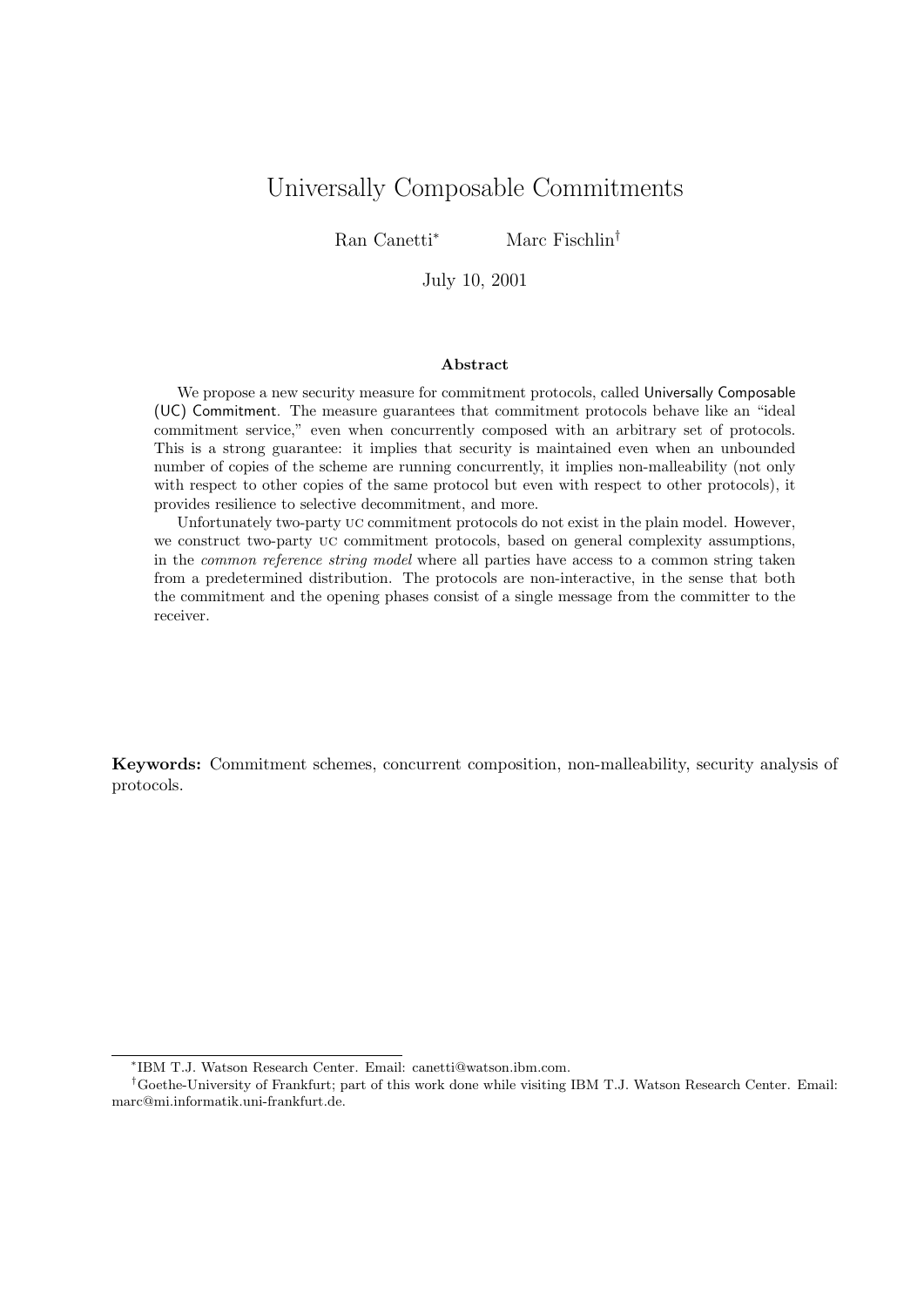# Universally Composable Commitments

Ran Canetti<sup>∗</sup> Marc Fischlin†

July 10, 2001

## Abstract

We propose a new security measure for commitment protocols, called Universally Composable (UC) Commitment. The measure guarantees that commitment protocols behave like an "ideal commitment service," even when concurrently composed with an arbitrary set of protocols. This is a strong guarantee: it implies that security is maintained even when an unbounded number of copies of the scheme are running concurrently, it implies non-malleability (not only with respect to other copies of the same protocol but even with respect to other protocols), it provides resilience to selective decommitment, and more.

Unfortunately two-party uc commitment protocols do not exist in the plain model. However, we construct two-party uc commitment protocols, based on general complexity assumptions, in the common reference string model where all parties have access to a common string taken from a predetermined distribution. The protocols are non-interactive, in the sense that both the commitment and the opening phases consist of a single message from the committer to the receiver.

Keywords: Commitment schemes, concurrent composition, non-malleability, security analysis of protocols.

<sup>∗</sup> IBM T.J. Watson Research Center. Email: canetti@watson.ibm.com.

<sup>†</sup>Goethe-University of Frankfurt; part of this work done while visiting IBM T.J. Watson Research Center. Email: marc@mi.informatik.uni-frankfurt.de.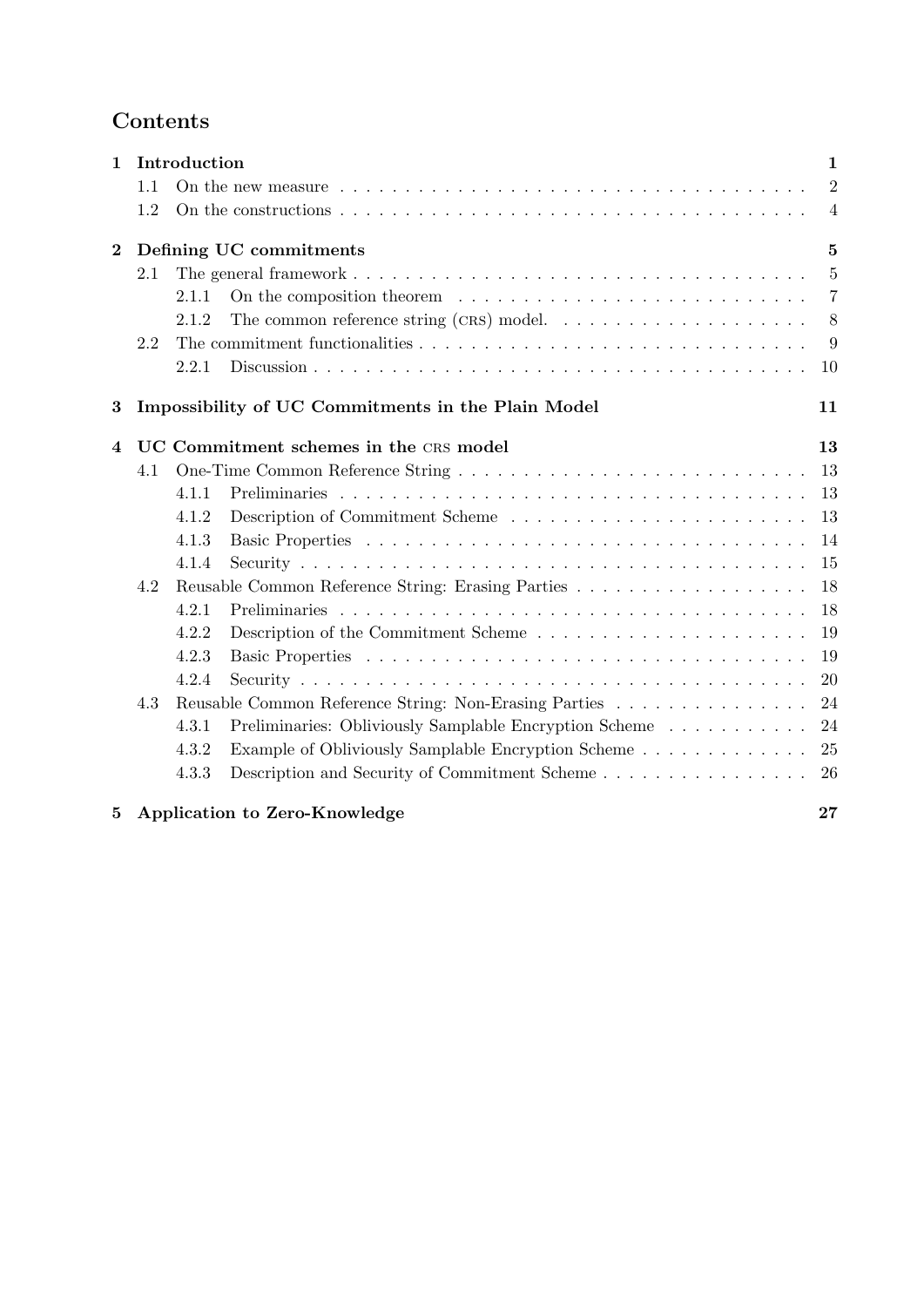# Contents

| $\mathbf{1}$ |     | Introduction<br>$\mathbf 1$         |                                                                                                                |                |  |  |
|--------------|-----|-------------------------------------|----------------------------------------------------------------------------------------------------------------|----------------|--|--|
|              | 1.1 |                                     | On the new measure $\dots \dots \dots \dots \dots \dots \dots \dots \dots \dots \dots \dots \dots \dots \dots$ | $\overline{2}$ |  |  |
|              | 1.2 |                                     |                                                                                                                | $\overline{4}$ |  |  |
| $\bf{2}$     |     | Defining UC commitments<br>$\bf{5}$ |                                                                                                                |                |  |  |
|              | 2.1 |                                     |                                                                                                                | $\overline{5}$ |  |  |
|              |     | 2.1.1                               | On the composition theorem $\dots \dots \dots \dots \dots \dots \dots \dots \dots \dots$                       | $\overline{7}$ |  |  |
|              |     | 2.1.2                               | The common reference string (CRS) model. $\dots \dots \dots \dots \dots \dots \dots$                           | 8              |  |  |
|              | 2.2 |                                     |                                                                                                                | -9             |  |  |
|              |     | 2.2.1                               |                                                                                                                | 10             |  |  |
| 3            |     |                                     | Impossibility of UC Commitments in the Plain Model                                                             | 11             |  |  |
| 4            |     |                                     | UC Commitment schemes in the CRS model                                                                         | 13             |  |  |
|              | 4.1 |                                     |                                                                                                                | 13             |  |  |
|              |     | 4.1.1                               |                                                                                                                | 13             |  |  |
|              |     | 4.1.2                               |                                                                                                                | 13             |  |  |
|              |     | 4.1.3                               |                                                                                                                | 14             |  |  |
|              |     | 4.1.4                               |                                                                                                                | 15             |  |  |
|              | 4.2 |                                     |                                                                                                                | 18             |  |  |
|              |     | 4.2.1                               |                                                                                                                | 18             |  |  |
|              |     | 4.2.2                               |                                                                                                                | 19             |  |  |
|              |     | 4.2.3                               |                                                                                                                | 19             |  |  |
|              |     | 4.2.4                               |                                                                                                                | 20             |  |  |
|              | 4.3 |                                     | Reusable Common Reference String: Non-Erasing Parties                                                          | 24             |  |  |
|              |     | 4.3.1                               | Preliminaries: Obliviously Samplable Encryption Scheme                                                         | 24             |  |  |
|              |     | 4.3.2                               | Example of Obliviously Samplable Encryption Scheme                                                             | 25             |  |  |
|              |     | 4.3.3                               |                                                                                                                | 26             |  |  |
| 5            |     | Application to Zero-Knowledge<br>27 |                                                                                                                |                |  |  |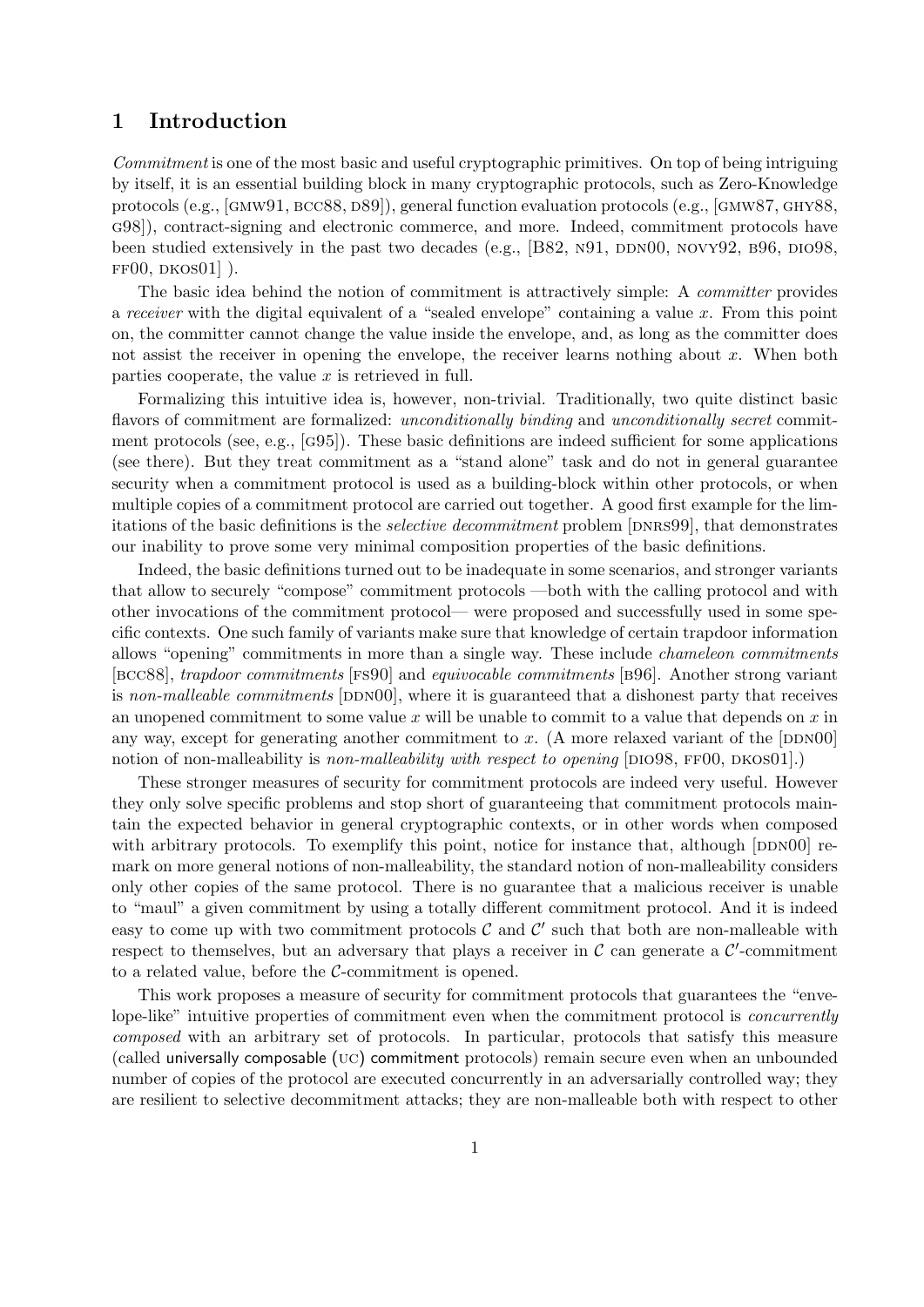# 1 Introduction

Commitment is one of the most basic and useful cryptographic primitives. On top of being intriguing by itself, it is an essential building block in many cryptographic protocols, such as Zero-Knowledge protocols (e.g., [GMW91, BCC88, D89]), general function evaluation protocols (e.g., [GMW87, GHY88, g98]), contract-signing and electronic commerce, and more. Indeed, commitment protocols have been studied extensively in the past two decades (e.g.,  $[B82, N91, DDN00, NOVY92, B96, DIO98,$  $FF00, DKOS01]$ ).

The basic idea behind the notion of commitment is attractively simple: A committer provides a receiver with the digital equivalent of a "sealed envelope" containing a value x. From this point on, the committer cannot change the value inside the envelope, and, as long as the committer does not assist the receiver in opening the envelope, the receiver learns nothing about  $x$ . When both parties cooperate, the value  $x$  is retrieved in full.

Formalizing this intuitive idea is, however, non-trivial. Traditionally, two quite distinct basic flavors of commitment are formalized: *unconditionally binding* and *unconditionally secret* commitment protocols (see, e.g., [g95]). These basic definitions are indeed sufficient for some applications (see there). But they treat commitment as a "stand alone" task and do not in general guarantee security when a commitment protocol is used as a building-block within other protocols, or when multiple copies of a commitment protocol are carried out together. A good first example for the limitations of the basic definitions is the *selective decommitment* problem [DNRS99], that demonstrates our inability to prove some very minimal composition properties of the basic definitions.

Indeed, the basic definitions turned out to be inadequate in some scenarios, and stronger variants that allow to securely "compose" commitment protocols —both with the calling protocol and with other invocations of the commitment protocol— were proposed and successfully used in some specific contexts. One such family of variants make sure that knowledge of certain trapdoor information allows "opening" commitments in more than a single way. These include chameleon commitments [bcc88], trapdoor commitments [fs90] and equivocable commitments [b96]. Another strong variant is non-malleable commitments  $[DDN00]$ , where it is guaranteed that a dishonest party that receives an unopened commitment to some value x will be unable to commit to a value that depends on x in any way, except for generating another commitment to x. (A more relaxed variant of the  $[DDN00]$ notion of non-malleability is non-malleability with respect to opening  $[DIO98, FF00, DK0501].$ 

These stronger measures of security for commitment protocols are indeed very useful. However they only solve specific problems and stop short of guaranteeing that commitment protocols maintain the expected behavior in general cryptographic contexts, or in other words when composed with arbitrary protocols. To exemplify this point, notice for instance that, although [DDN00] remark on more general notions of non-malleability, the standard notion of non-malleability considers only other copies of the same protocol. There is no guarantee that a malicious receiver is unable to "maul" a given commitment by using a totally different commitment protocol. And it is indeed easy to come up with two commitment protocols  $\mathcal C$  and  $\mathcal C'$  such that both are non-malleable with respect to themselves, but an adversary that plays a receiver in  $\mathcal C$  can generate a  $\mathcal C'$ -commitment to a related value, before the C-commitment is opened.

This work proposes a measure of security for commitment protocols that guarantees the "envelope-like" intuitive properties of commitment even when the commitment protocol is *concurrently* composed with an arbitrary set of protocols. In particular, protocols that satisfy this measure (called universally composable (uc) commitment protocols) remain secure even when an unbounded number of copies of the protocol are executed concurrently in an adversarially controlled way; they are resilient to selective decommitment attacks; they are non-malleable both with respect to other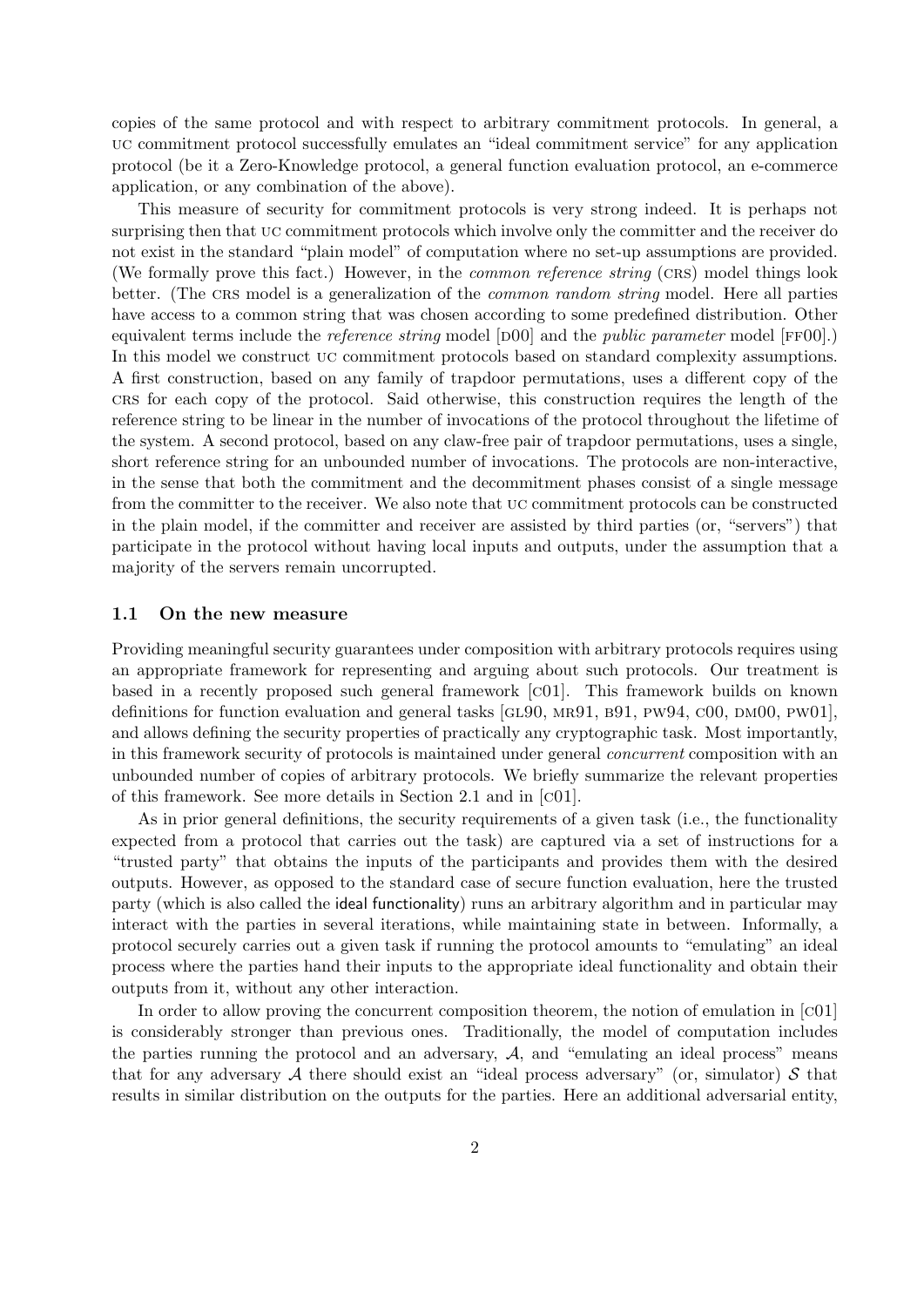copies of the same protocol and with respect to arbitrary commitment protocols. In general, a uc commitment protocol successfully emulates an "ideal commitment service" for any application protocol (be it a Zero-Knowledge protocol, a general function evaluation protocol, an e-commerce application, or any combination of the above).

This measure of security for commitment protocols is very strong indeed. It is perhaps not surprising then that uc commitment protocols which involve only the committer and the receiver do not exist in the standard "plain model" of computation where no set-up assumptions are provided. (We formally prove this fact.) However, in the *common reference string* (CRS) model things look better. (The CRS model is a generalization of the *common random string* model. Here all parties have access to a common string that was chosen according to some predefined distribution. Other equivalent terms include the *reference string* model  $[DO0]$  and the *public parameter* model  $[FF00]$ .) In this model we construct uc commitment protocols based on standard complexity assumptions. A first construction, based on any family of trapdoor permutations, uses a different copy of the crs for each copy of the protocol. Said otherwise, this construction requires the length of the reference string to be linear in the number of invocations of the protocol throughout the lifetime of the system. A second protocol, based on any claw-free pair of trapdoor permutations, uses a single, short reference string for an unbounded number of invocations. The protocols are non-interactive, in the sense that both the commitment and the decommitment phases consist of a single message from the committer to the receiver. We also note that uc commitment protocols can be constructed in the plain model, if the committer and receiver are assisted by third parties (or, "servers") that participate in the protocol without having local inputs and outputs, under the assumption that a majority of the servers remain uncorrupted.

## 1.1 On the new measure

Providing meaningful security guarantees under composition with arbitrary protocols requires using an appropriate framework for representing and arguing about such protocols. Our treatment is based in a recently proposed such general framework [c01]. This framework builds on known definitions for function evaluation and general tasks  $\left[GL90, MR91, B91, PW94, CO0, DM00, PW01\right]$ and allows defining the security properties of practically any cryptographic task. Most importantly, in this framework security of protocols is maintained under general concurrent composition with an unbounded number of copies of arbitrary protocols. We briefly summarize the relevant properties of this framework. See more details in Section 2.1 and in [c01].

As in prior general definitions, the security requirements of a given task (i.e., the functionality expected from a protocol that carries out the task) are captured via a set of instructions for a "trusted party" that obtains the inputs of the participants and provides them with the desired outputs. However, as opposed to the standard case of secure function evaluation, here the trusted party (which is also called the ideal functionality) runs an arbitrary algorithm and in particular may interact with the parties in several iterations, while maintaining state in between. Informally, a protocol securely carries out a given task if running the protocol amounts to "emulating" an ideal process where the parties hand their inputs to the appropriate ideal functionality and obtain their outputs from it, without any other interaction.

In order to allow proving the concurrent composition theorem, the notion of emulation in [c01] is considerably stronger than previous ones. Traditionally, the model of computation includes the parties running the protocol and an adversary,  $A$ , and "emulating an ideal process" means that for any adversary  $A$  there should exist an "ideal process adversary" (or, simulator)  $S$  that results in similar distribution on the outputs for the parties. Here an additional adversarial entity,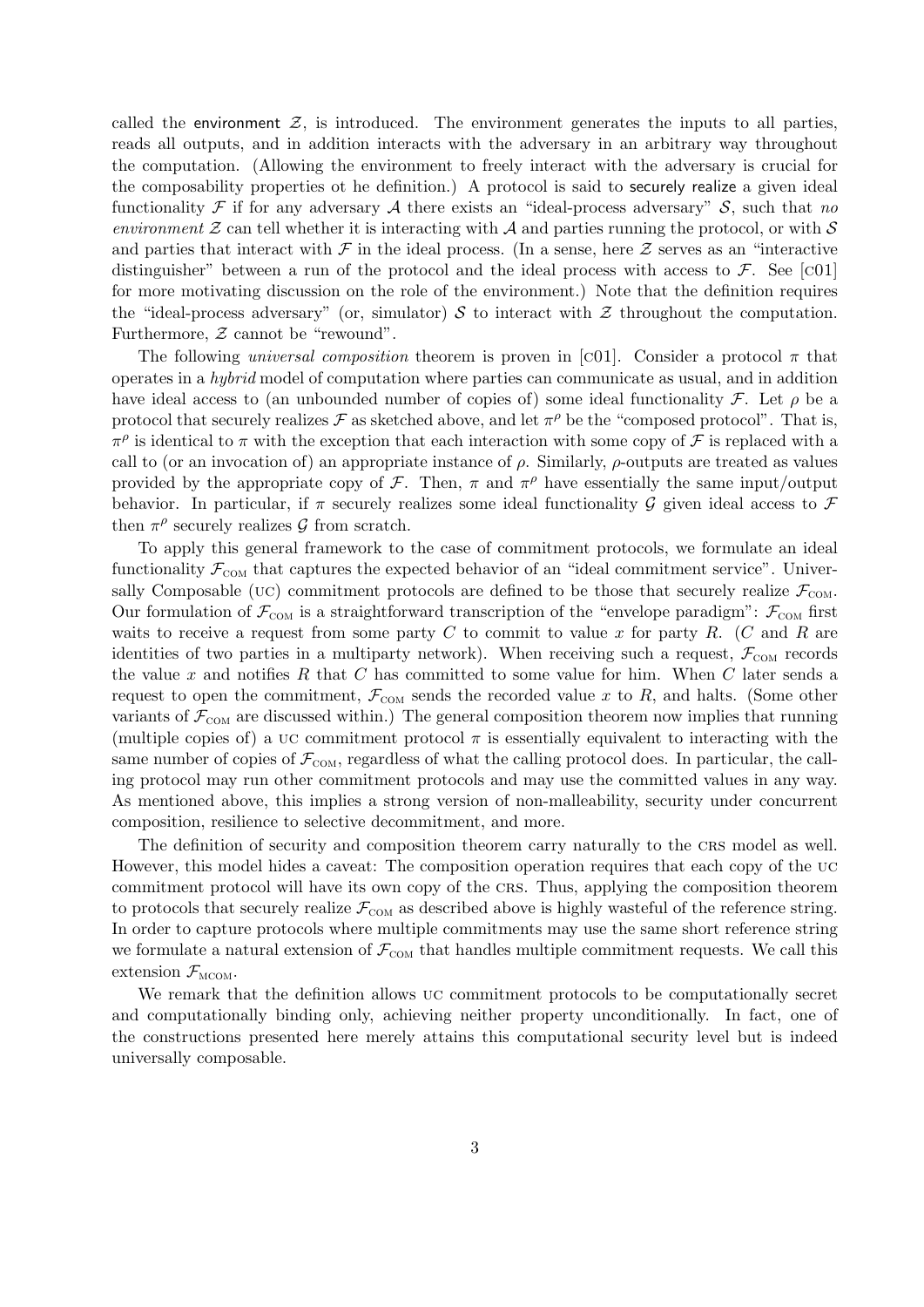called the environment  $\mathcal{Z}$ , is introduced. The environment generates the inputs to all parties, reads all outputs, and in addition interacts with the adversary in an arbitrary way throughout the computation. (Allowing the environment to freely interact with the adversary is crucial for the composability properties ot he definition.) A protocol is said to securely realize a given ideal functionality F if for any adversary A there exists an "ideal-process adversary"  $S$ , such that no environment  $\mathcal Z$  can tell whether it is interacting with  $\mathcal A$  and parties running the protocol, or with  $\mathcal S$ and parties that interact with  $\mathcal F$  in the ideal process. (In a sense, here  $\mathcal Z$  serves as an "interactive distinguisher" between a run of the protocol and the ideal process with access to  $\mathcal{F}$ . See [C01] for more motivating discussion on the role of the environment.) Note that the definition requires the "ideal-process adversary" (or, simulator)  $S$  to interact with  $Z$  throughout the computation. Furthermore,  $Z$  cannot be "rewound".

The following universal composition theorem is proven in [c01]. Consider a protocol  $\pi$  that operates in a hybrid model of computation where parties can communicate as usual, and in addition have ideal access to (an unbounded number of copies of) some ideal functionality  $\mathcal F$ . Let  $\rho$  be a protocol that securely realizes  $\mathcal F$  as sketched above, and let  $\pi^{\rho}$  be the "composed protocol". That is,  $\pi^{\rho}$  is identical to  $\pi$  with the exception that each interaction with some copy of  $\mathcal F$  is replaced with a call to (or an invocation of) an appropriate instance of  $\rho$ . Similarly,  $\rho$ -outputs are treated as values provided by the appropriate copy of F. Then,  $\pi$  and  $\pi^{\rho}$  have essentially the same input/output behavior. In particular, if  $\pi$  securely realizes some ideal functionality G given ideal access to F then  $\pi^{\rho}$  securely realizes  $\mathcal{G}$  from scratch.

To apply this general framework to the case of commitment protocols, we formulate an ideal functionality  $\mathcal{F}_{COM}$  that captures the expected behavior of an "ideal commitment service". Universally Composable (UC) commitment protocols are defined to be those that securely realize  $\mathcal{F}_{COM}$ . Our formulation of  $\mathcal{F}_{COM}$  is a straightforward transcription of the "envelope paradigm":  $\mathcal{F}_{COM}$  first waits to receive a request from some party  $C$  to commit to value  $x$  for party  $R$ . (C and  $R$  are identities of two parties in a multiparty network). When receiving such a request,  $\mathcal{F}_{COM}$  records the value x and notifies R that C has committed to some value for him. When C later sends a request to open the commitment,  $\mathcal{F}_{COM}$  sends the recorded value x to R, and halts. (Some other variants of  $\mathcal{F}_{COM}$  are discussed within.) The general composition theorem now implies that running (multiple copies of) a UC commitment protocol  $\pi$  is essentially equivalent to interacting with the same number of copies of  $\mathcal{F}_{COM}$ , regardless of what the calling protocol does. In particular, the calling protocol may run other commitment protocols and may use the committed values in any way. As mentioned above, this implies a strong version of non-malleability, security under concurrent composition, resilience to selective decommitment, and more.

The definition of security and composition theorem carry naturally to the crs model as well. However, this model hides a caveat: The composition operation requires that each copy of the uc commitment protocol will have its own copy of the crs. Thus, applying the composition theorem to protocols that securely realize  $\mathcal{F}_{COM}$  as described above is highly wasteful of the reference string. In order to capture protocols where multiple commitments may use the same short reference string we formulate a natural extension of  $\mathcal{F}_{COM}$  that handles multiple commitment requests. We call this extension  $\mathcal{F}_{\text{MCOM}}$ .

We remark that the definition allows UC commitment protocols to be computationally secret and computationally binding only, achieving neither property unconditionally. In fact, one of the constructions presented here merely attains this computational security level but is indeed universally composable.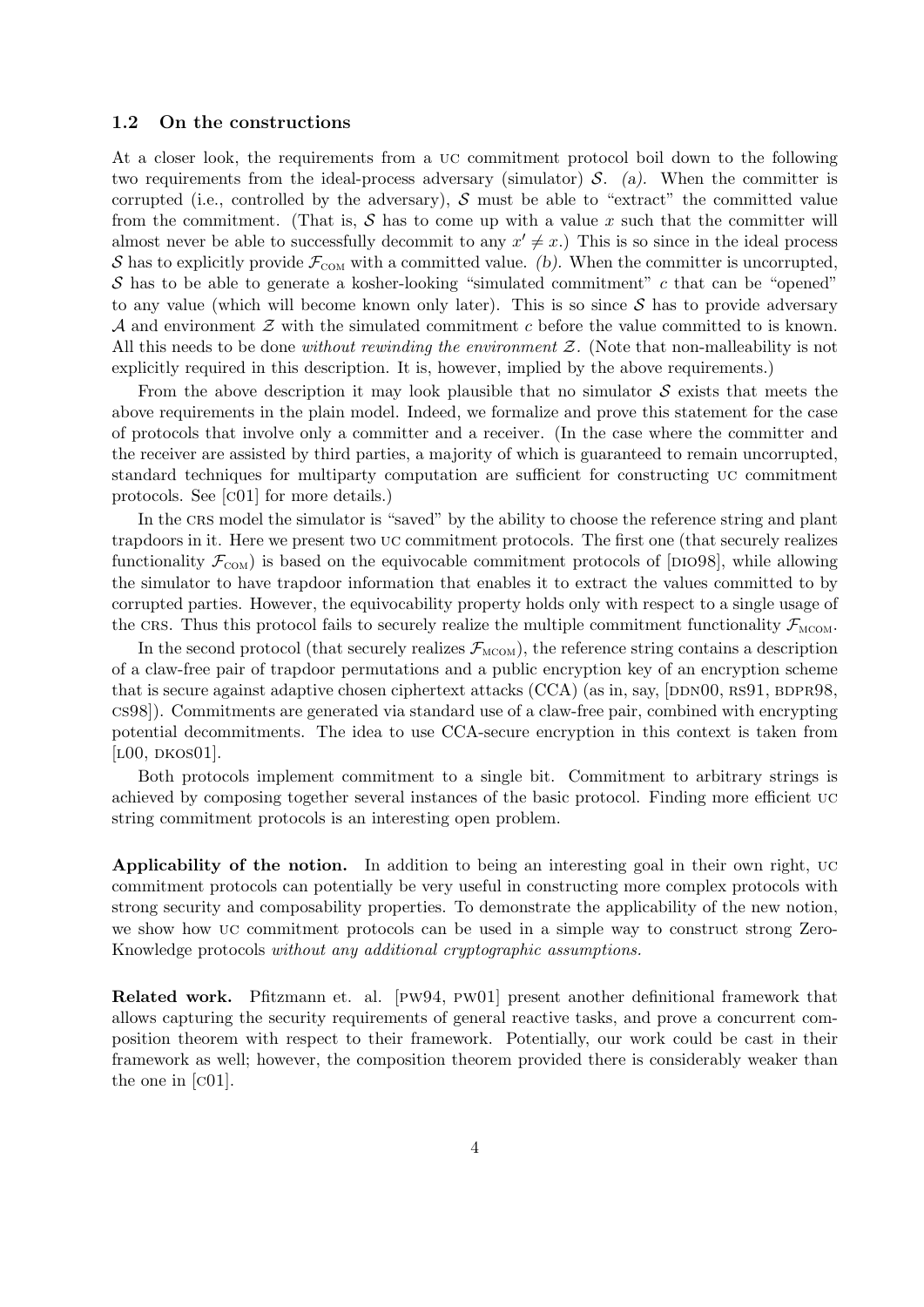## 1.2 On the constructions

At a closer look, the requirements from a uc commitment protocol boil down to the following two requirements from the ideal-process adversary (simulator)  $S$ . (a). When the committer is corrupted (i.e., controlled by the adversary),  $\mathcal S$  must be able to "extract" the committed value from the commitment. (That is,  $S$  has to come up with a value x such that the committer will almost never be able to successfully decommit to any  $x' \neq x$ .) This is so since in the ideal process S has to explicitly provide  $\mathcal{F}_{COM}$  with a committed value. (b). When the committer is uncorrupted, S has to be able to generate a kosher-looking "simulated commitment" c that can be "opened" to any value (which will become known only later). This is so since  $S$  has to provide adversary A and environment  $\mathcal Z$  with the simulated commitment c before the value committed to is known. All this needs to be done *without rewinding the environment Z*. (Note that non-malleability is not explicitly required in this description. It is, however, implied by the above requirements.)

From the above description it may look plausible that no simulator  $S$  exists that meets the above requirements in the plain model. Indeed, we formalize and prove this statement for the case of protocols that involve only a committer and a receiver. (In the case where the committer and the receiver are assisted by third parties, a majority of which is guaranteed to remain uncorrupted, standard techniques for multiparty computation are sufficient for constructing uc commitment protocols. See [c01] for more details.)

In the crs model the simulator is "saved" by the ability to choose the reference string and plant trapdoors in it. Here we present two uc commitment protocols. The first one (that securely realizes functionality  $\mathcal{F}_{COM}$  is based on the equivocable commitment protocols of [DIO98], while allowing the simulator to have trapdoor information that enables it to extract the values committed to by corrupted parties. However, the equivocability property holds only with respect to a single usage of the CRS. Thus this protocol fails to securely realize the multiple commitment functionality  $\mathcal{F}_{\text{MCOM}}$ .

In the second protocol (that securely realizes  $\mathcal{F}_{\text{MCOM}}$ ), the reference string contains a description of a claw-free pair of trapdoor permutations and a public encryption key of an encryption scheme that is secure against adaptive chosen ciphertext attacks  $(CCA)$  (as in, say,  $[DDN00, RS91, BDPR98,$ cs98]). Commitments are generated via standard use of a claw-free pair, combined with encrypting potential decommitments. The idea to use CCA-secure encryption in this context is taken from [ $L00$ ,  $DKOS01$ ].

Both protocols implement commitment to a single bit. Commitment to arbitrary strings is achieved by composing together several instances of the basic protocol. Finding more efficient uc string commitment protocols is an interesting open problem.

Applicability of the notion. In addition to being an interesting goal in their own right, uc commitment protocols can potentially be very useful in constructing more complex protocols with strong security and composability properties. To demonstrate the applicability of the new notion, we show how uc commitment protocols can be used in a simple way to construct strong Zero-Knowledge protocols without any additional cryptographic assumptions.

Related work. Pfitzmann et. al. [pw94, pw01] present another definitional framework that allows capturing the security requirements of general reactive tasks, and prove a concurrent composition theorem with respect to their framework. Potentially, our work could be cast in their framework as well; however, the composition theorem provided there is considerably weaker than the one in [c01].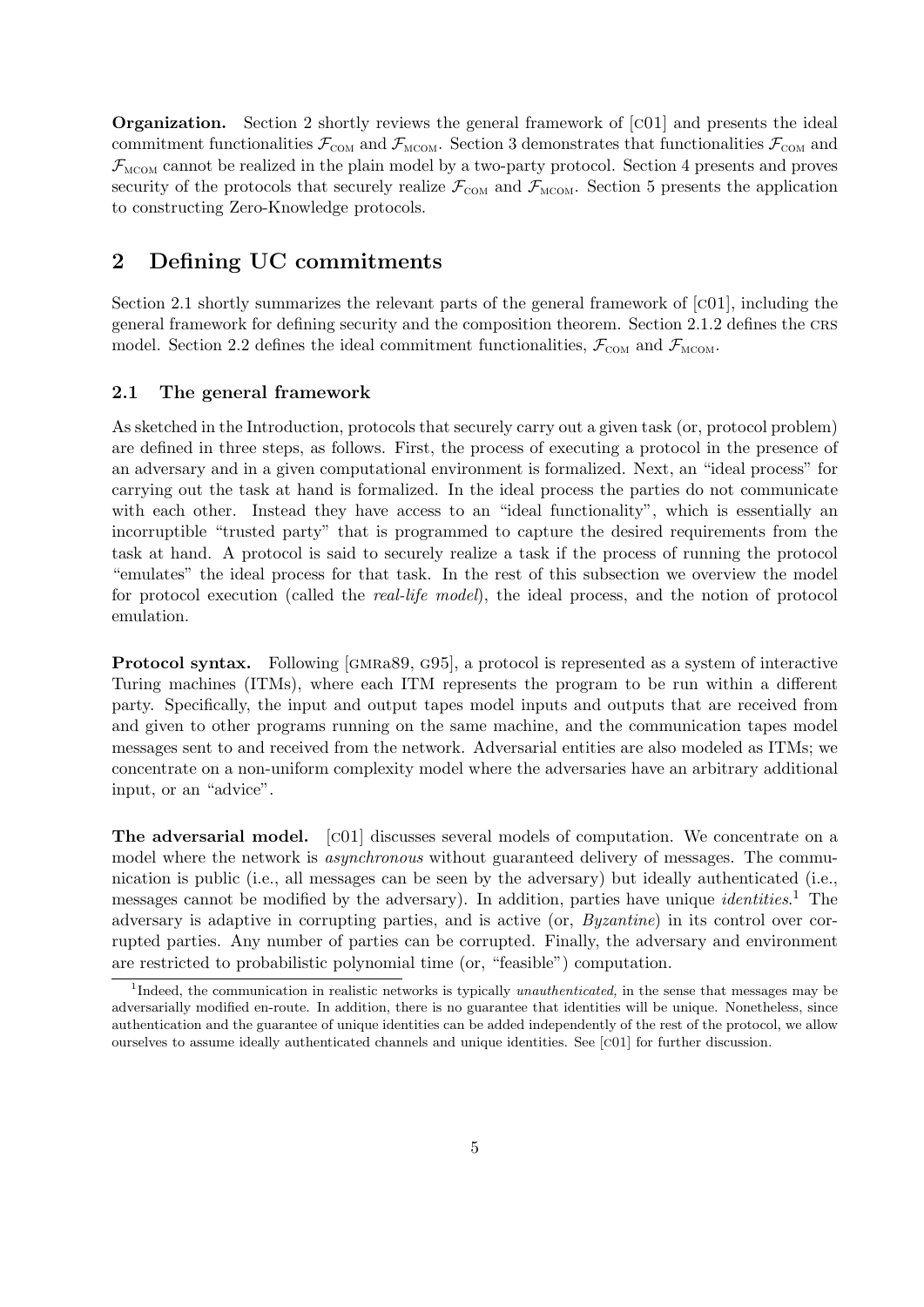Organization. Section 2 shortly reviews the general framework of [c01] and presents the ideal commitment functionalities  $\mathcal{F}_{COM}$  and  $\mathcal{F}_{MCOM}$ . Section 3 demonstrates that functionalities  $\mathcal{F}_{COM}$  and  $\mathcal{F}_{\text{MCOM}}$  cannot be realized in the plain model by a two-party protocol. Section 4 presents and proves security of the protocols that securely realize  $\mathcal{F}_{COM}$  and  $\mathcal{F}_{MCOM}$ . Section 5 presents the application to constructing Zero-Knowledge protocols.

# 2 Defining UC commitments

Section 2.1 shortly summarizes the relevant parts of the general framework of [c01], including the general framework for defining security and the composition theorem. Section 2.1.2 defines the crs model. Section 2.2 defines the ideal commitment functionalities,  $\mathcal{F}_{COM}$  and  $\mathcal{F}_{MCOM}$ .

## 2.1 The general framework

As sketched in the Introduction, protocols that securely carry out a given task (or, protocol problem) are defined in three steps, as follows. First, the process of executing a protocol in the presence of an adversary and in a given computational environment is formalized. Next, an "ideal process" for carrying out the task at hand is formalized. In the ideal process the parties do not communicate with each other. Instead they have access to an "ideal functionality", which is essentially an incorruptible "trusted party" that is programmed to capture the desired requirements from the task at hand. A protocol is said to securely realize a task if the process of running the protocol "emulates" the ideal process for that task. In the rest of this subsection we overview the model for protocol execution (called the real-life model), the ideal process, and the notion of protocol emulation.

Protocol syntax. Following [GMRa89, G95], a protocol is represented as a system of interactive Turing machines (ITMs), where each ITM represents the program to be run within a different party. Specifically, the input and output tapes model inputs and outputs that are received from and given to other programs running on the same machine, and the communication tapes model messages sent to and received from the network. Adversarial entities are also modeled as ITMs; we concentrate on a non-uniform complexity model where the adversaries have an arbitrary additional input, or an "advice".

The adversarial model. [c01] discusses several models of computation. We concentrate on a model where the network is *asynchronous* without guaranteed delivery of messages. The communication is public (i.e., all messages can be seen by the adversary) but ideally authenticated (i.e., messages cannot be modified by the adversary). In addition, parties have unique *identities*.<sup>1</sup> The adversary is adaptive in corrupting parties, and is active (or, Byzantine) in its control over corrupted parties. Any number of parties can be corrupted. Finally, the adversary and environment are restricted to probabilistic polynomial time (or, "feasible") computation.

<sup>&</sup>lt;sup>1</sup>Indeed, the communication in realistic networks is typically *unauthenticated*, in the sense that messages may be adversarially modified en-route. In addition, there is no guarantee that identities will be unique. Nonetheless, since authentication and the guarantee of unique identities can be added independently of the rest of the protocol, we allow ourselves to assume ideally authenticated channels and unique identities. See [c01] for further discussion.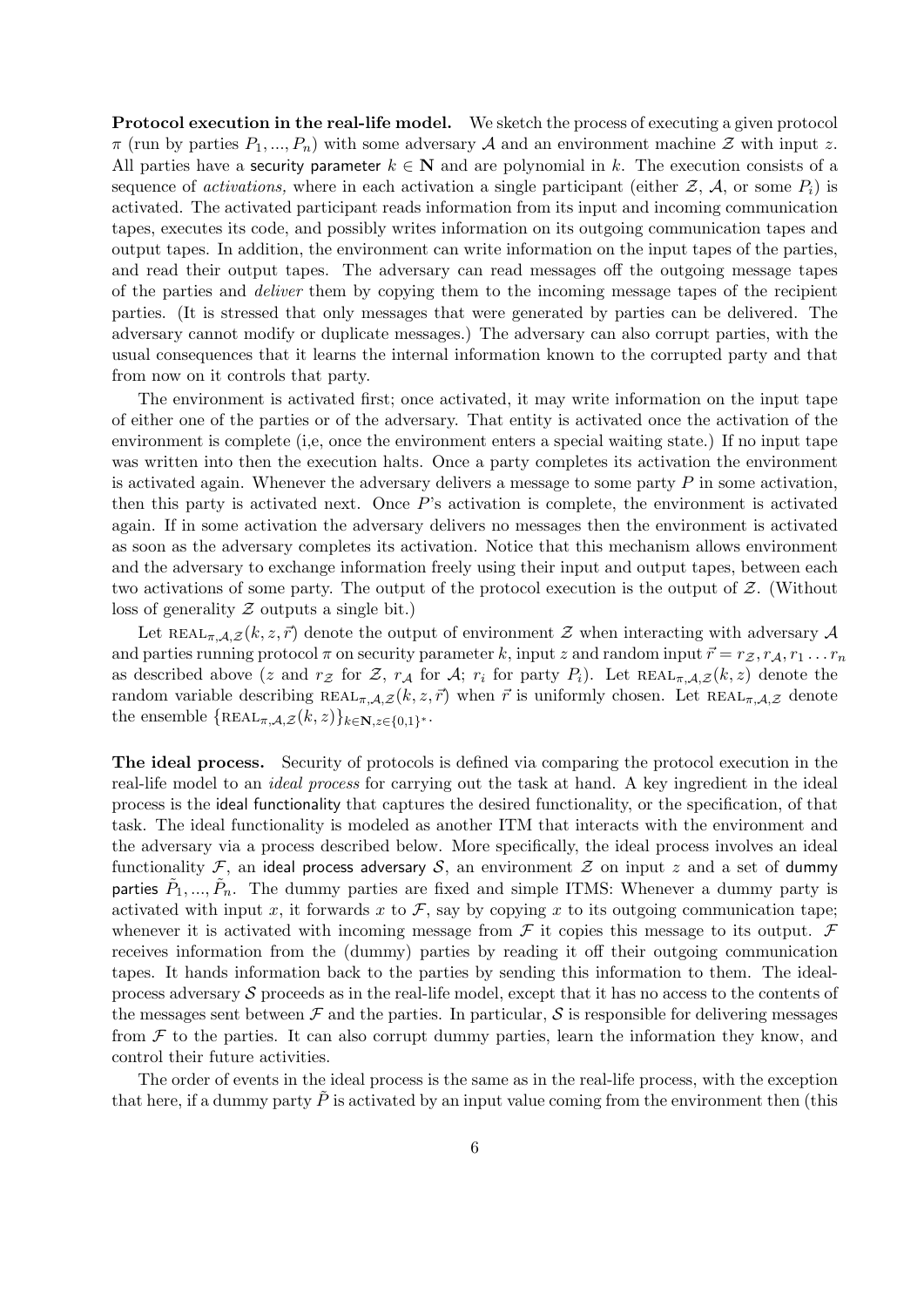Protocol execution in the real-life model. We sketch the process of executing a given protocol  $\pi$  (run by parties  $P_1, ..., P_n$ ) with some adversary A and an environment machine Z with input z. All parties have a security parameter  $k \in \mathbb{N}$  and are polynomial in k. The execution consists of a sequence of *activations*, where in each activation a single participant (either  $\mathcal{Z}, \mathcal{A}$ , or some  $P_i$ ) is activated. The activated participant reads information from its input and incoming communication tapes, executes its code, and possibly writes information on its outgoing communication tapes and output tapes. In addition, the environment can write information on the input tapes of the parties, and read their output tapes. The adversary can read messages off the outgoing message tapes of the parties and deliver them by copying them to the incoming message tapes of the recipient parties. (It is stressed that only messages that were generated by parties can be delivered. The adversary cannot modify or duplicate messages.) The adversary can also corrupt parties, with the usual consequences that it learns the internal information known to the corrupted party and that from now on it controls that party.

The environment is activated first; once activated, it may write information on the input tape of either one of the parties or of the adversary. That entity is activated once the activation of the environment is complete (i,e, once the environment enters a special waiting state.) If no input tape was written into then the execution halts. Once a party completes its activation the environment is activated again. Whenever the adversary delivers a message to some party  $P$  in some activation, then this party is activated next. Once  $P$ 's activation is complete, the environment is activated again. If in some activation the adversary delivers no messages then the environment is activated as soon as the adversary completes its activation. Notice that this mechanism allows environment and the adversary to exchange information freely using their input and output tapes, between each two activations of some party. The output of the protocol execution is the output of  $Z$ . (Without loss of generality  $Z$  outputs a single bit.)

Let REAL<sub>π, $A, \mathcal{Z}(k, z, \vec{r})$  denote the output of environment  $\mathcal{Z}$  when interacting with adversary  $\mathcal{A}$ </sub> and parties running protocol  $\pi$  on security parameter k, input z and random input  $\vec{r} = r_{\mathcal{Z}}, r_{\mathcal{A}}, r_1 \ldots r_n$ as described above (z and  $r_z$  for  $\mathcal{Z}$ ,  $r_A$  for  $\mathcal{A}$ ;  $r_i$  for party  $P_i$ ). Let  $REAL_{\pi,\mathcal{A},\mathcal{Z}}(k,z)$  denote the random variable describing  $REAL_{\pi,\mathcal{A},\mathcal{Z}}(k, z, \vec{r})$  when  $\vec{r}$  is uniformly chosen. Let  $REAL_{\pi,\mathcal{A},\mathcal{Z}}$  denote the ensemble  $\{\text{REAL}_{\pi,\mathcal{A},\mathcal{Z}}(k,z)\}_{k\in\mathbf{N},z\in\{0,1\}^*}.$ 

The ideal process. Security of protocols is defined via comparing the protocol execution in the real-life model to an ideal process for carrying out the task at hand. A key ingredient in the ideal process is the ideal functionality that captures the desired functionality, or the specification, of that task. The ideal functionality is modeled as another ITM that interacts with the environment and the adversary via a process described below. More specifically, the ideal process involves an ideal functionality F, an ideal process adversary S, an environment Z on input z and a set of dummy parties  $\tilde{P}_1, ..., \tilde{P}_n$ . The dummy parties are fixed and simple ITMS: Whenever a dummy party is activated with input x, it forwards x to  $\mathcal F$ , say by copying x to its outgoing communication tape; whenever it is activated with incoming message from  $\mathcal F$  it copies this message to its output.  $\mathcal F$ receives information from the (dummy) parties by reading it off their outgoing communication tapes. It hands information back to the parties by sending this information to them. The idealprocess adversary  $\mathcal S$  proceeds as in the real-life model, except that it has no access to the contents of the messages sent between  $\mathcal F$  and the parties. In particular,  $\mathcal S$  is responsible for delivering messages from  $\mathcal F$  to the parties. It can also corrupt dummy parties, learn the information they know, and control their future activities.

The order of events in the ideal process is the same as in the real-life process, with the exception that here, if a dummy party  $\tilde{P}$  is activated by an input value coming from the environment then (this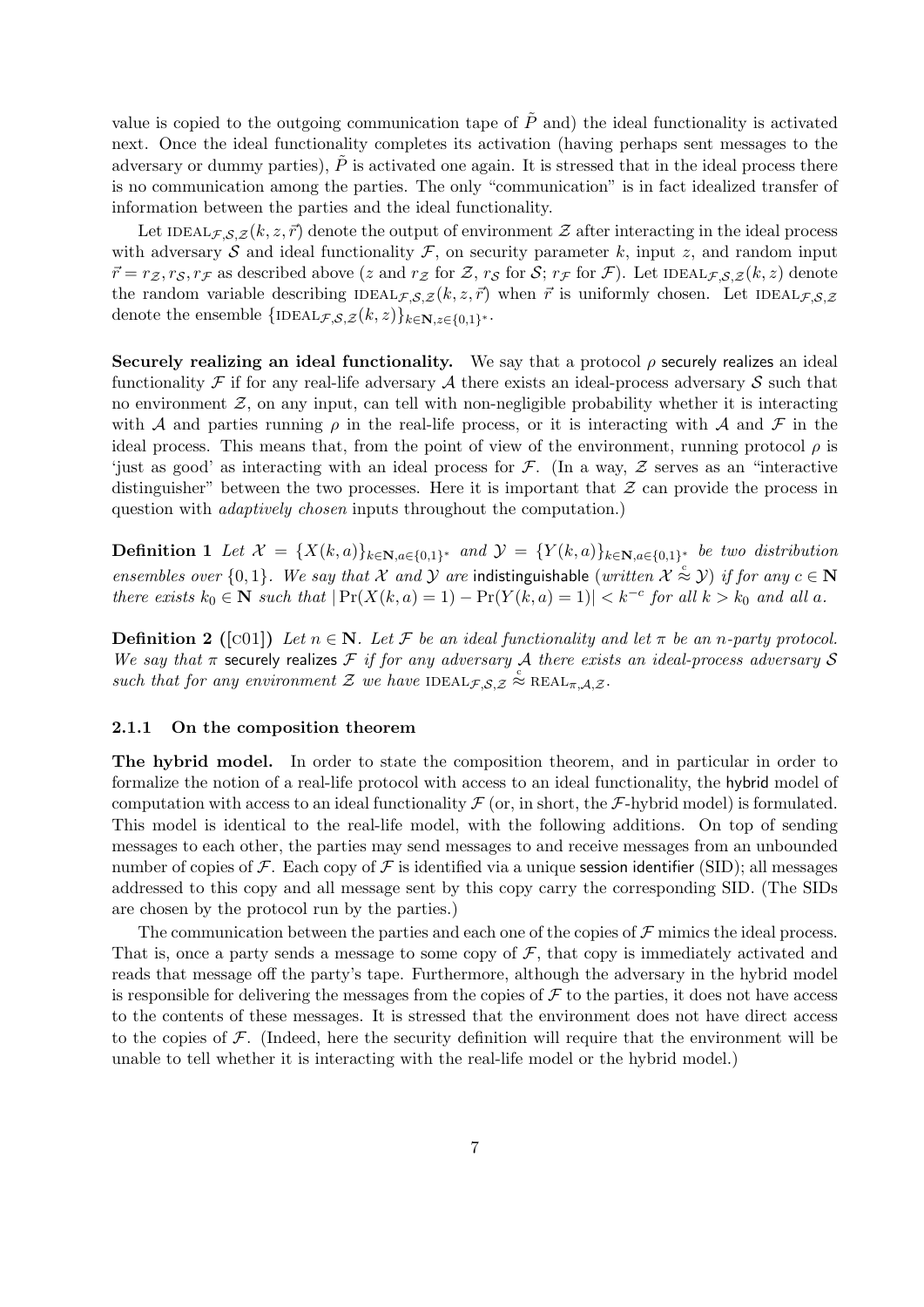value is copied to the outgoing communication tape of  $\tilde{P}$  and) the ideal functionality is activated next. Once the ideal functionality completes its activation (having perhaps sent messages to the adversary or dummy parties),  $P$  is activated one again. It is stressed that in the ideal process there is no communication among the parties. The only "communication" is in fact idealized transfer of information between the parties and the ideal functionality.

Let IDEAL<sub>F,S,Z</sub> $(k, z, \vec{r})$  denote the output of environment Z after interacting in the ideal process with adversary S and ideal functionality  $\mathcal F$ , on security parameter k, input z, and random input  $\vec{r} = r_{\mathcal{Z}}, r_{\mathcal{S}}, r_{\mathcal{F}}$  as described above (z and  $r_{\mathcal{Z}}$  for  $\mathcal{Z}, r_{\mathcal{S}}$  for  $\mathcal{S}; r_{\mathcal{F}}$  for  $\mathcal{F}$ ). Let IDEAL $f_{\mathcal{Z},\mathcal{Z}}(k, z)$  denote the random variable describing IDEAL $_{\mathcal{F},\mathcal{S},\mathcal{Z}}(k,z,\vec{r})$  when  $\vec{r}$  is uniformly chosen. Let IDEAL $_{\mathcal{F},\mathcal{S},\mathcal{Z}}$ denote the ensemble  $\{\text{IDEAL}_{\mathcal{F},\mathcal{S},\mathcal{Z}}(k,z)\}_{k\in\mathbb{N},z\in\{0,1\}^*}.$ 

Securely realizing an ideal functionality. We say that a protocol  $\rho$  securely realizes an ideal functionality  $\mathcal F$  if for any real-life adversary  $\mathcal A$  there exists an ideal-process adversary  $\mathcal S$  such that no environment  $Z$ , on any input, can tell with non-negligible probability whether it is interacting with A and parties running  $\rho$  in the real-life process, or it is interacting with A and F in the ideal process. This means that, from the point of view of the environment, running protocol  $\rho$  is 'just as good' as interacting with an ideal process for  $\mathcal{F}$ . (In a way,  $\mathcal{Z}$  serves as an "interactive distinguisher" between the two processes. Here it is important that  $Z$  can provide the process in question with *adaptively chosen* inputs throughout the computation.)

**Definition 1** Let  $\mathcal{X} = \{X(k,a)\}_{k \in \mathbb{N}, a \in \{0,1\}^*}$  and  $\mathcal{Y} = \{Y(k,a)\}_{k \in \mathbb{N}, a \in \{0,1\}^*}$  be two distribution ensembles over  $\{0,1\}$ . We say that X and Y are indistinguishable (written  $\mathcal{X} \stackrel{\sim}{\approx} \mathcal{Y}$ ) if for any  $c \in \mathbb{N}$ there exists  $k_0 \in \mathbb{N}$  such that  $|\Pr(X(k, a) = 1) - \Pr(Y(k, a) = 1)| \le k^{-c}$  for all  $k > k_0$  and all a.

**Definition 2** ([c01]) Let  $n \in \mathbb{N}$ . Let F be an ideal functionality and let  $\pi$  be an n-party protocol. We say that  $\pi$  securely realizes  $\mathcal F$  if for any adversary  $\mathcal A$  there exists an ideal-process adversary  $\mathcal S$ such that for any environment  $\mathcal Z$  we have IDEAL $_{\mathcal F, \mathcal S, \mathcal Z} \overset{\circ}{\approx} \text{REAL}_{\pi,\mathcal A, \mathcal Z}$ .

## 2.1.1 On the composition theorem

The hybrid model. In order to state the composition theorem, and in particular in order to formalize the notion of a real-life protocol with access to an ideal functionality, the hybrid model of computation with access to an ideal functionality  $\mathcal F$  (or, in short, the  $\mathcal F$ -hybrid model) is formulated. This model is identical to the real-life model, with the following additions. On top of sending messages to each other, the parties may send messages to and receive messages from an unbounded number of copies of F. Each copy of F is identified via a unique session identifier (SID); all messages addressed to this copy and all message sent by this copy carry the corresponding SID. (The SIDs are chosen by the protocol run by the parties.)

The communication between the parties and each one of the copies of  $\mathcal F$  mimics the ideal process. That is, once a party sends a message to some copy of  $\mathcal F$ , that copy is immediately activated and reads that message off the party's tape. Furthermore, although the adversary in the hybrid model is responsible for delivering the messages from the copies of  $\mathcal F$  to the parties, it does not have access to the contents of these messages. It is stressed that the environment does not have direct access to the copies of  $\mathcal F$ . (Indeed, here the security definition will require that the environment will be unable to tell whether it is interacting with the real-life model or the hybrid model.)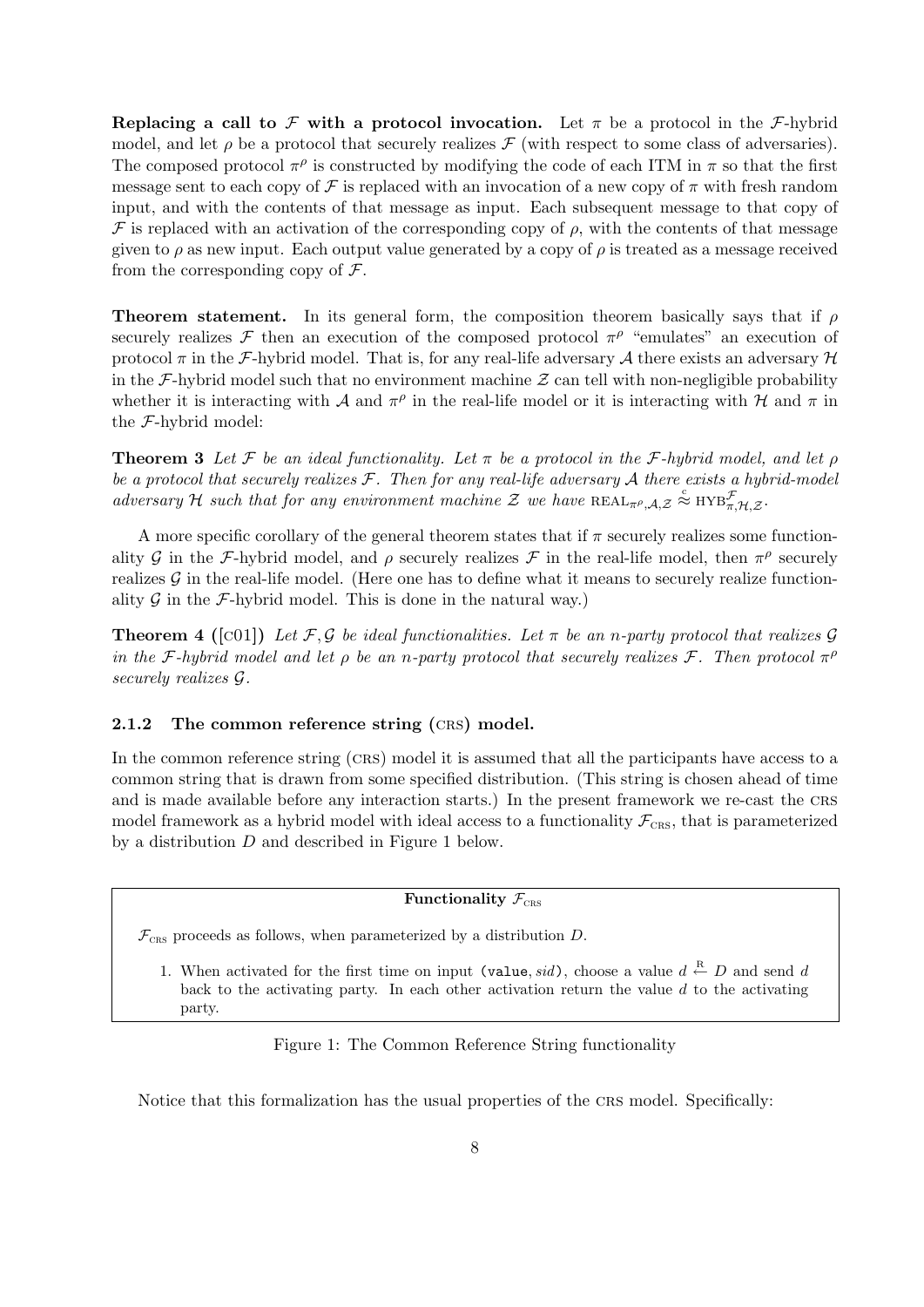Replacing a call to F with a protocol invocation. Let  $\pi$  be a protocol in the F-hybrid model, and let  $\rho$  be a protocol that securely realizes  $\mathcal F$  (with respect to some class of adversaries). The composed protocol  $\pi^{\rho}$  is constructed by modifying the code of each ITM in  $\pi$  so that the first message sent to each copy of F is replaced with an invocation of a new copy of  $\pi$  with fresh random input, and with the contents of that message as input. Each subsequent message to that copy of F is replaced with an activation of the corresponding copy of  $\rho$ , with the contents of that message given to  $\rho$  as new input. Each output value generated by a copy of  $\rho$  is treated as a message received from the corresponding copy of  $\mathcal{F}$ .

**Theorem statement.** In its general form, the composition theorem basically says that if  $\rho$ securely realizes  $\mathcal F$  then an execution of the composed protocol  $\pi^{\rho}$  "emulates" an execution of protocol  $\pi$  in the F-hybrid model. That is, for any real-life adversary A there exists an adversary H in the F-hybrid model such that no environment machine  $\mathcal Z$  can tell with non-negligible probability whether it is interacting with A and  $\pi^{\rho}$  in the real-life model or it is interacting with H and  $\pi$  in the F-hybrid model:

**Theorem 3** Let F be an ideal functionality. Let  $\pi$  be a protocol in the F-hybrid model, and let  $\rho$ be a protocol that securely realizes  $\mathcal{F}$ . Then for any real-life adversary  $\mathcal{A}$  there exists a hybrid-model adversary H such that for any environment machine  $\mathcal Z$  we have  $REAL_{\pi^{\rho},\mathcal A,\mathcal Z} \stackrel{c}{\approx} HYB_{\pi,\mathcal H,\mathcal Z}^{\mathcal F}.$ 

A more specific corollary of the general theorem states that if  $\pi$  securely realizes some functionality G in the F-hybrid model, and  $\rho$  securely realizes F in the real-life model, then  $\pi^{\rho}$  securely realizes  $G$  in the real-life model. (Here one has to define what it means to securely realize functionality  $\mathcal G$  in the  $\mathcal F$ -hybrid model. This is done in the natural way.)

**Theorem 4** ([c01]) Let F, G be ideal functionalities. Let  $\pi$  be an n-party protocol that realizes G in the F-hybrid model and let  $\rho$  be an n-party protocol that securely realizes F. Then protocol  $\pi^{\rho}$ securely realizes G.

## 2.1.2 The common reference string (CRS) model.

In the common reference string (crs) model it is assumed that all the participants have access to a common string that is drawn from some specified distribution. (This string is chosen ahead of time and is made available before any interaction starts.) In the present framework we re-cast the crs model framework as a hybrid model with ideal access to a functionality  $\mathcal{F}_{CRS}$ , that is parameterized by a distribution D and described in Figure 1 below.

Functionality  $\mathcal{F}_{CRS}$ 

 $\mathcal{F}_{CRS}$  proceeds as follows, when parameterized by a distribution D.

1. When activated for the first time on input (value, sid), choose a value  $d \stackrel{R}{\leftarrow} D$  and send d back to the activating party. In each other activation return the value  $d$  to the activating party.

Figure 1: The Common Reference String functionality

Notice that this formalization has the usual properties of the crs model. Specifically: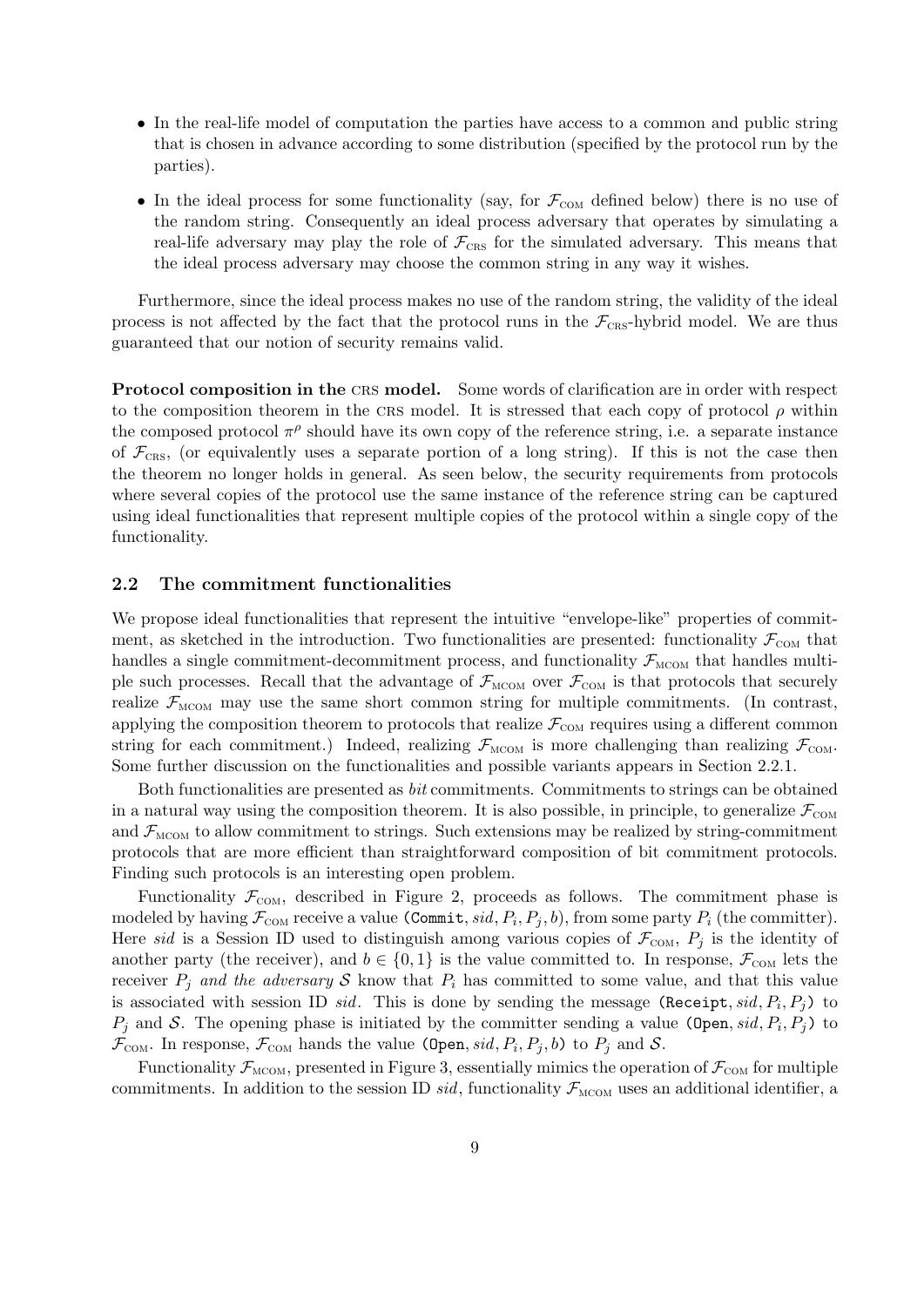- In the real-life model of computation the parties have access to a common and public string that is chosen in advance according to some distribution (specified by the protocol run by the parties).
- In the ideal process for some functionality (say, for  $\mathcal{F}_{COM}$  defined below) there is no use of the random string. Consequently an ideal process adversary that operates by simulating a real-life adversary may play the role of  $\mathcal{F}_{CRs}$  for the simulated adversary. This means that the ideal process adversary may choose the common string in any way it wishes.

Furthermore, since the ideal process makes no use of the random string, the validity of the ideal process is not affected by the fact that the protocol runs in the  $\mathcal{F}_{CRS}$ -hybrid model. We are thus guaranteed that our notion of security remains valid.

Protocol composition in the CRS model. Some words of clarification are in order with respect to the composition theorem in the CRS model. It is stressed that each copy of protocol  $\rho$  within the composed protocol  $\pi^{\rho}$  should have its own copy of the reference string, i.e. a separate instance of  $\mathcal{F}_{CRS}$ , (or equivalently uses a separate portion of a long string). If this is not the case then the theorem no longer holds in general. As seen below, the security requirements from protocols where several copies of the protocol use the same instance of the reference string can be captured using ideal functionalities that represent multiple copies of the protocol within a single copy of the functionality.

## 2.2 The commitment functionalities

We propose ideal functionalities that represent the intuitive "envelope-like" properties of commitment, as sketched in the introduction. Two functionalities are presented: functionality  $\mathcal{F}_{COM}$  that handles a single commitment-decommitment process, and functionality  $\mathcal{F}_{\text{MCOM}}$  that handles multiple such processes. Recall that the advantage of  $\mathcal{F}_{\text{MCOM}}$  over  $\mathcal{F}_{\text{COM}}$  is that protocols that securely realize  $\mathcal{F}_{\text{MCOM}}$  may use the same short common string for multiple commitments. (In contrast, applying the composition theorem to protocols that realize  $\mathcal{F}_{COM}$  requires using a different common string for each commitment.) Indeed, realizing  $\mathcal{F}_{\text{MCOM}}$  is more challenging than realizing  $\mathcal{F}_{\text{COM}}$ . Some further discussion on the functionalities and possible variants appears in Section 2.2.1.

Both functionalities are presented as bit commitments. Commitments to strings can be obtained in a natural way using the composition theorem. It is also possible, in principle, to generalize  $\mathcal{F}_{COM}$ and  $\mathcal{F}_{\text{MCOM}}$  to allow commitment to strings. Such extensions may be realized by string-commitment protocols that are more efficient than straightforward composition of bit commitment protocols. Finding such protocols is an interesting open problem.

Functionality  $\mathcal{F}_{COM}$ , described in Figure 2, proceeds as follows. The commitment phase is modeled by having  $\mathcal{F}_{COM}$  receive a value (Commit, sid,  $P_i$ ,  $P_j$ , b), from some party  $P_i$  (the committer). Here sid is a Session ID used to distinguish among various copies of  $\mathcal{F}_{COM}$ ,  $P_j$  is the identity of another party (the receiver), and  $b \in \{0, 1\}$  is the value committed to. In response,  $\mathcal{F}_{COM}$  lets the receiver  $P_j$  and the adversary S know that  $P_i$  has committed to some value, and that this value is associated with session ID sid. This is done by sending the message (Receipt,  $sid, P_i, P_j$ ) to  $P_j$  and S. The opening phase is initiated by the committer sending a value (Open, sid,  $P_i$ ,  $P_j$ ) to  $\mathcal{F}_{COM}$ . In response,  $\mathcal{F}_{COM}$  hands the value (Open, sid,  $P_i$ ,  $P_j$ , b) to  $P_j$  and S.

Functionality  $\mathcal{F}_{\text{MCOM}}$ , presented in Figure 3, essentially mimics the operation of  $\mathcal{F}_{\text{COM}}$  for multiple commitments. In addition to the session ID sid, functionality  $\mathcal{F}_{\text{MCOM}}$  uses an additional identifier, a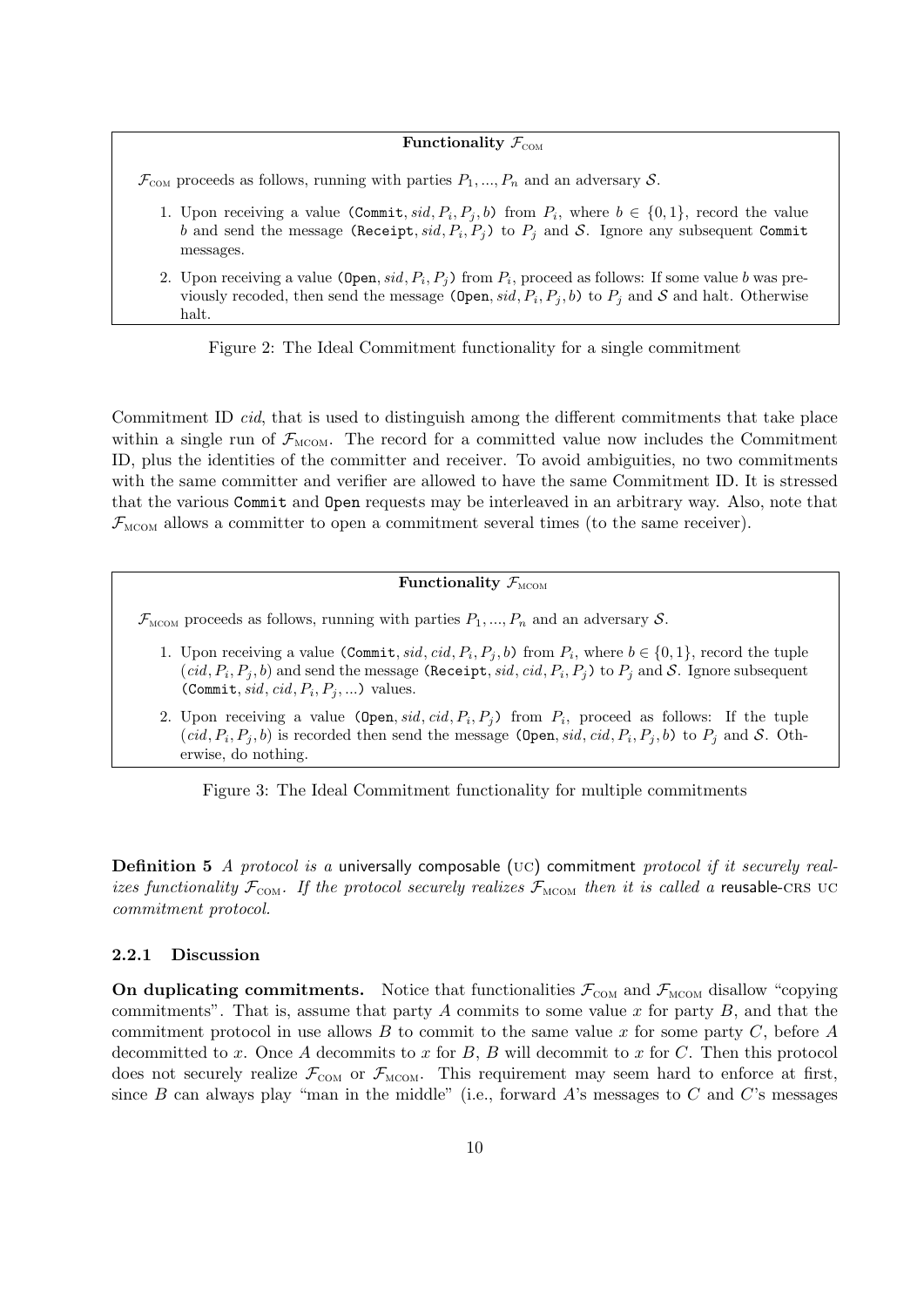## Functionality  $\mathcal{F}_{COM}$

 $\mathcal{F}_{COM}$  proceeds as follows, running with parties  $P_1, ..., P_n$  and an adversary S.

- 1. Upon receiving a value (Commit,  $sid, P_i, P_j, b$ ) from  $P_i$ , where  $b \in \{0, 1\}$ , record the value b and send the message (Receipt,  $sid, P_i, P_j$ ) to  $P_j$  and S. Ignore any subsequent Commit messages.
- 2. Upon receiving a value (Open,  $sid, P_i, P_j$ ) from  $P_i$ , proceed as follows: If some value b was previously recoded, then send the message (Open, sid,  $P_i$ ,  $P_j$ , b) to  $P_j$  and S and halt. Otherwise halt.

Figure 2: The Ideal Commitment functionality for a single commitment

Commitment ID cid, that is used to distinguish among the different commitments that take place within a single run of  $\mathcal{F}_{\text{MCOM}}$ . The record for a committed value now includes the Commitment ID, plus the identities of the committer and receiver. To avoid ambiguities, no two commitments with the same committer and verifier are allowed to have the same Commitment ID. It is stressed that the various Commit and Open requests may be interleaved in an arbitrary way. Also, note that  $\mathcal{F}_{\text{MCOM}}$  allows a committer to open a commitment several times (to the same receiver).

## Functionality  $\mathcal{F}_{\text{MCOM}}$

 $\mathcal{F}_{\text{MCOM}}$  proceeds as follows, running with parties  $P_1, ..., P_n$  and an adversary S.

- 1. Upon receiving a value (Commit, sid, cid,  $P_i$ ,  $P_j$ , b) from  $P_i$ , where  $b \in \{0, 1\}$ , record the tuple  $(cid, P_i, P_j, b)$  and send the message (Receipt, sid, cid,  $P_i, P_j$ ) to  $P_j$  and S. Ignore subsequent (Commit, sid, cid,  $P_i, P_j, \dots$ ) values.
- 2. Upon receiving a value (Open, sid, cid,  $P_i$ ,  $P_j$ ) from  $P_i$ , proceed as follows: If the tuple  $(cid, P_i, P_j, b)$  is recorded then send the message (Open, sid, cid,  $P_i, P_j, b$ ) to  $P_j$  and S. Otherwise, do nothing.

Figure 3: The Ideal Commitment functionality for multiple commitments

**Definition 5** A protocol is a universally composable  $(UC)$  commitment protocol if it securely realizes functionality  $\mathcal{F}_{COM}$ . If the protocol securely realizes  $\mathcal{F}_{MCOM}$  then it is called a reusable-CRS UC commitment protocol.

#### 2.2.1 Discussion

On duplicating commitments. Notice that functionalities  $\mathcal{F}_{COM}$  and  $\mathcal{F}_{MCOM}$  disallow "copying commitments". That is, assume that party A commits to some value x for party  $B$ , and that the commitment protocol in use allows B to commit to the same value x for some party C, before A decommitted to x. Once A decommits to x for  $B$ ,  $B$  will decommit to x for  $C$ . Then this protocol does not securely realize  $\mathcal{F}_{COM}$  or  $\mathcal{F}_{MCOM}$ . This requirement may seem hard to enforce at first, since B can always play "man in the middle" (i.e., forward A's messages to C and C's messages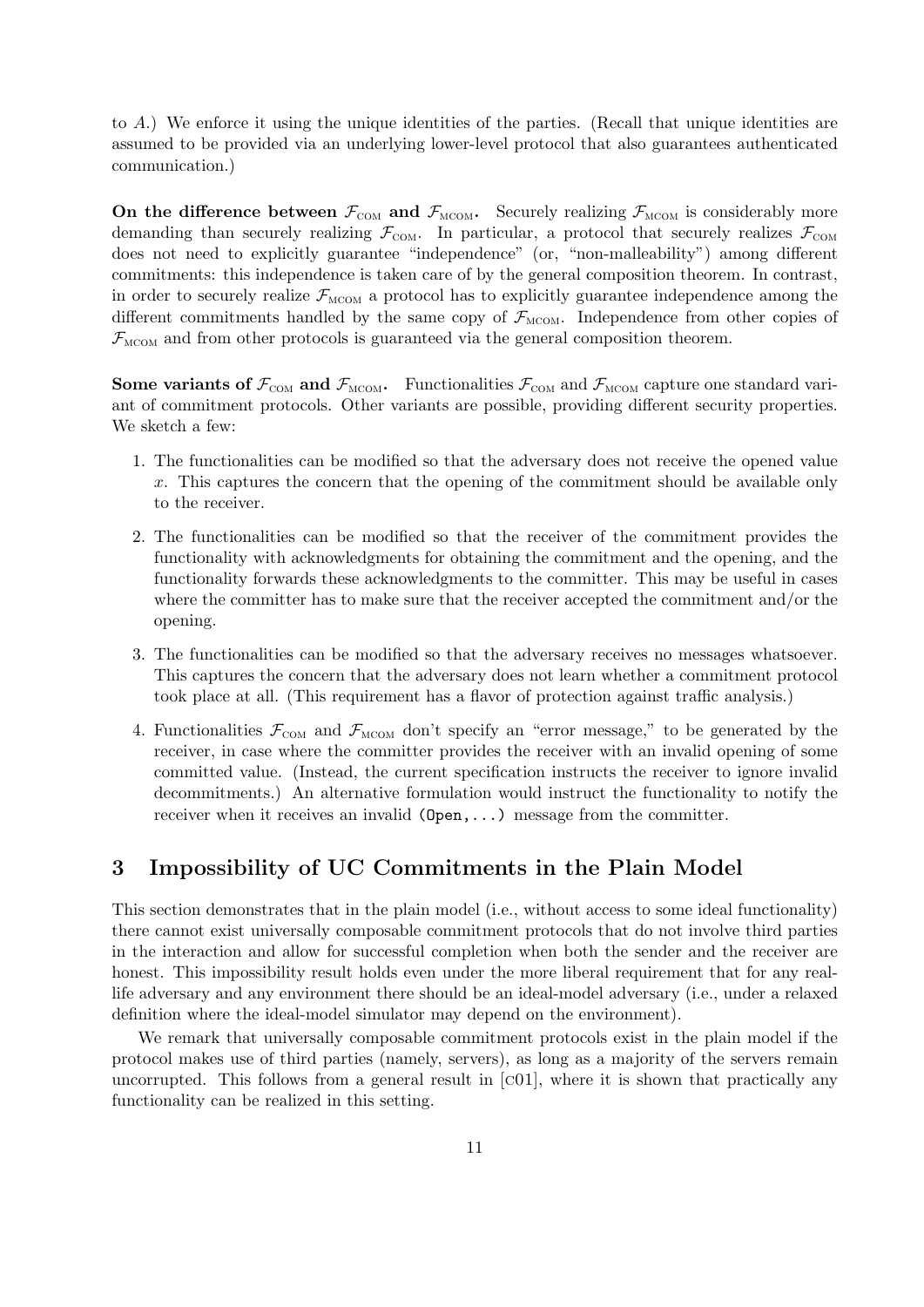to A.) We enforce it using the unique identities of the parties. (Recall that unique identities are assumed to be provided via an underlying lower-level protocol that also guarantees authenticated communication.)

On the difference between  $\mathcal{F}_{COM}$  and  $\mathcal{F}_{MCOM}$ . Securely realizing  $\mathcal{F}_{MCOM}$  is considerably more demanding than securely realizing  $\mathcal{F}_{COM}$ . In particular, a protocol that securely realizes  $\mathcal{F}_{COM}$ does not need to explicitly guarantee "independence" (or, "non-malleability") among different commitments: this independence is taken care of by the general composition theorem. In contrast, in order to securely realize  $\mathcal{F}_{\text{MCOM}}$  a protocol has to explicitly guarantee independence among the different commitments handled by the same copy of  $\mathcal{F}_{\text{MCOM}}$ . Independence from other copies of  $\mathcal{F}_{\text{MCOM}}$  and from other protocols is guaranteed via the general composition theorem.

**Some variants of**  $\mathcal{F}_{COM}$  **and**  $\mathcal{F}_{MCOM}$ **.** Functionalities  $\mathcal{F}_{COM}$  and  $\mathcal{F}_{MCOM}$  capture one standard variant of commitment protocols. Other variants are possible, providing different security properties. We sketch a few:

- 1. The functionalities can be modified so that the adversary does not receive the opened value x. This captures the concern that the opening of the commitment should be available only to the receiver.
- 2. The functionalities can be modified so that the receiver of the commitment provides the functionality with acknowledgments for obtaining the commitment and the opening, and the functionality forwards these acknowledgments to the committer. This may be useful in cases where the committer has to make sure that the receiver accepted the commitment and/or the opening.
- 3. The functionalities can be modified so that the adversary receives no messages whatsoever. This captures the concern that the adversary does not learn whether a commitment protocol took place at all. (This requirement has a flavor of protection against traffic analysis.)
- 4. Functionalities  $\mathcal{F}_{COM}$  and  $\mathcal{F}_{MCOM}$  don't specify an "error message," to be generated by the receiver, in case where the committer provides the receiver with an invalid opening of some committed value. (Instead, the current specification instructs the receiver to ignore invalid decommitments.) An alternative formulation would instruct the functionality to notify the receiver when it receives an invalid (Open,...) message from the committer.

# 3 Impossibility of UC Commitments in the Plain Model

This section demonstrates that in the plain model (i.e., without access to some ideal functionality) there cannot exist universally composable commitment protocols that do not involve third parties in the interaction and allow for successful completion when both the sender and the receiver are honest. This impossibility result holds even under the more liberal requirement that for any reallife adversary and any environment there should be an ideal-model adversary (i.e., under a relaxed definition where the ideal-model simulator may depend on the environment).

We remark that universally composable commitment protocols exist in the plain model if the protocol makes use of third parties (namely, servers), as long as a majority of the servers remain uncorrupted. This follows from a general result in  $[001]$ , where it is shown that practically any functionality can be realized in this setting.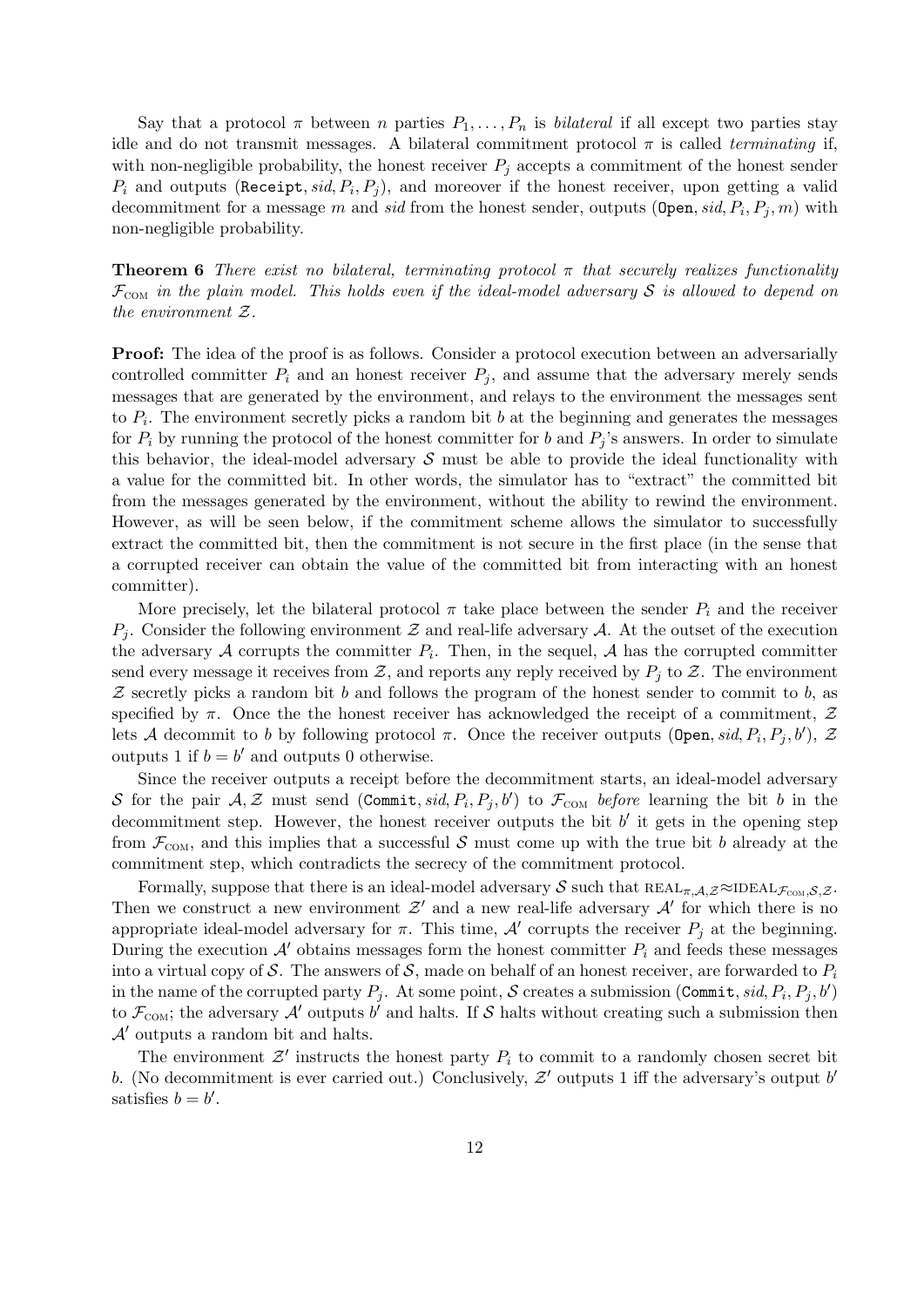Say that a protocol  $\pi$  between n parties  $P_1, \ldots, P_n$  is *bilateral* if all except two parties stay idle and do not transmit messages. A bilateral commitment protocol  $\pi$  is called *terminating* if, with non-negligible probability, the honest receiver  $P_i$  accepts a commitment of the honest sender  $P_i$  and outputs (Receipt, sid,  $P_i$ ,  $P_j$ ), and moreover if the honest receiver, upon getting a valid decommitment for a message m and sid from the honest sender, outputs (Open, sid,  $P_i$ ,  $P_j$ , m) with non-negligible probability.

**Theorem 6** There exist no bilateral, terminating protocol  $\pi$  that securely realizes functionality  $\mathcal{F}_{COM}$  in the plain model. This holds even if the ideal-model adversary S is allowed to depend on the environment Z.

**Proof:** The idea of the proof is as follows. Consider a protocol execution between an adversarially controlled committer  $P_i$  and an honest receiver  $P_j$ , and assume that the adversary merely sends messages that are generated by the environment, and relays to the environment the messages sent to  $P_i$ . The environment secretly picks a random bit b at the beginning and generates the messages for  $P_i$  by running the protocol of the honest committer for b and  $P_i$ 's answers. In order to simulate this behavior, the ideal-model adversary  $S$  must be able to provide the ideal functionality with a value for the committed bit. In other words, the simulator has to "extract" the committed bit from the messages generated by the environment, without the ability to rewind the environment. However, as will be seen below, if the commitment scheme allows the simulator to successfully extract the committed bit, then the commitment is not secure in the first place (in the sense that a corrupted receiver can obtain the value of the committed bit from interacting with an honest committer).

More precisely, let the bilateral protocol  $\pi$  take place between the sender  $P_i$  and the receiver  $P_i$ . Consider the following environment Z and real-life adversary A. At the outset of the execution the adversary  $A$  corrupts the committer  $P_i$ . Then, in the sequel,  $A$  has the corrupted committer send every message it receives from  $\mathcal{Z}$ , and reports any reply received by  $P_i$  to  $\mathcal{Z}$ . The environment  $Z$  secretly picks a random bit b and follows the program of the honest sender to commit to b, as specified by  $\pi$ . Once the the honest receiver has acknowledged the receipt of a commitment,  $\mathcal Z$ lets A decommit to b by following protocol  $\pi$ . Once the receiver outputs (Open, sid, P<sub>i</sub>, P<sub>j</sub>, b'), Z outputs 1 if  $b = b'$  and outputs 0 otherwise.

Since the receiver outputs a receipt before the decommitment starts, an ideal-model adversary S for the pair  $A, Z$  must send (Commit, sid,  $P_i, P_j, b'$ ) to  $\mathcal{F}_{COM}$  before learning the bit b in the decommitment step. However, the honest receiver outputs the bit  $b'$  it gets in the opening step from  $\mathcal{F}_{COM}$ , and this implies that a successful S must come up with the true bit b already at the commitment step, which contradicts the secrecy of the commitment protocol.

Formally, suppose that there is an ideal-model adversary S such that  $REAL_{\pi,\mathcal{A},\mathcal{Z}} \approx IDEAL_{\mathcal{F}_{COM},\mathcal{S},\mathcal{Z}}$ . Then we construct a new environment  $\mathcal{Z}'$  and a new real-life adversary  $\mathcal{A}'$  for which there is no appropriate ideal-model adversary for  $\pi$ . This time,  $\mathcal{A}'$  corrupts the receiver  $P_j$  at the beginning. During the execution  $\mathcal{A}'$  obtains messages form the honest committer  $P_i$  and feeds these messages into a virtual copy of S. The answers of S, made on behalf of an honest receiver, are forwarded to  $P_i$ in the name of the corrupted party  $P_j$ . At some point, S creates a submission (Commit, sid,  $P_i$ ,  $P_j$ , b') to  $\mathcal{F}_{COM}$ ; the adversary  $\mathcal{A}'$  outputs  $\vec{b'}$  and halts. If S halts without creating such a submission then  $\mathcal{A}'$  outputs a random bit and halts.

The environment  $\mathcal{Z}'$  instructs the honest party  $P_i$  to commit to a randomly chosen secret bit b. (No decommitment is ever carried out.) Conclusively,  $\mathcal{Z}'$  outputs 1 iff the adversary's output b satisfies  $b = b'$ .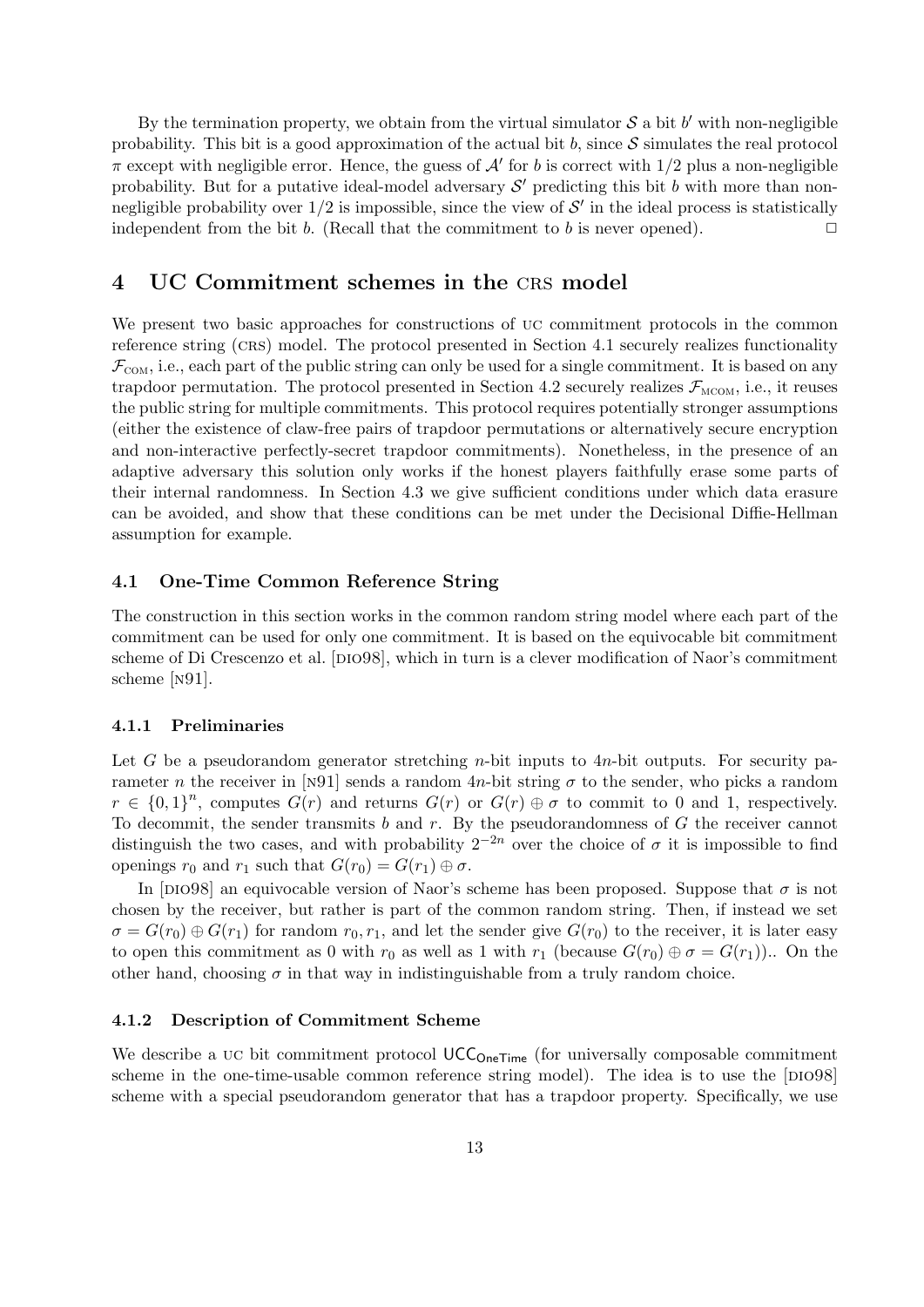By the termination property, we obtain from the virtual simulator  $S$  a bit  $b'$  with non-negligible probability. This bit is a good approximation of the actual bit  $b$ , since  $S$  simulates the real protocol  $\pi$  except with negligible error. Hence, the guess of  $\mathcal{A}'$  for b is correct with 1/2 plus a non-negligible probability. But for a putative ideal-model adversary  $\mathcal{S}'$  predicting this bit b with more than nonnegligible probability over  $1/2$  is impossible, since the view of  $\mathcal{S}'$  in the ideal process is statistically independent from the bit b. (Recall that the commitment to b is never opened).  $\Box$ 

## 4 UC Commitment schemes in the crs model

We present two basic approaches for constructions of uc commitment protocols in the common reference string (crs) model. The protocol presented in Section 4.1 securely realizes functionality  $\mathcal{F}_{COM}$ , i.e., each part of the public string can only be used for a single commitment. It is based on any trapdoor permutation. The protocol presented in Section 4.2 securely realizes  $\mathcal{F}_{\text{MCOM}}$ , i.e., it reuses the public string for multiple commitments. This protocol requires potentially stronger assumptions (either the existence of claw-free pairs of trapdoor permutations or alternatively secure encryption and non-interactive perfectly-secret trapdoor commitments). Nonetheless, in the presence of an adaptive adversary this solution only works if the honest players faithfully erase some parts of their internal randomness. In Section 4.3 we give sufficient conditions under which data erasure can be avoided, and show that these conditions can be met under the Decisional Diffie-Hellman assumption for example.

## 4.1 One-Time Common Reference String

The construction in this section works in the common random string model where each part of the commitment can be used for only one commitment. It is based on the equivocable bit commitment scheme of Di Crescenzo et al. [DIO98], which in turn is a clever modification of Naor's commitment scheme [n91].

#### 4.1.1 Preliminaries

Let G be a pseudorandom generator stretching *n*-bit inputs to 4*n*-bit outputs. For security parameter n the receiver in [N91] sends a random  $4n$ -bit string  $\sigma$  to the sender, who picks a random  $r \in \{0,1\}^n$ , computes  $G(r)$  and returns  $G(r)$  or  $G(r) \oplus \sigma$  to commit to 0 and 1, respectively. To decommit, the sender transmits  $b$  and  $r$ . By the pseudorandomness of  $G$  the receiver cannot distinguish the two cases, and with probability  $2^{-2n}$  over the choice of  $\sigma$  it is impossible to find openings  $r_0$  and  $r_1$  such that  $G(r_0) = G(r_1) \oplus \sigma$ .

In [DIO98] an equivocable version of Naor's scheme has been proposed. Suppose that  $\sigma$  is not chosen by the receiver, but rather is part of the common random string. Then, if instead we set  $\sigma = G(r_0) \oplus G(r_1)$  for random  $r_0, r_1$ , and let the sender give  $G(r_0)$  to the receiver, it is later easy to open this commitment as 0 with  $r_0$  as well as 1 with  $r_1$  (because  $G(r_0) \oplus \sigma = G(r_1)$ ). On the other hand, choosing  $\sigma$  in that way in indistinguishable from a truly random choice.

#### 4.1.2 Description of Commitment Scheme

We describe a UC bit commitment protocol UCC<sub>OneTime</sub> (for universally composable commitment scheme in the one-time-usable common reference string model). The idea is to use the [DIO98] scheme with a special pseudorandom generator that has a trapdoor property. Specifically, we use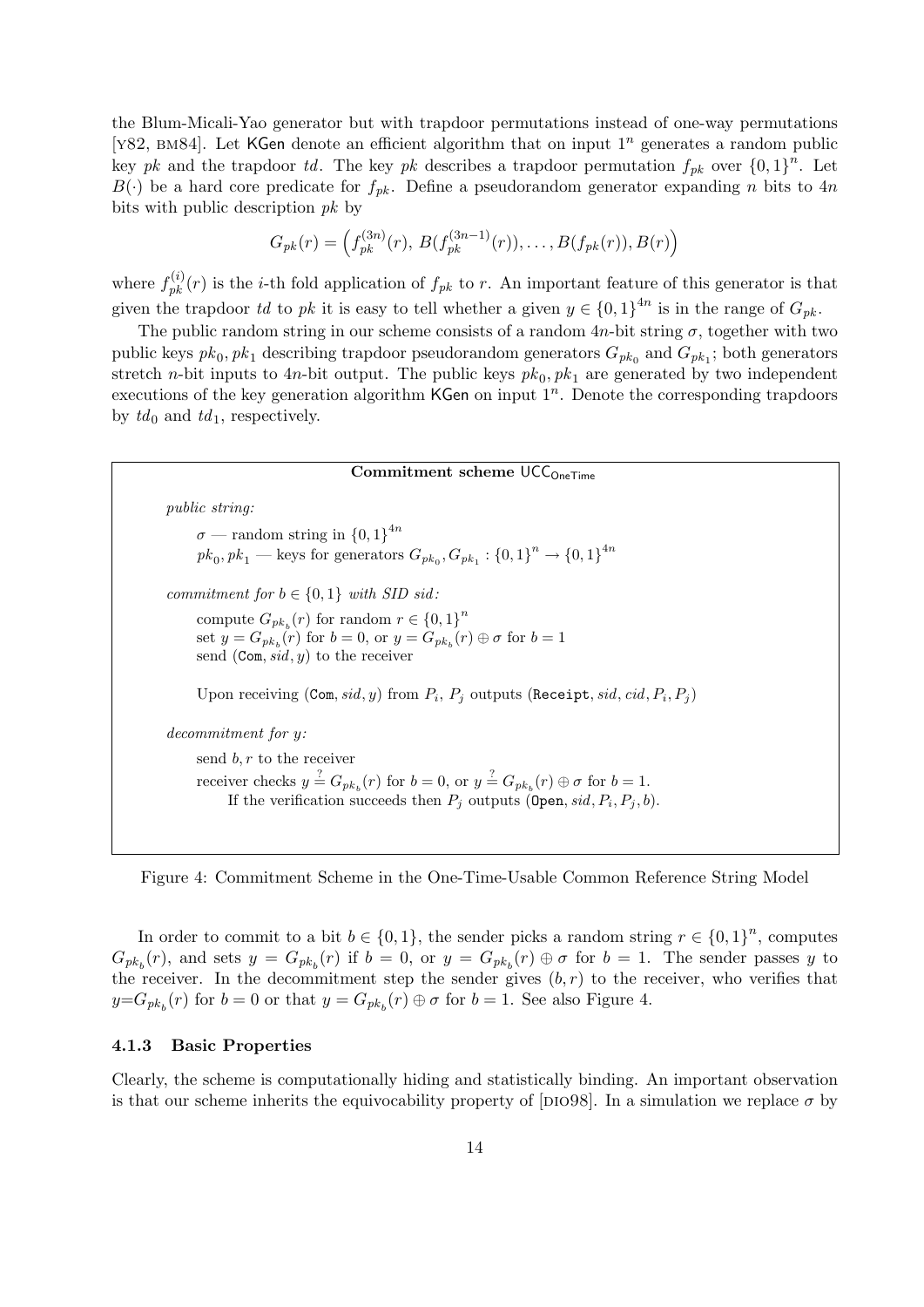the Blum-Micali-Yao generator but with trapdoor permutations instead of one-way permutations [Y82, BM84]. Let KGen denote an efficient algorithm that on input  $1<sup>n</sup>$  generates a random public key pk and the trapdoor td. The key pk describes a trapdoor permutation  $f_{pk}$  over  ${0,1}^n$ . Let  $B(\cdot)$  be a hard core predicate for  $f_{pk}$ . Define a pseudorandom generator expanding n bits to 4n bits with public description pk by

$$
G_{pk}(r) = \left(f_{pk}^{(3n)}(r), B(f_{pk}^{(3n-1)}(r)), \ldots, B(f_{pk}(r)), B(r)\right)
$$

where  $f_{pk}^{(i)}(r)$  is the *i*-th fold application of  $f_{pk}$  to r. An important feature of this generator is that given the trapdoor td to pk it is easy to tell whether a given  $y \in \{0,1\}^{4n}$  is in the range of  $G_{pk}$ .

The public random string in our scheme consists of a random  $4n$ -bit string  $\sigma$ , together with two public keys  $pk_0, pk_1$  describing trapdoor pseudorandom generators  $G_{pk_0}$  and  $G_{pk_1}$ ; both generators stretch *n*-bit inputs to 4*n*-bit output. The public keys  $pk_0, pk_1$  are generated by two independent executions of the key generation algorithm  $\mathsf{KGen}$  on input  $1^n$ . Denote the corresponding trapdoors by  $td_0$  and  $td_1$ , respectively.

| Commitment scheme $\mathsf{UCC}_{\mathsf{OneTime}}$ |                                                                                                                                                                                                                    |  |  |
|-----------------------------------------------------|--------------------------------------------------------------------------------------------------------------------------------------------------------------------------------------------------------------------|--|--|
| <i>public string:</i>                               |                                                                                                                                                                                                                    |  |  |
|                                                     | $\sigma$ — random string in $\{0,1\}^{4n}$<br>$pk_0, pk_1$ — keys for generators $G_{pk_0}, G_{pk_1}: \{0,1\}^n \to \{0,1\}^{4n}$                                                                                  |  |  |
|                                                     | commitment for $b \in \{0, 1\}$ with SID sid:<br>compute $G_{pk_k}(r)$ for random $r \in \{0,1\}^n$<br>set $y = G_{pk_k}(r)$ for $b = 0$ , or $y = G_{pk_k}(r) \oplus \sigma$ for $b = 1$                          |  |  |
|                                                     | send $(Com, sid, y)$ to the receiver<br>Upon receiving $(\text{Com}, sid, y)$ from $P_i$ , $P_j$ outputs (Receipt, sid, cid, $P_i, P_j$ )                                                                          |  |  |
|                                                     | <i>decommitment for y:</i>                                                                                                                                                                                         |  |  |
|                                                     | send $b, r$ to the receiver<br>receiver checks $y = G_{pk_1}(r)$ for $b = 0$ , or $y = G_{pk_1}(r) \oplus \sigma$ for $b = 1$ .<br>If the verification succeeds then $P_i$ outputs (Open, sid, $P_i$ , $P_j$ , b). |  |  |

Figure 4: Commitment Scheme in the One-Time-Usable Common Reference String Model

In order to commit to a bit  $b \in \{0,1\}$ , the sender picks a random string  $r \in \{0,1\}^n$ , computes  $G_{pk_b}(r)$ , and sets  $y = G_{pk_b}(r)$  if  $b = 0$ , or  $y = G_{pk_b}(r) \oplus \sigma$  for  $b = 1$ . The sender passes y to the receiver. In the decommitment step the sender gives  $(b, r)$  to the receiver, who verifies that  $y = G_{pk_b}(r)$  for  $b = 0$  or that  $y = G_{pk_b}(r) \oplus \sigma$  for  $b = 1$ . See also Figure 4.

## 4.1.3 Basic Properties

Clearly, the scheme is computationally hiding and statistically binding. An important observation is that our scheme inherits the equivocability property of [DIO98]. In a simulation we replace  $\sigma$  by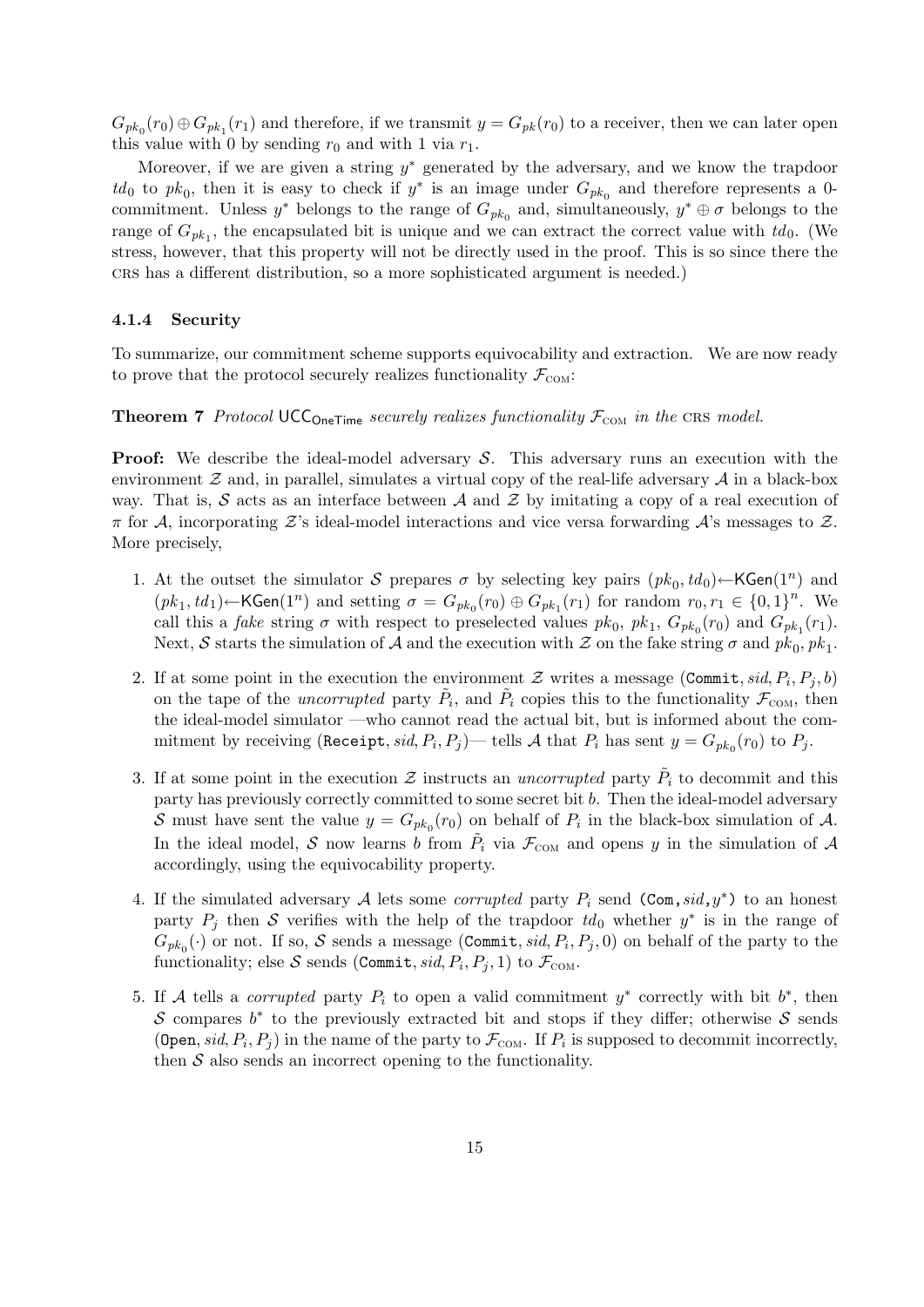$G_{pk_0}(r_0) \oplus G_{pk_1}(r_1)$  and therefore, if we transmit  $y = G_{pk}(r_0)$  to a receiver, then we can later open this value with 0 by sending  $r_0$  and with 1 via  $r_1$ .

Moreover, if we are given a string  $y^*$  generated by the adversary, and we know the trapdoor  $td_0$  to  $pk_0$ , then it is easy to check if  $y^*$  is an image under  $G_{pk_0}$  and therefore represents a 0commitment. Unless  $y^*$  belongs to the range of  $G_{pk_0}$  and, simultaneously,  $y^* \oplus \sigma$  belongs to the range of  $G_{pk_1}$ , the encapsulated bit is unique and we can extract the correct value with  $td_0$ . (We stress, however, that this property will not be directly used in the proof. This is so since there the crs has a different distribution, so a more sophisticated argument is needed.)

## 4.1.4 Security

To summarize, our commitment scheme supports equivocability and extraction. We are now ready to prove that the protocol securely realizes functionality  $\mathcal{F}_{COM}$ :

**Theorem 7** Protocol UCC<sub>OneTime</sub> securely realizes functionality  $\mathcal{F}_{COM}$  in the CRS model.

**Proof:** We describe the ideal-model adversary  $S$ . This adversary runs an execution with the environment  $\mathcal Z$  and, in parallel, simulates a virtual copy of the real-life adversary  $\mathcal A$  in a black-box way. That is,  $S$  acts as an interface between  $A$  and  $Z$  by imitating a copy of a real execution of  $\pi$  for A, incorporating Z's ideal-model interactions and vice versa forwarding A's messages to Z. More precisely,

- 1. At the outset the simulator S prepares  $\sigma$  by selecting key pairs  $(pk_0, td_0) \leftarrow \mathsf{KGen}(1^n)$  and  $(pk_1, td_1) \leftarrow \mathsf{KGen}(1^n)$  and setting  $\sigma = G_{pk_0}(r_0) \oplus G_{pk_1}(r_1)$  for random  $r_0, r_1 \in \{0, 1\}^n$ . We call this a *fake* string  $\sigma$  with respect to preselected values  $pk_0$ ,  $pk_1$ ,  $G_{pk_0}(r_0)$  and  $G_{pk_1}(r_1)$ . Next, S starts the simulation of A and the execution with Z on the fake string  $\sigma$  and  $p k_0, p k_1$ .
- 2. If at some point in the execution the environment  $\mathcal Z$  writes a message (Commit, sid,  $P_i$ ,  $P_j$ , b) on the tape of the *uncorrupted* party  $\tilde{P}_i$ , and  $\tilde{P}_i$  copies this to the functionality  $\mathcal{F}_{COM}$ , then the ideal-model simulator —who cannot read the actual bit, but is informed about the commitment by receiving (Receipt, sid,  $P_i$ ,  $P_j$ ) — tells A that  $P_i$  has sent  $y = G_{pk_0}(r_0)$  to  $P_j$ .
- 3. If at some point in the execution  $\mathcal Z$  instructs an uncorrupted party  $\tilde P_i$  to decommit and this party has previously correctly committed to some secret bit b. Then the ideal-model adversary S must have sent the value  $y = G_{pk_0}(r_0)$  on behalf of  $P_i$  in the black-box simulation of A. In the ideal model, S now learns b from  $\tilde{P}_i$  via  $\mathcal{F}_{COM}$  and opens y in the simulation of A accordingly, using the equivocability property.
- 4. If the simulated adversary A lets some *corrupted* party  $P_i$  send (Com, sid,  $y^*$ ) to an honest party  $P_j$  then S verifies with the help of the trapdoor  $td_0$  whether  $y^*$  is in the range of  $G_{pk_0}(\cdot)$  or not. If so, S sends a message (Commit, sid,  $P_i$ ,  $P_j$ , 0) on behalf of the party to the functionality; else S sends (Commit, sid,  $P_i$ ,  $P_j$ , 1) to  $\mathcal{F}_{COM}$ .
- 5. If A tells a *corrupted* party  $P_i$  to open a valid commitment  $y^*$  correctly with bit  $b^*$ , then S compares  $b^*$  to the previously extracted bit and stops if they differ; otherwise S sends (Open, sid,  $P_i$ ,  $P_j$ ) in the name of the party to  $\mathcal{F}_{COM}$ . If  $P_i$  is supposed to decommit incorrectly, then  $S$  also sends an incorrect opening to the functionality.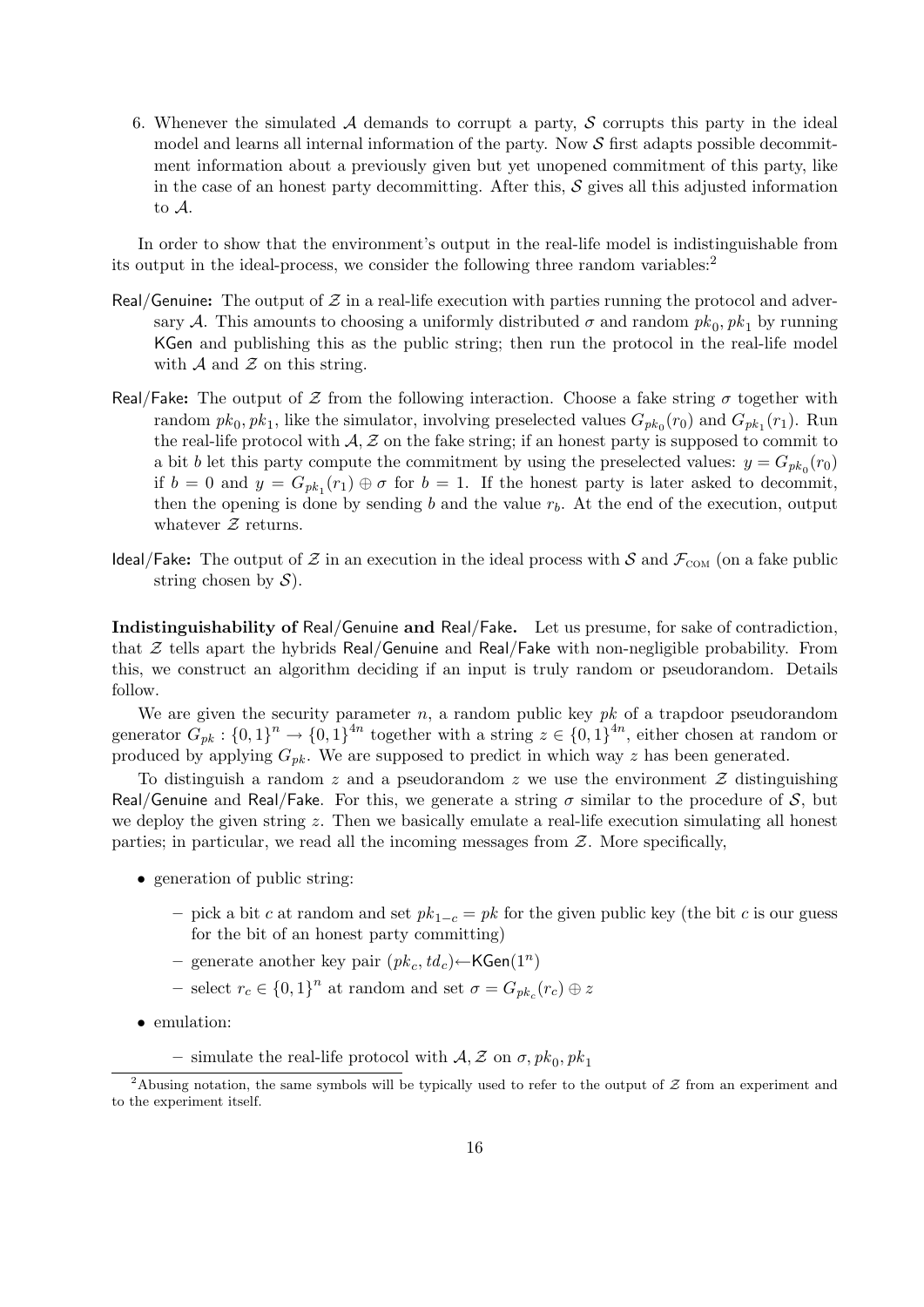6. Whenever the simulated  $A$  demands to corrupt a party,  $S$  corrupts this party in the ideal model and learns all internal information of the party. Now  $S$  first adapts possible decommitment information about a previously given but yet unopened commitment of this party, like in the case of an honest party decommitting. After this,  $S$  gives all this adjusted information to A.

In order to show that the environment's output in the real-life model is indistinguishable from its output in the ideal-process, we consider the following three random variables: $2$ 

- Real/Genuine: The output of  $\mathcal Z$  in a real-life execution with parties running the protocol and adversary A. This amounts to choosing a uniformly distributed  $\sigma$  and random  $pk_0, pk_1$  by running KGen and publishing this as the public string; then run the protocol in the real-life model with  $A$  and  $Z$  on this string.
- Real/Fake: The output of  $Z$  from the following interaction. Choose a fake string  $\sigma$  together with random  $pk_0, pk_1$ , like the simulator, involving preselected values  $G_{pk_0}(r_0)$  and  $G_{pk_1}(r_1)$ . Run the real-life protocol with  $A, Z$  on the fake string; if an honest party is supposed to commit to a bit b let this party compute the commitment by using the preselected values:  $y = G_{pk_0}(r_0)$ if  $b = 0$  and  $y = G_{pk_1}(r_1) \oplus \sigma$  for  $b = 1$ . If the honest party is later asked to decommit, then the opening is done by sending b and the value  $r<sub>b</sub>$ . At the end of the execution, output whatever  $Z$  returns.
- **Ideal/Fake:** The output of Z in an execution in the ideal process with S and  $\mathcal{F}_{COM}$  (on a fake public string chosen by  $S$ ).

Indistinguishability of Real/Genuine and Real/Fake. Let us presume, for sake of contradiction, that  $\mathcal Z$  tells apart the hybrids Real/Genuine and Real/Fake with non-negligible probability. From this, we construct an algorithm deciding if an input is truly random or pseudorandom. Details follow.

We are given the security parameter  $n$ , a random public key  $pk$  of a trapdoor pseudorandom generator  $G_{pk}: \{0,1\}^n \to \{0,1\}^{4n}$  together with a string  $z \in \{0,1\}^{4n}$ , either chosen at random or produced by applying  $G_{pk}$ . We are supposed to predict in which way z has been generated.

To distinguish a random z and a pseudorandom z we use the environment  $Z$  distinguishing Real/Genuine and Real/Fake. For this, we generate a string  $\sigma$  similar to the procedure of S, but we deploy the given string  $z$ . Then we basically emulate a real-life execution simulating all honest parties; in particular, we read all the incoming messages from  $Z$ . More specifically,

- generation of public string:
	- pick a bit c at random and set  $pk_{1-c} = pk$  for the given public key (the bit c is our guess for the bit of an honest party committing)
	- generate another key pair  $(pk_c, td_c)$ ←KGen $(1^n)$
	- select  $r_c \in \{0,1\}^n$  at random and set  $\sigma = G_{pk_c}(r_c) \oplus z$
- emulation:
	- simulate the real-life protocol with  $A, Z$  on  $\sigma, pk_0, pk_1$

<sup>&</sup>lt;sup>2</sup>Abusing notation, the same symbols will be typically used to refer to the output of  $\mathcal Z$  from an experiment and to the experiment itself.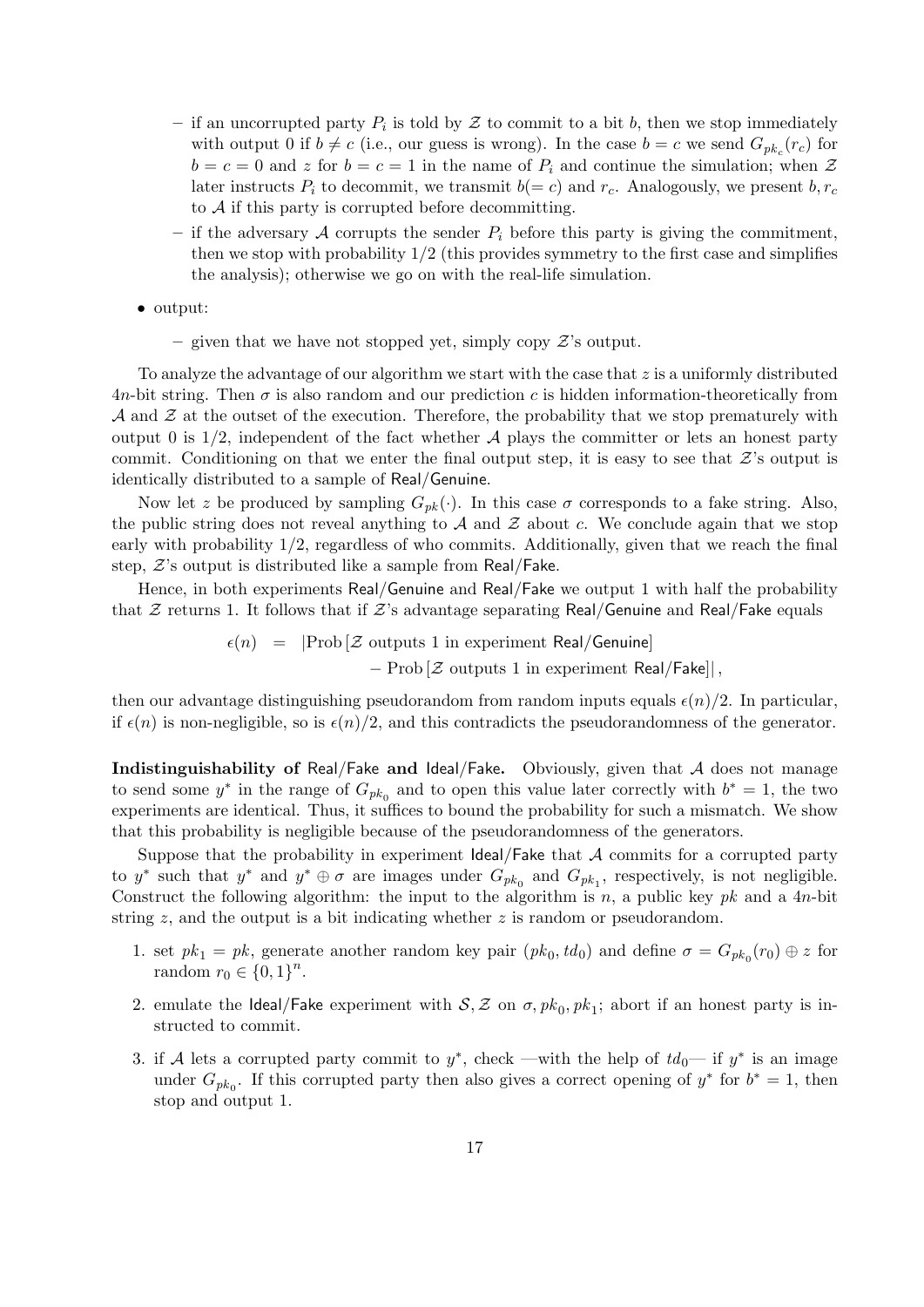- if an uncorrupted party  $P_i$  is told by  $\mathcal Z$  to commit to a bit b, then we stop immediately with output 0 if  $b \neq c$  (i.e., our guess is wrong). In the case  $b = c$  we send  $G_{pk_c}(r_c)$  for  $b = c = 0$  and z for  $b = c = 1$  in the name of  $P_i$  and continue the simulation; when Z later instructs  $P_i$  to decommit, we transmit  $b(= c)$  and  $r_c$ . Analogously, we present  $b, r_c$ to  $A$  if this party is corrupted before decommitting.
- if the adversary A corrupts the sender  $P_i$  before this party is giving the commitment, then we stop with probability  $1/2$  (this provides symmetry to the first case and simplifies the analysis); otherwise we go on with the real-life simulation.
- output:
	- given that we have not stopped yet, simply copy  $\mathcal{Z}$ 's output.

To analyze the advantage of our algorithm we start with the case that  $z$  is a uniformly distributed 4*n*-bit string. Then  $\sigma$  is also random and our prediction c is hidden information-theoretically from A and Z at the outset of the execution. Therefore, the probability that we stop prematurely with output 0 is  $1/2$ , independent of the fact whether A plays the committer or lets an honest party commit. Conditioning on that we enter the final output step, it is easy to see that  $\mathcal{Z}'s$  output is identically distributed to a sample of Real/Genuine.

Now let z be produced by sampling  $G_{nk}(\cdot)$ . In this case  $\sigma$  corresponds to a fake string. Also, the public string does not reveal anything to  $A$  and  $Z$  about c. We conclude again that we stop early with probability  $1/2$ , regardless of who commits. Additionally, given that we reach the final step,  $\mathcal{Z}$ 's output is distributed like a sample from Real/Fake.

Hence, in both experiments Real/Genuine and Real/Fake we output 1 with half the probability that  $Z$  returns 1. It follows that if  $Z$ 's advantage separating Real/Genuine and Real/Fake equals

> $\epsilon(n)$  = |Prob [Z outputs 1 in experiment Real/Genuine] − Prob [Z outputs 1 in experiment Real/Fake]| ,

then our advantage distinguishing pseudorandom from random inputs equals  $\epsilon(n)/2$ . In particular, if  $\epsilon(n)$  is non-negligible, so is  $\epsilon(n)/2$ , and this contradicts the pseudorandomness of the generator.

Indistinguishability of Real/Fake and Ideal/Fake. Obviously, given that  $A$  does not manage to send some y<sup>\*</sup> in the range of  $G_{pk_0}$  and to open this value later correctly with  $b^* = 1$ , the two experiments are identical. Thus, it suffices to bound the probability for such a mismatch. We show that this probability is negligible because of the pseudorandomness of the generators.

Suppose that the probability in experiment  $\frac{1}{4}$  deal/Fake that A commits for a corrupted party to y<sup>\*</sup> such that y<sup>\*</sup> and y<sup>\*</sup>  $\oplus \sigma$  are images under  $G_{pk_0}$  and  $G_{pk_1}$ , respectively, is not negligible. Construct the following algorithm: the input to the algorithm is  $n$ , a public key  $pk$  and a  $4n$ -bit string z, and the output is a bit indicating whether z is random or pseudorandom.

- 1. set  $pk_1 = pk$ , generate another random key pair  $(pk_0, td_0)$  and define  $\sigma = G_{pk_0}(r_0) \oplus z$  for random  $r_0 \in \{0, 1\}^n$ .
- 2. emulate the Ideal/Fake experiment with  $S$ , Z on  $\sigma$ ,  $pk_0$ ,  $pk_1$ ; abort if an honest party is instructed to commit.
- 3. if A lets a corrupted party commit to  $y^*$ , check —with the help of  $td_0$  if  $y^*$  is an image under  $G_{pk_0}$ . If this corrupted party then also gives a correct opening of  $y^*$  for  $b^* = 1$ , then stop and output 1.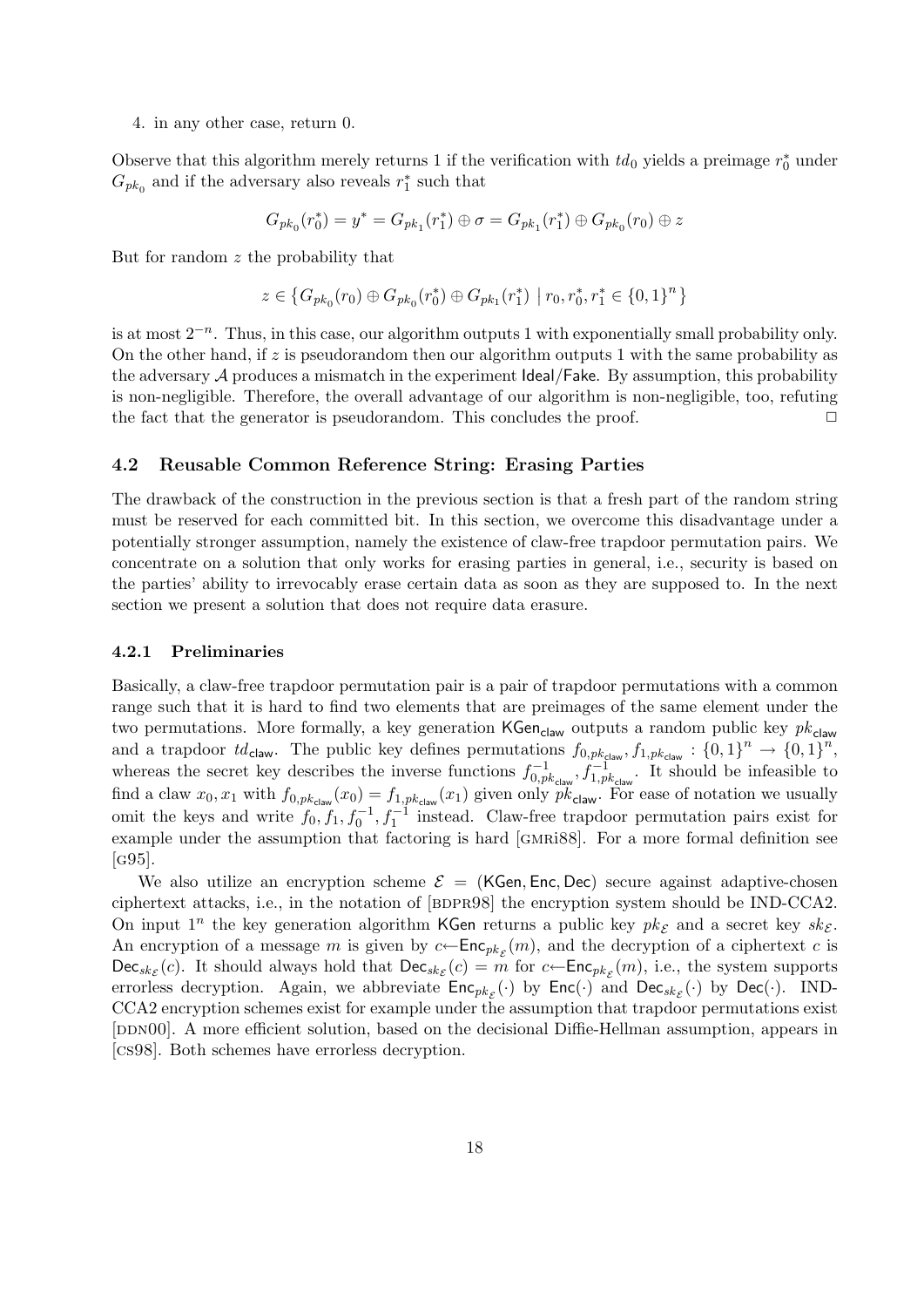4. in any other case, return 0.

Observe that this algorithm merely returns 1 if the verification with  $td_0$  yields a preimage  $r_0^*$  under  $G_{pk_0}$  and if the adversary also reveals  $r_1^*$  $j<sub>1</sub>$  such that

$$
G_{pk_0}(r_0^*) = y^* = G_{pk_1}(r_1^*) \oplus \sigma = G_{pk_1}(r_1^*) \oplus G_{pk_0}(r_0) \oplus z
$$

But for random z the probability that

$$
z \in \{G_{pk_0}(r_0) \oplus G_{pk_0}(r_0^*) \oplus G_{pk_1}(r_1^*) \mid r_0, r_0^*, r_1^* \in \{0, 1\}^n\}
$$

is at most  $2^{-n}$ . Thus, in this case, our algorithm outputs 1 with exponentially small probability only. On the other hand, if  $z$  is pseudorandom then our algorithm outputs 1 with the same probability as the adversary A produces a mismatch in the experiment Ideal/Fake. By assumption, this probability is non-negligible. Therefore, the overall advantage of our algorithm is non-negligible, too, refuting the fact that the generator is pseudorandom. This concludes the proof.  $\Box$ 

## 4.2 Reusable Common Reference String: Erasing Parties

The drawback of the construction in the previous section is that a fresh part of the random string must be reserved for each committed bit. In this section, we overcome this disadvantage under a potentially stronger assumption, namely the existence of claw-free trapdoor permutation pairs. We concentrate on a solution that only works for erasing parties in general, i.e., security is based on the parties' ability to irrevocably erase certain data as soon as they are supposed to. In the next section we present a solution that does not require data erasure.

## 4.2.1 Preliminaries

Basically, a claw-free trapdoor permutation pair is a pair of trapdoor permutations with a common range such that it is hard to find two elements that are preimages of the same element under the two permutations. More formally, a key generation  $\mathsf{KGen}_{\text{claw}}$  outputs a random public key  $pk_{\text{claw}}$ and a trapdoor  $td_{\text{claw}}$ . The public key defines permutations  $f_{0,pk_{\text{claw}}}$ ,  $f_{1,pk_{\text{claw}}}$  :  $\{0,1\}^n \to \{0,1\}^n$ , whereas the secret key describes the inverse functions  $f_{0,n}^{-1}$  $\int_{0,pk_{\text{claw}}}^{-1} f_{1,pk_{\text{claw}}}^{-1}$ . It should be infeasible to find a claw  $x_0, x_1$  with  $f_{0,pk_{\text{claw}}}(x_0) = f_{1,pk_{\text{claw}}}(x_1)$  given only  $pk_{\text{claw}}$ . For ease of notation we usually omit the keys and write  $f_0, f_1, f_0^{-1}, f_1^{-1}$  instead. Claw-free trapdoor permutation pairs exist for example under the assumption that factoring is hard [GMRI88]. For a more formal definition see [g95].

We also utilize an encryption scheme  $\mathcal{E} = (KGen, Enc, Dec)$  secure against adaptive-chosen ciphertext attacks, i.e., in the notation of [BDPR98] the encryption system should be IND-CCA2. On input  $1^n$  the key generation algorithm KGen returns a public key  $pk_{\mathcal{E}}$  and a secret key  $sk_{\mathcal{E}}$ . An encryption of a message m is given by  $c \leftarrow \text{Enc}_{pk_{\mathcal{E}}}(m)$ , and the decryption of a ciphertext c is Dec<sub>sk $\varepsilon$ </sub>(c). It should always hold that  $\mathsf{Dec}_{sk_{\varepsilon}}(c) = m$  for  $c \in \mathsf{Enc}_{pk_{\varepsilon}}(m)$ , i.e., the system supports errorless decryption. Again, we abbreviate  $\mathsf{Enc}_{pk_{\mathcal{E}}}(\cdot)$  by  $\mathsf{Enc}(\cdot)$  and  $\mathsf{Dec}_{sk_{\mathcal{E}}}(\cdot)$  by  $\mathsf{Dec}(\cdot)$ . IND-CCA2 encryption schemes exist for example under the assumption that trapdoor permutations exist [DDN00]. A more efficient solution, based on the decisional Diffie-Hellman assumption, appears in [cs98]. Both schemes have errorless decryption.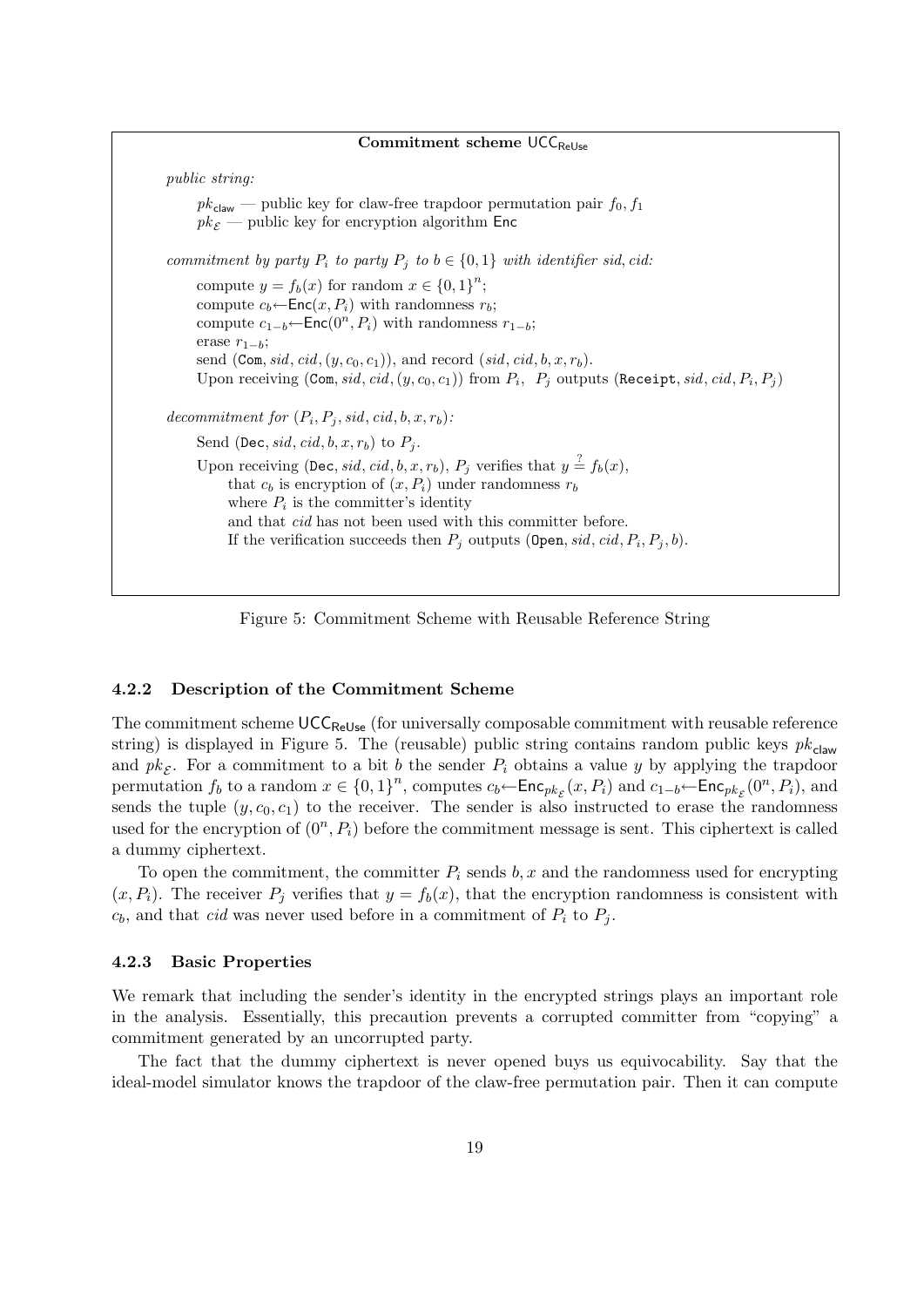Commitment scheme  $\mathsf{UCC}_\mathsf{RelUse}$ public string:  $pk_{\text{claw}}$  — public key for claw-free trapdoor permutation pair  $f_0, f_1$  $pk_{\mathcal{E}}$  — public key for encryption algorithm Enc commitment by party  $P_i$  to party  $P_j$  to  $b \in \{0,1\}$  with identifier sid, cid: compute  $y = f_b(x)$  for random  $x \in \{0, 1\}^n$ ; compute  $c_b \leftarrow \mathsf{Enc}(x, P_i)$  with randomness  $r_b$ ; compute  $c_{1-b}$ ←Enc $(0^n, P_i)$  with randomness  $r_{1-b}$ ; erase  $r_{1-b}$ ; send  $(Com, sid, cid, (y, c_0, c_1))$ , and record  $(sid, cid, b, x, r_b)$ . Upon receiving  $(\text{Com}, sid, cid, (y, c_0, c_1))$  from  $P_i$ ,  $P_j$  outputs (Receipt, sid, cid,  $P_i, P_j$ ) decommitment for  $(P_i, P_j, sid, cid, b, x, r_b)$ : Send (Dec, sid, cid, b, x,  $r_b$ ) to  $P_i$ . Upon receiving (Dec, sid, cid, b, x, r<sub>b</sub>),  $P_j$  verifies that  $y = f_b(x)$ , that  $c_b$  is encryption of  $(x, P_i)$  under randomness  $r_b$ where  $P_i$  is the committer's identity and that cid has not been used with this committer before. If the verification succeeds then  $P_j$  outputs (Open, sid, cid,  $P_i$ ,  $P_j$ , b).

Figure 5: Commitment Scheme with Reusable Reference String

## 4.2.2 Description of the Commitment Scheme

The commitment scheme  $\text{UCC}_{\text{RelUse}}$  (for universally composable commitment with reusable reference string) is displayed in Figure 5. The (reusable) public string contains random public keys  $pk_{\text{claw}}$ and  $pk_{\mathcal{E}}$ . For a commitment to a bit b the sender  $P_i$  obtains a value y by applying the trapdoor permutation  $f_b$  to a random  $x \in \{0,1\}^n$ , computes  $c_b \leftarrow \text{Enc}_{pk_{\mathcal{E}}}(x, P_i)$  and  $c_{1-b} \leftarrow \text{Enc}_{pk_{\mathcal{E}}}(0^n, P_i)$ , and sends the tuple  $(y, c_0, c_1)$  to the receiver. The sender is also instructed to erase the randomness used for the encryption of  $(0^n, P_i)$  before the commitment message is sent. This ciphertext is called a dummy ciphertext.

To open the commitment, the committer  $P_i$  sends  $b, x$  and the randomness used for encrypting  $(x, P_i)$ . The receiver  $P_i$  verifies that  $y = f_b(x)$ , that the encryption randomness is consistent with  $c_b$ , and that *cid* was never used before in a commitment of  $P_i$  to  $P_j$ .

#### 4.2.3 Basic Properties

We remark that including the sender's identity in the encrypted strings plays an important role in the analysis. Essentially, this precaution prevents a corrupted committer from "copying" a commitment generated by an uncorrupted party.

The fact that the dummy ciphertext is never opened buys us equivocability. Say that the ideal-model simulator knows the trapdoor of the claw-free permutation pair. Then it can compute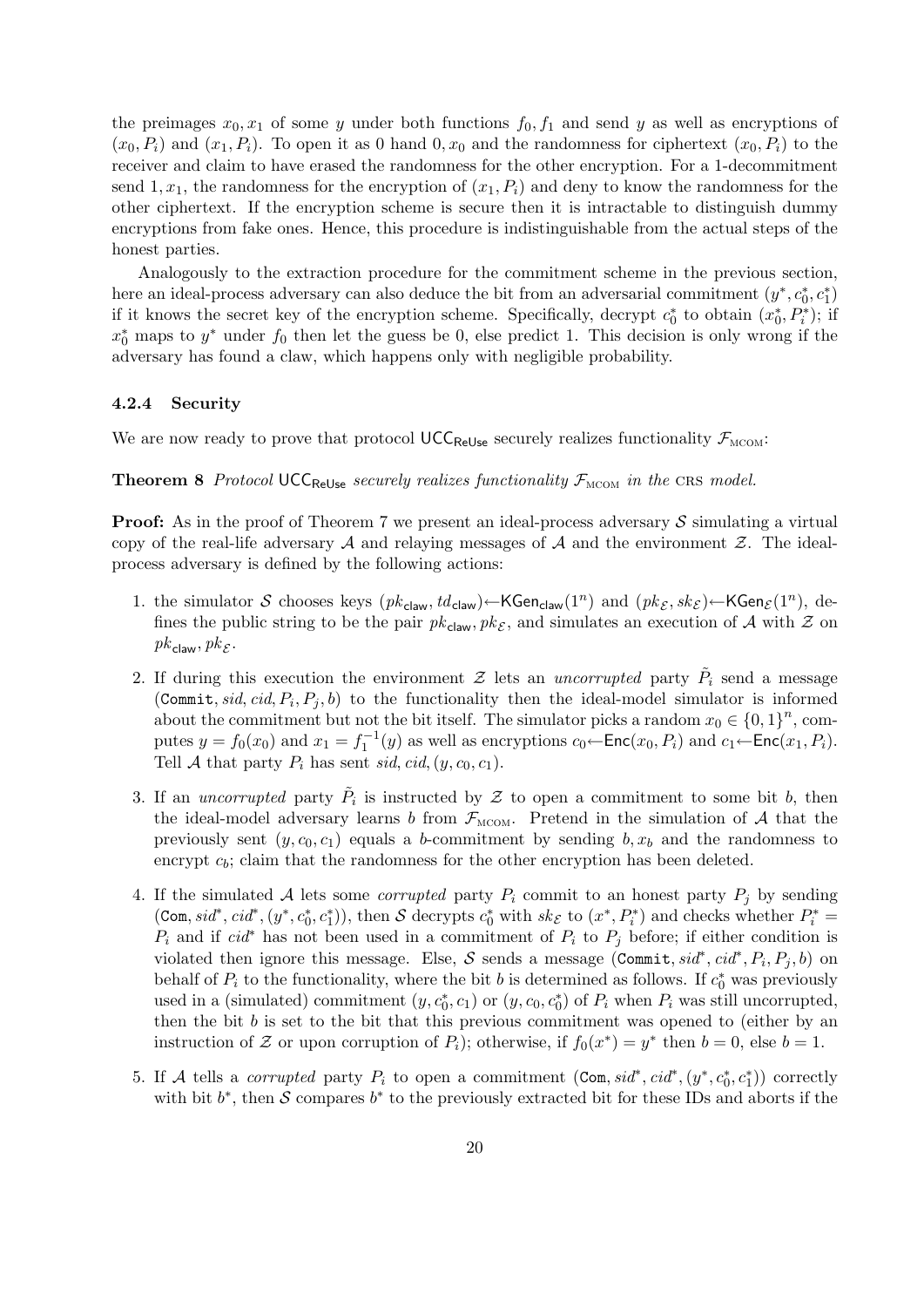the preimages  $x_0, x_1$  of some y under both functions  $f_0, f_1$  and send y as well as encryptions of  $(x_0, P_i)$  and  $(x_1, P_i)$ . To open it as 0 hand 0,  $x_0$  and the randomness for ciphertext  $(x_0, P_i)$  to the receiver and claim to have erased the randomness for the other encryption. For a 1-decommitment send 1,  $x_1$ , the randomness for the encryption of  $(x_1, P_i)$  and deny to know the randomness for the other ciphertext. If the encryption scheme is secure then it is intractable to distinguish dummy encryptions from fake ones. Hence, this procedure is indistinguishable from the actual steps of the honest parties.

Analogously to the extraction procedure for the commitment scheme in the previous section, here an ideal-process adversary can also deduce the bit from an adversarial commitment  $(y^*, c_0^*, c_1^*)$ if it knows the secret key of the encryption scheme. Specifically, decrypt  $c_0^*$ <sup>\*</sup><sub>0</sub></sub> to obtain  $(x_0^*)$  $P_i^*$ ; if  $x_0^*$  maps to  $y^*$  under  $f_0$  then let the guess be 0, else predict 1. This decision is only wrong if the adversary has found a claw, which happens only with negligible probability.

## 4.2.4 Security

We are now ready to prove that protocol  $\mathsf{UCC}_{\mathsf{RelUse}}$  securely realizes functionality  $\mathcal{F}_{\text{MCOM}}$ :

**Theorem 8** Protocol UCC<sub>ReUse</sub> securely realizes functionality  $\mathcal{F}_{\text{MCOM}}$  in the CRS model.

**Proof:** As in the proof of Theorem 7 we present an ideal-process adversary  $S$  simulating a virtual copy of the real-life adversary  $\mathcal A$  and relaying messages of  $\mathcal A$  and the environment  $\mathcal Z$ . The idealprocess adversary is defined by the following actions:

- 1. the simulator S chooses keys  $(pk_{\text{claw}}, td_{\text{claw}}) \leftarrow \text{KGen}_{\text{claw}}(1^n)$  and  $(pk_{\mathcal{E}}, sk_{\mathcal{E}}) \leftarrow \text{KGen}_{\mathcal{E}}(1^n)$ , defines the public string to be the pair  $pk_{\text{claw}}$ ,  $pk_{\mathcal{E}}$ , and simulates an execution of A with Z on  $pk_{\textsf{claw}}, pk_{\mathcal{E}}$ .
- 2. If during this execution the environment  $\mathcal Z$  lets an uncorrupted party  $\tilde P_i$  send a message (Commit, sid, cid,  $P_i$ ,  $P_j$ , b) to the functionality then the ideal-model simulator is informed about the commitment but not the bit itself. The simulator picks a random  $x_0 \in \{0,1\}^n$ , computes  $y = f_0(x_0)$  and  $x_1 = f_1^{-1}(y)$  as well as encryptions  $c_0 \leftarrow \text{Enc}(x_0, P_i)$  and  $c_1 \leftarrow \text{Enc}(x_1, P_i)$ . Tell A that party  $P_i$  has sent sid, cid,  $(y, c_0, c_1)$ .
- 3. If an *uncorrupted* party  $\tilde{P}_i$  is instructed by  $\mathcal Z$  to open a commitment to some bit b, then the ideal-model adversary learns b from  $\mathcal{F}_{\text{MCOM}}$ . Pretend in the simulation of A that the previously sent  $(y, c_0, c_1)$  equals a b-commitment by sending  $b, x_b$  and the randomness to encrypt  $c_b$ ; claim that the randomness for the other encryption has been deleted.
- 4. If the simulated A lets some *corrupted* party  $P_i$  commit to an honest party  $P_j$  by sending  $(\text{Com}, sid^*, cid^*, (y^*, c_0^*, c_1^*)),$  then S decrypts  $c_0^*$  with  $sk_{\mathcal{E}}$  to  $(x^*, P_i^*)$  and checks whether  $P_i^*$  $P_i$  and if cid<sup>\*</sup> has not been used in a commitment of  $P_i$  to  $P_j$  before; if either condition is violated then ignore this message. Else, S sends a message (Commit, sid<sup>\*</sup>, cid<sup>\*</sup>,  $P_i$ ,  $P_j$ , b) on behalf of  $P_i$  to the functionality, where the bit b is determined as follows. If  $c_0^*$  was previously used in a (simulated) commitment  $(y, c_0^*, c_1)$  or  $(y, c_0, c_0^*)$  of  $P_i$  when  $P_i$  was still uncorrupted, then the bit  $b$  is set to the bit that this previous commitment was opened to (either by an instruction of Z or upon corruption of  $P_i$ ); otherwise, if  $f_0(x^*) = y^*$  then  $b = 0$ , else  $b = 1$ .
- 5. If A tells a *corrupted* party  $P_i$  to open a commitment  $(Com, sid^*, cid^*, (y^*, c_0^*, c_1^*))$  correctly with bit  $b^*$ , then S compares  $b^*$  to the previously extracted bit for these IDs and aborts if the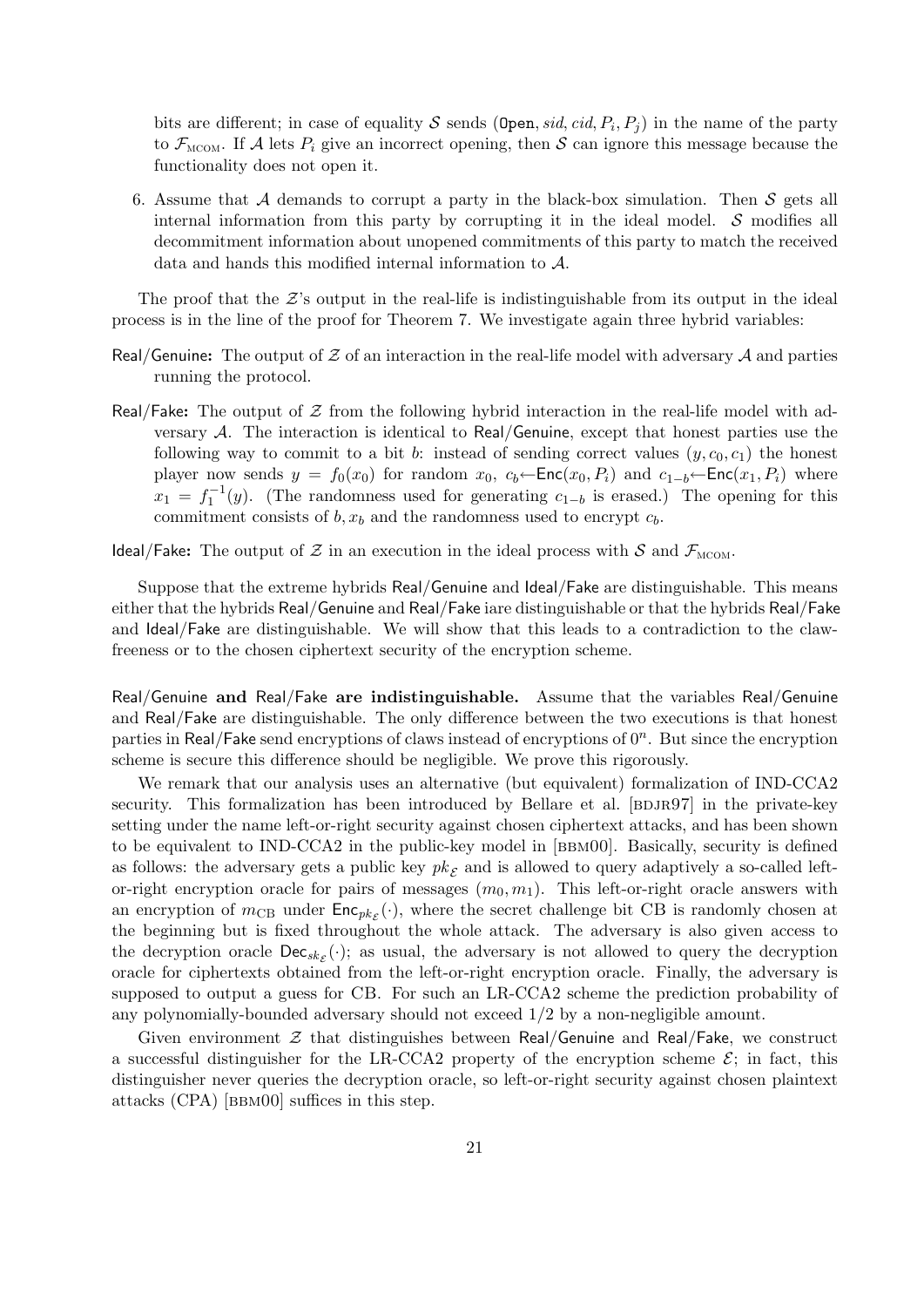bits are different; in case of equality S sends (Open, sid, cid,  $P_i$ ,  $P_j$ ) in the name of the party to  $\mathcal{F}_{\text{MCOM}}$ . If A lets  $P_i$  give an incorrect opening, then S can ignore this message because the functionality does not open it.

6. Assume that A demands to corrupt a party in the black-box simulation. Then S gets all internal information from this party by corrupting it in the ideal model.  $\mathcal S$  modifies all decommitment information about unopened commitments of this party to match the received data and hands this modified internal information to A.

The proof that the  $\mathcal{Z}$ 's output in the real-life is indistinguishable from its output in the ideal process is in the line of the proof for Theorem 7. We investigate again three hybrid variables:

- Real/Genuine: The output of  $\mathcal Z$  of an interaction in the real-life model with adversary  $\mathcal A$  and parties running the protocol.
- Real/Fake: The output of  $Z$  from the following hybrid interaction in the real-life model with adversary A. The interaction is identical to Real/Genuine, except that honest parties use the following way to commit to a bit b: instead of sending correct values  $(y, c_0, c_1)$  the honest player now sends  $y = f_0(x_0)$  for random  $x_0$ ,  $c_b \leftarrow \text{Enc}(x_0, P_i)$  and  $c_{1-b} \leftarrow \text{Enc}(x_1, P_i)$  where  $x_1 = f_1^{-1}(y)$ . (The randomness used for generating  $c_{1-b}$  is erased.) The opening for this commitment consists of  $b, x_b$  and the randomness used to encrypt  $c_b$ .

Ideal/Fake: The output of  $\mathcal Z$  in an execution in the ideal process with  $\mathcal S$  and  $\mathcal F_{\text{MCOM}}$ .

Suppose that the extreme hybrids Real/Genuine and Ideal/Fake are distinguishable. This means either that the hybrids Real/Genuine and Real/Fake iare distinguishable or that the hybrids Real/Fake and Ideal/Fake are distinguishable. We will show that this leads to a contradiction to the clawfreeness or to the chosen ciphertext security of the encryption scheme.

Real/Genuine and Real/Fake are indistinguishable. Assume that the variables Real/Genuine and Real/Fake are distinguishable. The only difference between the two executions is that honest parties in Real/Fake send encryptions of claws instead of encryptions of  $0<sup>n</sup>$ . But since the encryption scheme is secure this difference should be negligible. We prove this rigorously.

We remark that our analysis uses an alternative (but equivalent) formalization of IND-CCA2 security. This formalization has been introduced by Bellare et al. [BDJR97] in the private-key setting under the name left-or-right security against chosen ciphertext attacks, and has been shown to be equivalent to IND-CCA2 in the public-key model in [BBM00]. Basically, security is defined as follows: the adversary gets a public key  $pk_{\mathcal{E}}$  and is allowed to query adaptively a so-called leftor-right encryption oracle for pairs of messages  $(m_0, m_1)$ . This left-or-right oracle answers with an encryption of  $m_{\text{CB}}$  under  $\text{Enc}_{pk_{\mathcal{E}}}(.)$ , where the secret challenge bit CB is randomly chosen at the beginning but is fixed throughout the whole attack. The adversary is also given access to the decryption oracle  $\text{Dec}_{sk_{\mathcal{E}}}(\cdot)$ ; as usual, the adversary is not allowed to query the decryption oracle for ciphertexts obtained from the left-or-right encryption oracle. Finally, the adversary is supposed to output a guess for CB. For such an LR-CCA2 scheme the prediction probability of any polynomially-bounded adversary should not exceed 1/2 by a non-negligible amount.

Given environment  $\mathcal Z$  that distinguishes between Real/Genuine and Real/Fake, we construct a successful distinguisher for the LR-CCA2 property of the encryption scheme  $\mathcal{E}$ ; in fact, this distinguisher never queries the decryption oracle, so left-or-right security against chosen plaintext attacks (CPA) [bbm00] suffices in this step.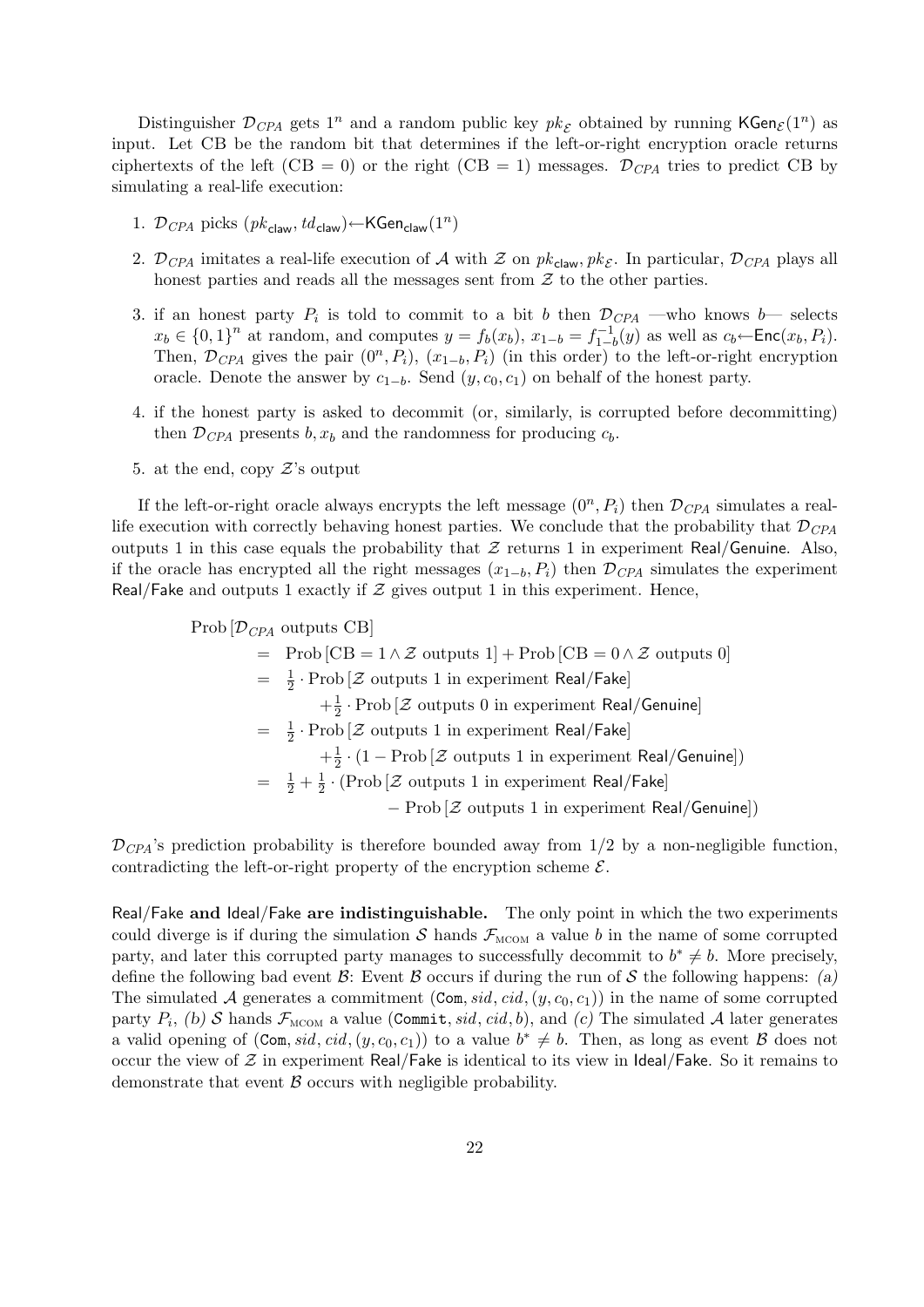Distinguisher  $\mathcal{D}_{CPA}$  gets  $1^n$  and a random public key  $pk_{\mathcal{E}}$  obtained by running KGen $_{\mathcal{E}}(1^n)$  as input. Let CB be the random bit that determines if the left-or-right encryption oracle returns ciphertexts of the left (CB = 0) or the right (CB = 1) messages.  $\mathcal{D}_{CPA}$  tries to predict CB by simulating a real-life execution:

- 1.  $\mathcal{D}_{CPA}$  picks  $(pk_{\text{claw}}, td_{\text{claw}}) \leftarrow \text{KGen}_{\text{claw}}(1^n)$
- 2.  $\mathcal{D}_{CPA}$  imitates a real-life execution of A with Z on  $pk_{\text{claw}}$ ,  $pk_{\mathcal{E}}$ . In particular,  $\mathcal{D}_{CPA}$  plays all honest parties and reads all the messages sent from  $\mathcal Z$  to the other parties.
- 3. if an honest party  $P_i$  is told to commit to a bit b then  $\mathcal{D}_{CPA}$  —who knows b— selects  $x_b \in \{0,1\}^n$  at random, and computes  $y = f_b(x_b)$ ,  $x_{1-b} = f_{1-b}^{-1}(y)$  as well as  $c_b \leftarrow \text{Enc}(x_b, P_i)$ . Then,  $\mathcal{D}_{CPA}$  gives the pair  $(0^n, P_i)$ ,  $(x_{1-b}, P_i)$  (in this order) to the left-or-right encryption oracle. Denote the answer by  $c_{1-b}$ . Send  $(y, c_0, c_1)$  on behalf of the honest party.
- 4. if the honest party is asked to decommit (or, similarly, is corrupted before decommitting) then  $\mathcal{D}_{CPA}$  presents b,  $x_b$  and the randomness for producing  $c_b$ .
- 5. at the end, copy  $\mathcal{Z}$ 's output

If the left-or-right oracle always encrypts the left message  $(0^n, P_i)$  then  $\mathcal{D}_{CPA}$  simulates a reallife execution with correctly behaving honest parties. We conclude that the probability that  $\mathcal{D}_{CPA}$ outputs 1 in this case equals the probability that  $Z$  returns 1 in experiment Real/Genuine. Also, if the oracle has encrypted all the right messages  $(x_{1-b}, P_i)$  then  $\mathcal{D}_{CPA}$  simulates the experiment Real/Fake and outputs 1 exactly if  $\mathcal Z$  gives output 1 in this experiment. Hence,

Prob  $[{\cal D}_{CPA}$  outputs CB

= Prob  $[CB = 1 \land Z$  outputs  $1] + Prob[CB = 0 \land Z$  outputs 0]  $= \frac{1}{2}$  $\frac{1}{2} \cdot \text{Prob} \left[ \mathcal{Z} \text{ outputs } 1 \text{ in experiment } \mathsf{Real}/\mathsf{Fake} \right]$  $+\frac{1}{2}$  $\frac{1}{2} \cdot \text{Prob} \left[ \mathcal{Z} \text{ outputs 0 in experiment Real/Genuine} \right]$  $= \frac{1}{2}$  $\frac{1}{2} \cdot \mathrm{Prob}\left[ \mathcal{Z} \text{ outputs } 1 \text{ in experiment } \mathsf{Real}/\mathsf{Fake} \right]$  $+\frac{1}{2}$  $\frac{1}{2} \cdot (1 - \text{Prob} \left[ \mathcal{Z} \text{ outputs } 1 \text{ in experiment } \textsf{Real} / \textsf{Genuine} \right])$  $=\frac{1}{2} + \frac{1}{2}$  $\frac{1}{2} \cdot (\text{Prob} \left[ \mathcal{Z} \text{ outputs } 1 \text{ in experiment } \textsf{Real} / \textsf{Fake} \right]$ − Prob [Z outputs 1 in experiment Real/Genuine])

 $\mathcal{D}_{CPA}$ 's prediction probability is therefore bounded away from 1/2 by a non-negligible function, contradicting the left-or-right property of the encryption scheme  $\mathcal{E}$ .

Real/Fake and Ideal/Fake are indistinguishable. The only point in which the two experiments could diverge is if during the simulation S hands  $\mathcal{F}_{\text{MCOM}}$  a value b in the name of some corrupted party, and later this corrupted party manages to successfully decommit to  $b^* \neq b$ . More precisely, define the following bad event  $\mathcal{B}$ : Event  $\mathcal{B}$  occurs if during the run of  $\mathcal{S}$  the following happens: (a) The simulated A generates a commitment  $(Com, sid, cid, (y, c_0, c_1))$  in the name of some corrupted party  $P_i$ , (b) S hands  $\mathcal{F}_{\text{MCOM}}$  a value (Commit, sid, cid, b), and (c) The simulated A later generates a valid opening of  $(Com, sid, cid, (y, c_0, c_1))$  to a value  $b^* \neq b$ . Then, as long as event B does not occur the view of  $Z$  in experiment Real/Fake is identical to its view in Ideal/Fake. So it remains to demonstrate that event  $\beta$  occurs with negligible probability.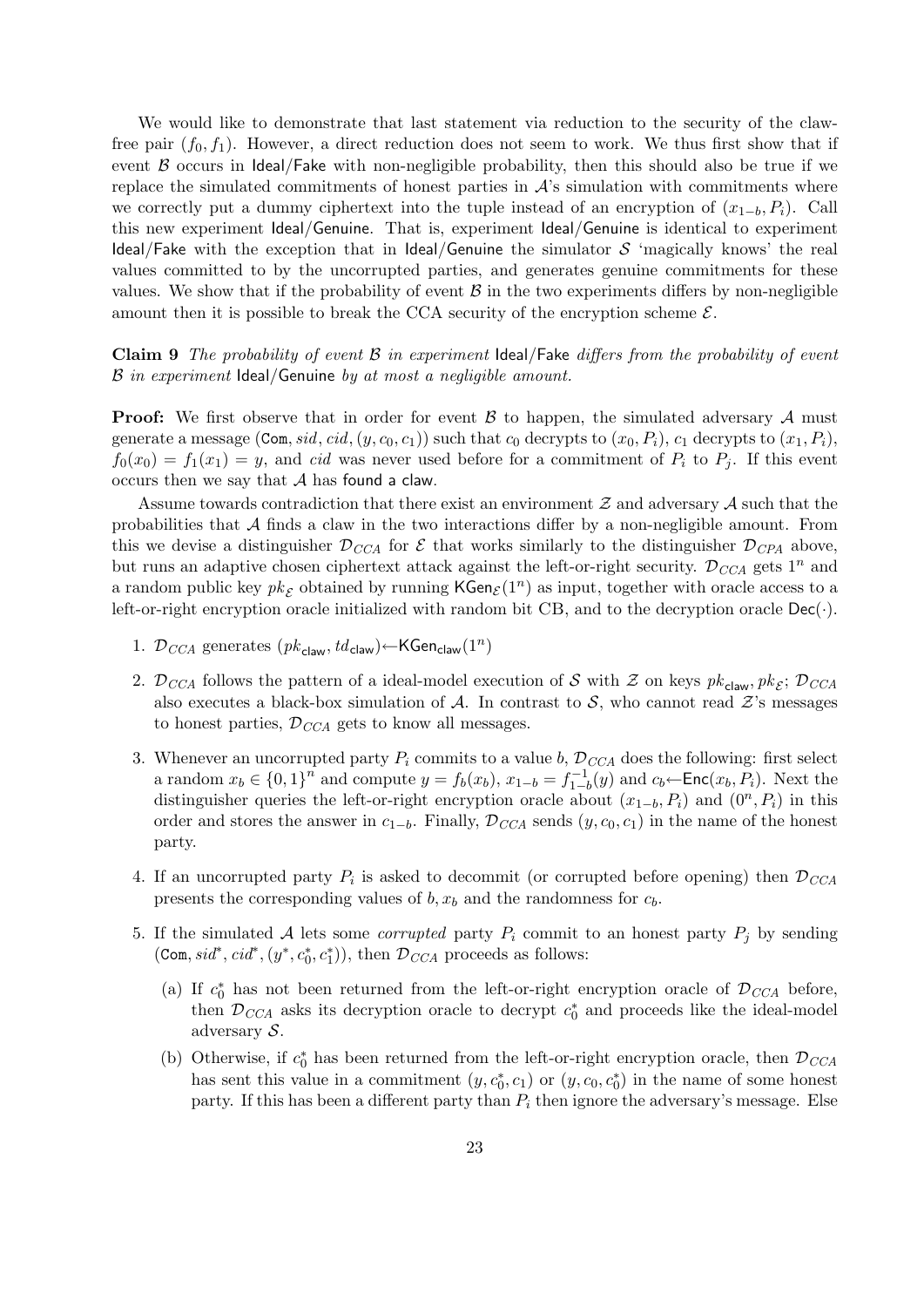We would like to demonstrate that last statement via reduction to the security of the clawfree pair  $(f_0, f_1)$ . However, a direct reduction does not seem to work. We thus first show that if event  $\beta$  occurs in Ideal/Fake with non-negligible probability, then this should also be true if we replace the simulated commitments of honest parties in  $A$ 's simulation with commitments where we correctly put a dummy ciphertext into the tuple instead of an encryption of  $(x_{1-b}, P_i)$ . Call this new experiment Ideal/Genuine. That is, experiment Ideal/Genuine is identical to experiment Ideal/Fake with the exception that in Ideal/Genuine the simulator  $S$  'magically knows' the real values committed to by the uncorrupted parties, and generates genuine commitments for these values. We show that if the probability of event  $\beta$  in the two experiments differs by non-negligible amount then it is possible to break the CCA security of the encryption scheme  $\mathcal{E}$ .

## Claim 9 The probability of event  $\beta$  in experiment Ideal/Fake differs from the probability of event  $\beta$  in experiment Ideal/Genuine by at most a negligible amount.

**Proof:** We first observe that in order for event  $\beta$  to happen, the simulated adversary  $\mathcal A$  must generate a message (Com, sid, cid,  $(y, c_0, c_1)$ ) such that  $c_0$  decrypts to  $(x_0, P_i)$ ,  $c_1$  decrypts to  $(x_1, P_i)$ ,  $f_0(x_0) = f_1(x_1) = y$ , and cid was never used before for a commitment of  $P_i$  to  $P_j$ . If this event occurs then we say that  $A$  has found a claw.

Assume towards contradiction that there exist an environment  $\mathcal Z$  and adversary  $\mathcal A$  such that the probabilities that  $A$  finds a claw in the two interactions differ by a non-negligible amount. From this we devise a distinguisher  $\mathcal{D}_{CCA}$  for  $\mathcal E$  that works similarly to the distinguisher  $\mathcal{D}_{CPA}$  above, but runs an adaptive chosen ciphertext attack against the left-or-right security.  $\mathcal{D}_{CCA}$  gets  $1^n$  and a random public key  $pk_{\mathcal{E}}$  obtained by running  $\mathsf{KGen}_{\mathcal{E}}(1^n)$  as input, together with oracle access to a left-or-right encryption oracle initialized with random bit CB, and to the decryption oracle  $\text{Dec}(\cdot)$ .

- 1.  $\mathcal{D}_{CCA}$  generates  $(\mathit{pk}_{\text{claw}}, \mathit{td}_{\text{claw}}) \leftarrow \textsf{KGen}_{\text{claw}}(1^n)$
- 2.  $\mathcal{D}_{CCA}$  follows the pattern of a ideal-model execution of S with Z on keys  $pk_{\text{claw}}$ ,  $pk_{\mathcal{E}}$ ;  $\mathcal{D}_{CCA}$ also executes a black-box simulation of A. In contrast to  $S$ , who cannot read  $Z$ 's messages to honest parties,  $\mathcal{D}_{CCA}$  gets to know all messages.
- 3. Whenever an uncorrupted party  $P_i$  commits to a value b,  $\mathcal{D}_{CCA}$  does the following: first select a random  $x_b \in \{0,1\}^n$  and compute  $y = f_b(x_b)$ ,  $x_{1-b} = f_{1-b}^{-1}(y)$  and  $c_b \leftarrow \text{Enc}(x_b, P_i)$ . Next the distinguisher queries the left-or-right encryption oracle about  $(x_{1-b}, P_i)$  and  $(0<sup>n</sup>, P_i)$  in this order and stores the answer in  $c_{1-b}$ . Finally,  $\mathcal{D}_{CCA}$  sends  $(y, c_0, c_1)$  in the name of the honest party.
- 4. If an uncorrupted party  $P_i$  is asked to decommit (or corrupted before opening) then  $\mathcal{D}_{CCA}$ presents the corresponding values of  $b, x_b$  and the randomness for  $c_b$ .
- 5. If the simulated A lets some *corrupted* party  $P_i$  commit to an honest party  $P_j$  by sending  $(\text{Com}, sid^*, cid^*, (y^*, c_0^*, c_1^*)),$  then  $\mathcal{D}_{CCA}$  proceeds as follows:
	- (a) If  $c_0^*$  has not been returned from the left-or-right encryption oracle of  $\mathcal{D}_{CCA}$  before, then  $\mathcal{D}_{CCA}$  asks its decryption oracle to decrypt  $c_0^*$  $_{0}^{*}$  and proceeds like the ideal-model adversary S.
	- (b) Otherwise, if  $c_0^*$  has been returned from the left-or-right encryption oracle, then  $\mathcal{D}_{CCA}$ has sent this value in a commitment  $(y, c_0^*, c_1)$  or  $(y, c_0, c_0^*)$  in the name of some honest party. If this has been a different party than  $P_i$  then ignore the adversary's message. Else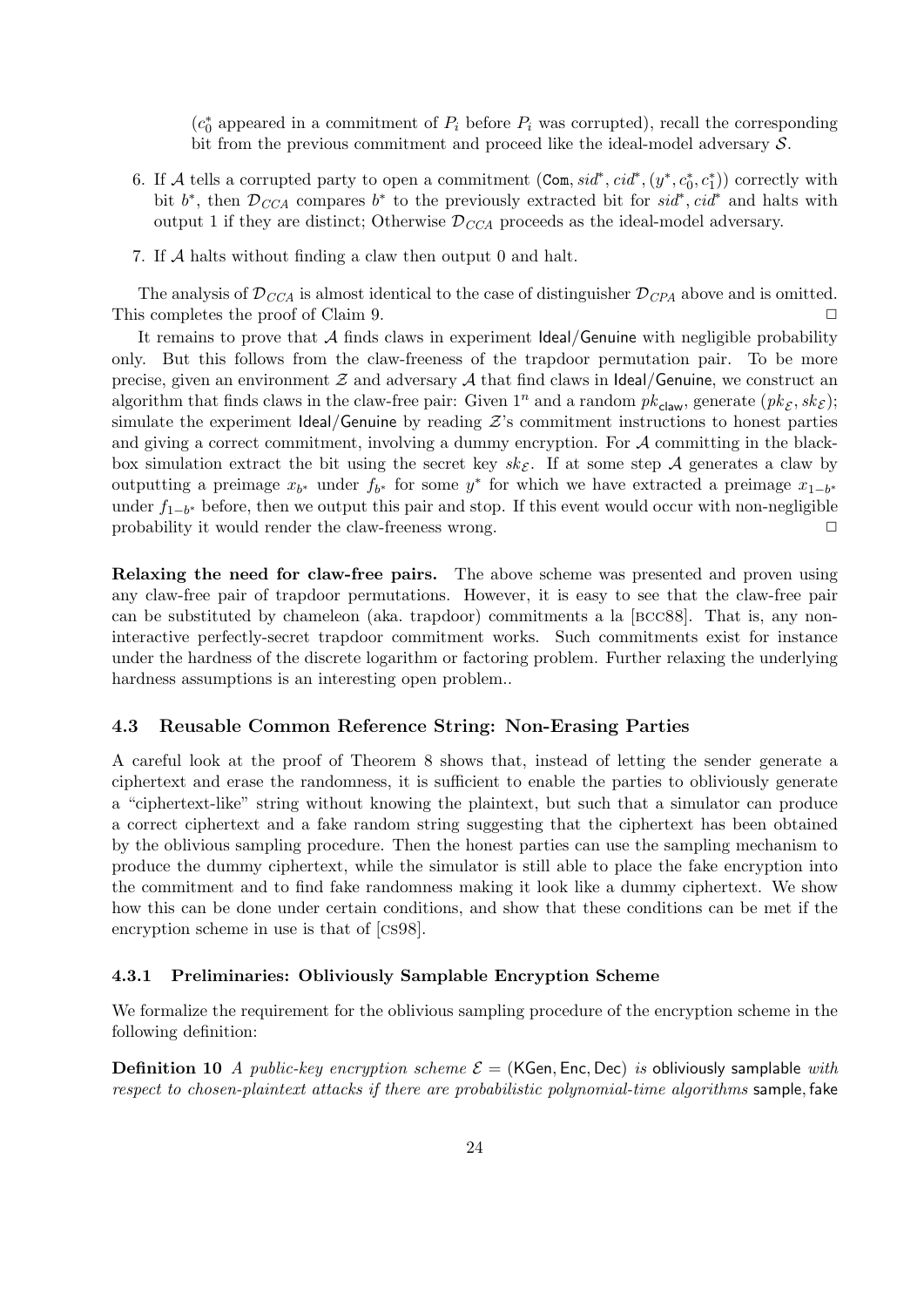$(c_0^*)$  $_0^*$  appeared in a commitment of  $P_i$  before  $P_i$  was corrupted), recall the corresponding bit from the previous commitment and proceed like the ideal-model adversary S.

- 6. If A tells a corrupted party to open a commitment  $(Com, sid^*, cid^*, (y^*, c_0^*, c_1^*))$  correctly with bit  $b^*$ , then  $\mathcal{D}_{CCA}$  compares  $b^*$  to the previously extracted bit for  $sid^*, cid^*$  and halts with output 1 if they are distinct; Otherwise  $\mathcal{D}_{CCA}$  proceeds as the ideal-model adversary.
- 7. If A halts without finding a claw then output 0 and halt.

The analysis of  $\mathcal{D}_{CCA}$  is almost identical to the case of distinguisher  $\mathcal{D}_{CPA}$  above and is omitted. This completes the proof of Claim 9.  $\Box$ 

It remains to prove that  $\mathcal A$  finds claws in experiment **Ideal**/Genuine with negligible probability only. But this follows from the claw-freeness of the trapdoor permutation pair. To be more precise, given an environment  $\mathcal Z$  and adversary  $\mathcal A$  that find claws in Ideal/Genuine, we construct an algorithm that finds claws in the claw-free pair: Given  $1^n$  and a random  $pk_{\text{claw}}$ , generate  $(pk_{\mathcal{E}}, sk_{\mathcal{E}})$ ; simulate the experiment Ideal/Genuine by reading  $Z$ 's commitment instructions to honest parties and giving a correct commitment, involving a dummy encryption. For  $A$  committing in the blackbox simulation extract the bit using the secret key  $s k \varepsilon$ . If at some step A generates a claw by outputting a preimage  $x_{b^*}$  under  $f_{b^*}$  for some  $y^*$  for which we have extracted a preimage  $x_{1-b^*}$ under  $f_{1-b^*}$  before, then we output this pair and stop. If this event would occur with non-negligible probability it would render the claw-freeness wrong.  $\Box$ 

Relaxing the need for claw-free pairs. The above scheme was presented and proven using any claw-free pair of trapdoor permutations. However, it is easy to see that the claw-free pair can be substituted by chameleon (aka. trapdoor) commitments a la [bcc88]. That is, any noninteractive perfectly-secret trapdoor commitment works. Such commitments exist for instance under the hardness of the discrete logarithm or factoring problem. Further relaxing the underlying hardness assumptions is an interesting open problem..

## 4.3 Reusable Common Reference String: Non-Erasing Parties

A careful look at the proof of Theorem 8 shows that, instead of letting the sender generate a ciphertext and erase the randomness, it is sufficient to enable the parties to obliviously generate a "ciphertext-like" string without knowing the plaintext, but such that a simulator can produce a correct ciphertext and a fake random string suggesting that the ciphertext has been obtained by the oblivious sampling procedure. Then the honest parties can use the sampling mechanism to produce the dummy ciphertext, while the simulator is still able to place the fake encryption into the commitment and to find fake randomness making it look like a dummy ciphertext. We show how this can be done under certain conditions, and show that these conditions can be met if the encryption scheme in use is that of [cs98].

## 4.3.1 Preliminaries: Obliviously Samplable Encryption Scheme

We formalize the requirement for the oblivious sampling procedure of the encryption scheme in the following definition:

**Definition 10** A public-key encryption scheme  $\mathcal{E} =$  (KGen, Enc, Dec) is obliviously samplable with respect to chosen-plaintext attacks if there are probabilistic polynomial-time algorithms sample, fake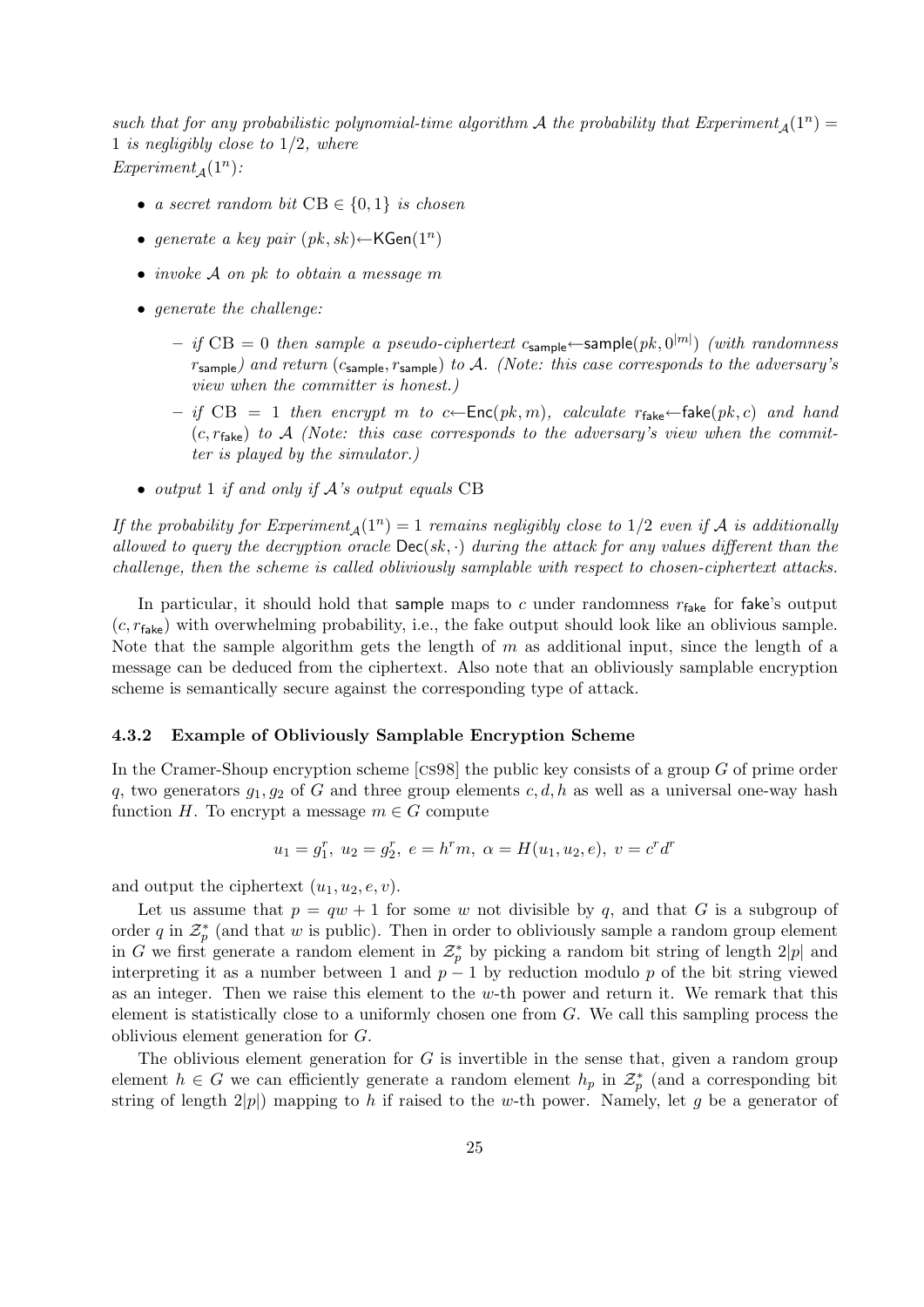such that for any probabilistic polynomial-time algorithm A the probability that Experiment<sub>A</sub>(1<sup>n</sup>) = 1 is negligibly close to  $1/2$ , where  $Experiment_{\mathcal{A}}(1^n)$ :

- a secret random bit  $CB \in \{0,1\}$  is chosen
- generate a key pair  $(pk, sk) \leftarrow \mathsf{KGen}(1^n)$
- invoke A on pk to obtain a message m
- generate the challenge:
	- $-$  if CB = 0 then sample a pseudo-ciphertext  $c_{\text{sample}} \leftarrow$ sample $(pk, 0^{|m|})$  (with randomness  $r_{\text{sample}}$ ) and return ( $c_{\text{sample}}$ ,  $r_{\text{sample}}$ ) to A. (Note: this case corresponds to the adversary's view when the committer is honest.)
	- if CB = 1 then encrypt m to c←Enc(pk, m), calculate  $r_{\text{fake}} \leftarrow \text{fake}(pk, c)$  and hand  $(c, r_{\text{fake}})$  to A (Note: this case corresponds to the adversary's view when the committer is played by the simulator.)
- output 1 if and only if  $A$ 's output equals CB

If the probability for Experiment<sub>A</sub>(1<sup>n</sup>) = 1 remains negligibly close to 1/2 even if A is additionally allowed to query the decryption oracle  $\text{Dec}(sk, \cdot)$  during the attack for any values different than the challenge, then the scheme is called obliviously samplable with respect to chosen-ciphertext attacks.

In particular, it should hold that sample maps to c under randomness  $r_{\text{fake}}$  for fake's output  $(c, r_{\text{fake}})$  with overwhelming probability, i.e., the fake output should look like an oblivious sample. Note that the sample algorithm gets the length of  $m$  as additional input, since the length of a message can be deduced from the ciphertext. Also note that an obliviously samplable encryption scheme is semantically secure against the corresponding type of attack.

#### 4.3.2 Example of Obliviously Samplable Encryption Scheme

In the Cramer-Shoup encryption scheme [cs98] the public key consists of a group G of prime order q, two generators  $q_1, q_2$  of G and three group elements c, d, h as well as a universal one-way hash function H. To encrypt a message  $m \in G$  compute

$$
u_1 = g_1^r, \ u_2 = g_2^r, \ e = h^r m, \ \alpha = H(u_1, u_2, e), \ v = c^r d^r
$$

and output the ciphertext  $(u_1, u_2, e, v)$ .

Let us assume that  $p = qw + 1$  for some w not divisible by q, and that G is a subgroup of order q in  $\mathcal{Z}_p^*$  $_{p}^{*}$  (and that w is public). Then in order to obliviously sample a random group element in G we first generate a random element in  $\mathcal{Z}_p^*$  by picking a random bit string of length 2|p| and interpreting it as a number between 1 and  $p-1$  by reduction modulo p of the bit string viewed as an integer. Then we raise this element to the w-th power and return it. We remark that this element is statistically close to a uniformly chosen one from G. We call this sampling process the oblivious element generation for G.

The oblivious element generation for  $G$  is invertible in the sense that, given a random group element  $h \in G$  we can efficiently generate a random element  $h_p$  in  $\mathcal{Z}_p^*$  $p^*$  (and a corresponding bit string of length  $2|p|$ ) mapping to h if raised to the w-th power. Namely, let g be a generator of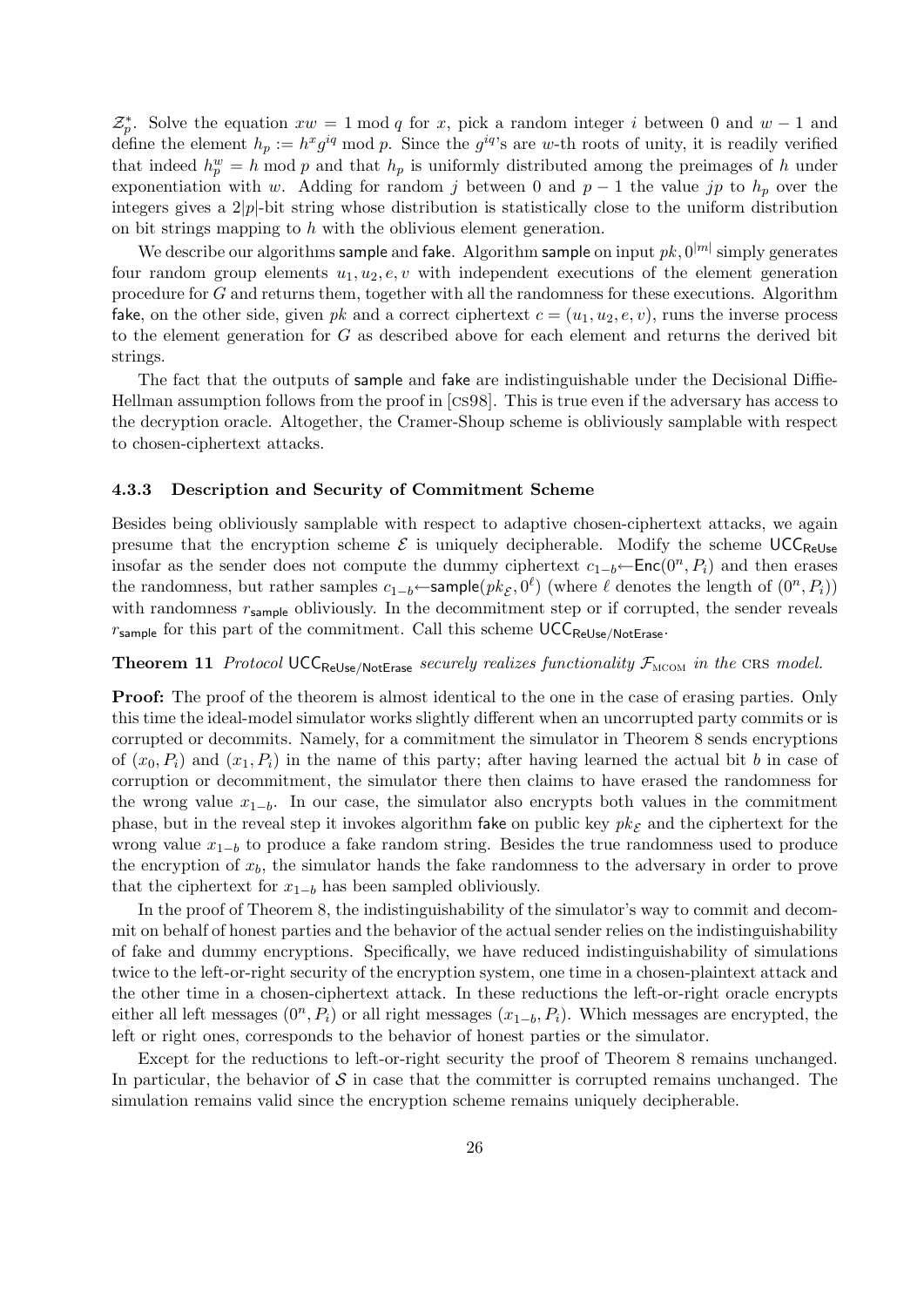Z ∗ <sup>\*</sup><sub>p</sub>. Solve the equation  $xw = 1 \mod q$  for x, pick a random integer i between 0 and  $w - 1$  and define the element  $h_p := h^x g^{iq} \mod p$ . Since the  $g^{iq}$ 's are w-th roots of unity, it is readily verified that indeed  $h_p^w = h \mod p$  and that  $h_p$  is uniformly distributed among the preimages of h under exponentiation with w. Adding for random j between 0 and  $p-1$  the value jp to  $h_p$  over the integers gives a  $2|p|$ -bit string whose distribution is statistically close to the uniform distribution on bit strings mapping to h with the oblivious element generation.

We describe our algorithms sample and fake. Algorithm sample on input  $pk$ ,  $0^{|m|}$  simply generates four random group elements  $u_1, u_2, e, v$  with independent executions of the element generation procedure for G and returns them, together with all the randomness for these executions. Algorithm fake, on the other side, given pk and a correct ciphertext  $c = (u_1, u_2, e, v)$ , runs the inverse process to the element generation for G as described above for each element and returns the derived bit strings.

The fact that the outputs of sample and fake are indistinguishable under the Decisional Diffie-Hellman assumption follows from the proof in [cs98]. This is true even if the adversary has access to the decryption oracle. Altogether, the Cramer-Shoup scheme is obliviously samplable with respect to chosen-ciphertext attacks.

## 4.3.3 Description and Security of Commitment Scheme

Besides being obliviously samplable with respect to adaptive chosen-ciphertext attacks, we again presume that the encryption scheme  $\mathcal E$  is uniquely decipherable. Modify the scheme UCC<sub>ReUse</sub> insofar as the sender does not compute the dummy ciphertext  $c_{1-b} \leftarrow \text{Enc}(0^n, P_i)$  and then erases the randomness, but rather samples  $c_{1-b}$ ←sample $(pk_{\mathcal{E}}, 0^{\ell})$  (where  $\ell$  denotes the length of  $(0^n, P_i)$ ) with randomness  $r_{\text{sample}}$  obliviously. In the decommitment step or if corrupted, the sender reveals  $r_{sample}$  for this part of the commitment. Call this scheme  $\text{UCC}_{\text{RelSse/NotErase}}$ .

# **Theorem 11** Protocol UCC<sub>ReUse/NotErase</sub> securely realizes functionality  $\mathcal{F}_{\text{MCOM}}$  in the CRS model.

**Proof:** The proof of the theorem is almost identical to the one in the case of erasing parties. Only this time the ideal-model simulator works slightly different when an uncorrupted party commits or is corrupted or decommits. Namely, for a commitment the simulator in Theorem 8 sends encryptions of  $(x_0, P_i)$  and  $(x_1, P_i)$  in the name of this party; after having learned the actual bit b in case of corruption or decommitment, the simulator there then claims to have erased the randomness for the wrong value  $x_{1-b}$ . In our case, the simulator also encrypts both values in the commitment phase, but in the reveal step it invokes algorithm fake on public key  $pk_{\mathcal{E}}$  and the ciphertext for the wrong value  $x_{1-b}$  to produce a fake random string. Besides the true randomness used to produce the encryption of  $x_b$ , the simulator hands the fake randomness to the adversary in order to prove that the ciphertext for  $x_{1-b}$  has been sampled obliviously.

In the proof of Theorem 8, the indistinguishability of the simulator's way to commit and decommit on behalf of honest parties and the behavior of the actual sender relies on the indistinguishability of fake and dummy encryptions. Specifically, we have reduced indistinguishability of simulations twice to the left-or-right security of the encryption system, one time in a chosen-plaintext attack and the other time in a chosen-ciphertext attack. In these reductions the left-or-right oracle encrypts either all left messages  $(0<sup>n</sup>, P<sub>i</sub>)$  or all right messages  $(x<sub>1-b</sub>, P<sub>i</sub>)$ . Which messages are encrypted, the left or right ones, corresponds to the behavior of honest parties or the simulator.

Except for the reductions to left-or-right security the proof of Theorem 8 remains unchanged. In particular, the behavior of  $\mathcal S$  in case that the committer is corrupted remains unchanged. The simulation remains valid since the encryption scheme remains uniquely decipherable.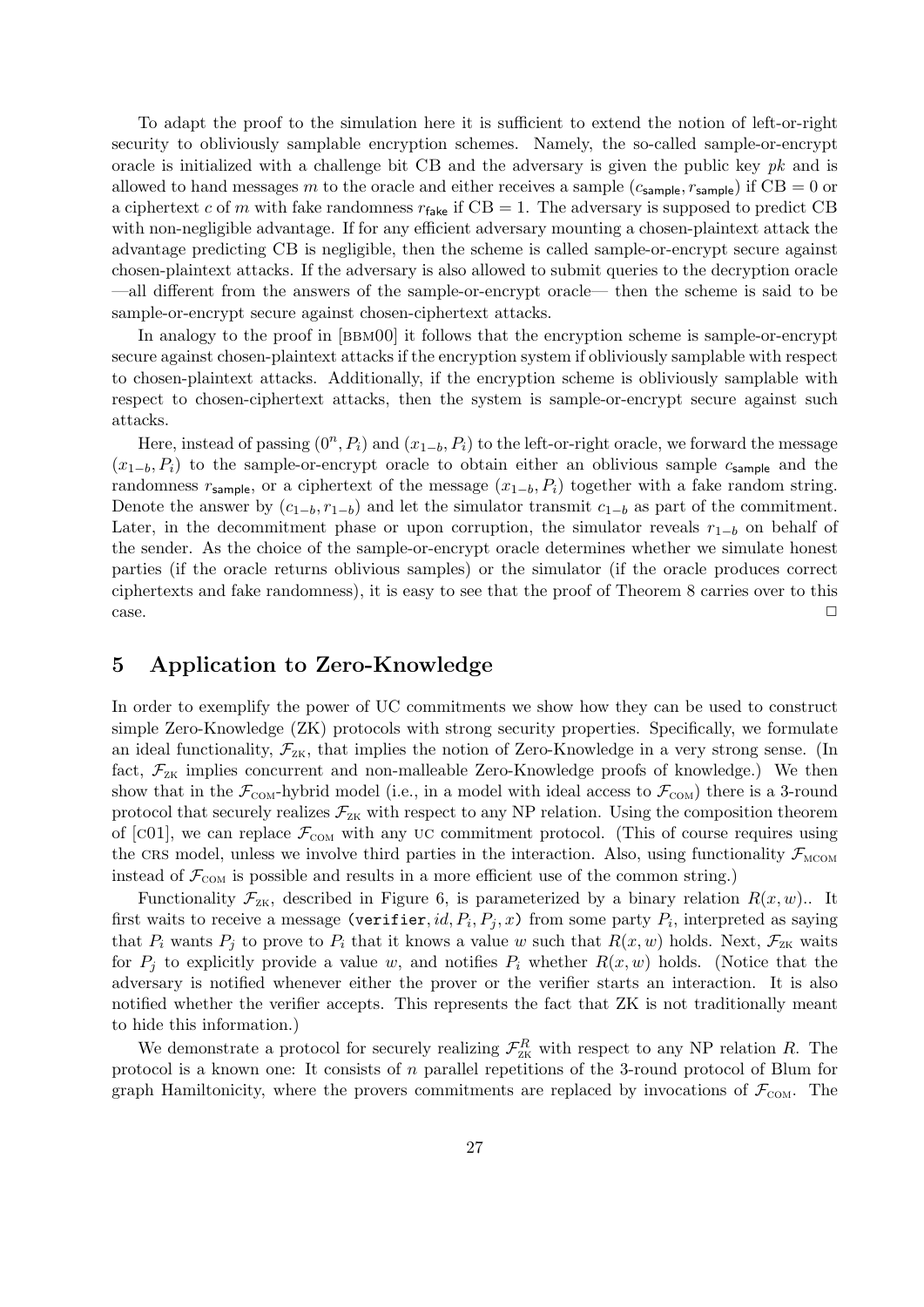To adapt the proof to the simulation here it is sufficient to extend the notion of left-or-right security to obliviously samplable encryption schemes. Namely, the so-called sample-or-encrypt oracle is initialized with a challenge bit CB and the adversary is given the public key  $pk$  and is allowed to hand messages m to the oracle and either receives a sample  $(c_{\text{sample}}, r_{\text{sample}})$  if  $CB = 0$  or a ciphertext c of m with fake randomness  $r_{\text{fake}}$  if CB = 1. The adversary is supposed to predict CB with non-negligible advantage. If for any efficient adversary mounting a chosen-plaintext attack the advantage predicting CB is negligible, then the scheme is called sample-or-encrypt secure against chosen-plaintext attacks. If the adversary is also allowed to submit queries to the decryption oracle —all different from the answers of the sample-or-encrypt oracle— then the scheme is said to be sample-or-encrypt secure against chosen-ciphertext attacks.

In analogy to the proof in [BBM00] it follows that the encryption scheme is sample-or-encrypt secure against chosen-plaintext attacks if the encryption system if obliviously samplable with respect to chosen-plaintext attacks. Additionally, if the encryption scheme is obliviously samplable with respect to chosen-ciphertext attacks, then the system is sample-or-encrypt secure against such attacks.

Here, instead of passing  $(0^n, P_i)$  and  $(x_{1-b}, P_i)$  to the left-or-right oracle, we forward the message  $(x_{1-b}, P_i)$  to the sample-or-encrypt oracle to obtain either an oblivious sample  $c_{\text{sample}}$  and the randomness  $r_{\text{sample}}$ , or a ciphertext of the message  $(x_{1-b}, P_i)$  together with a fake random string. Denote the answer by  $(c_{1-b}, r_{1-b})$  and let the simulator transmit  $c_{1-b}$  as part of the commitment. Later, in the decommitment phase or upon corruption, the simulator reveals  $r_{1-b}$  on behalf of the sender. As the choice of the sample-or-encrypt oracle determines whether we simulate honest parties (if the oracle returns oblivious samples) or the simulator (if the oracle produces correct ciphertexts and fake randomness), it is easy to see that the proof of Theorem 8 carries over to this  $\Box$ 

# 5 Application to Zero-Knowledge

In order to exemplify the power of UC commitments we show how they can be used to construct simple Zero-Knowledge (ZK) protocols with strong security properties. Specifically, we formulate an ideal functionality,  $\mathcal{F}_{\text{ZK}}$ , that implies the notion of Zero-Knowledge in a very strong sense. (In fact,  $\mathcal{F}_{\text{ZK}}$  implies concurrent and non-malleable Zero-Knowledge proofs of knowledge.) We then show that in the  $\mathcal{F}_{COM}$ -hybrid model (i.e., in a model with ideal access to  $\mathcal{F}_{COM}$ ) there is a 3-round protocol that securely realizes  $\mathcal{F}_{\text{ZK}}$  with respect to any NP relation. Using the composition theorem of  $\lbrack$  commitment protocol. (This of course requires using of  $\lbrack$  commitment protocol. (This of course requires using the CRS model, unless we involve third parties in the interaction. Also, using functionality  $\mathcal{F}_{\text{MCOM}}$ instead of  $\mathcal{F}_{COM}$  is possible and results in a more efficient use of the common string.)

Functionality  $\mathcal{F}_{\text{ZK}}$ , described in Figure 6, is parameterized by a binary relation  $R(x, w)$ .. It first waits to receive a message (verifier,  $id, P_i, P_j, x$ ) from some party  $P_i$ , interpreted as saying that  $P_i$  wants  $P_j$  to prove to  $P_i$  that it knows a value w such that  $R(x, w)$  holds. Next,  $\mathcal{F}_{\text{ZK}}$  waits for  $P_i$  to explicitly provide a value w, and notifies  $P_i$  whether  $R(x, w)$  holds. (Notice that the adversary is notified whenever either the prover or the verifier starts an interaction. It is also notified whether the verifier accepts. This represents the fact that ZK is not traditionally meant to hide this information.)

We demonstrate a protocol for securely realizing  $\mathcal{F}_{\text{ZK}}^R$  with respect to any NP relation R. The protocol is a known one: It consists of n parallel repetitions of the 3-round protocol of Blum for graph Hamiltonicity, where the provers commitments are replaced by invocations of  $\mathcal{F}_{COM}$ . The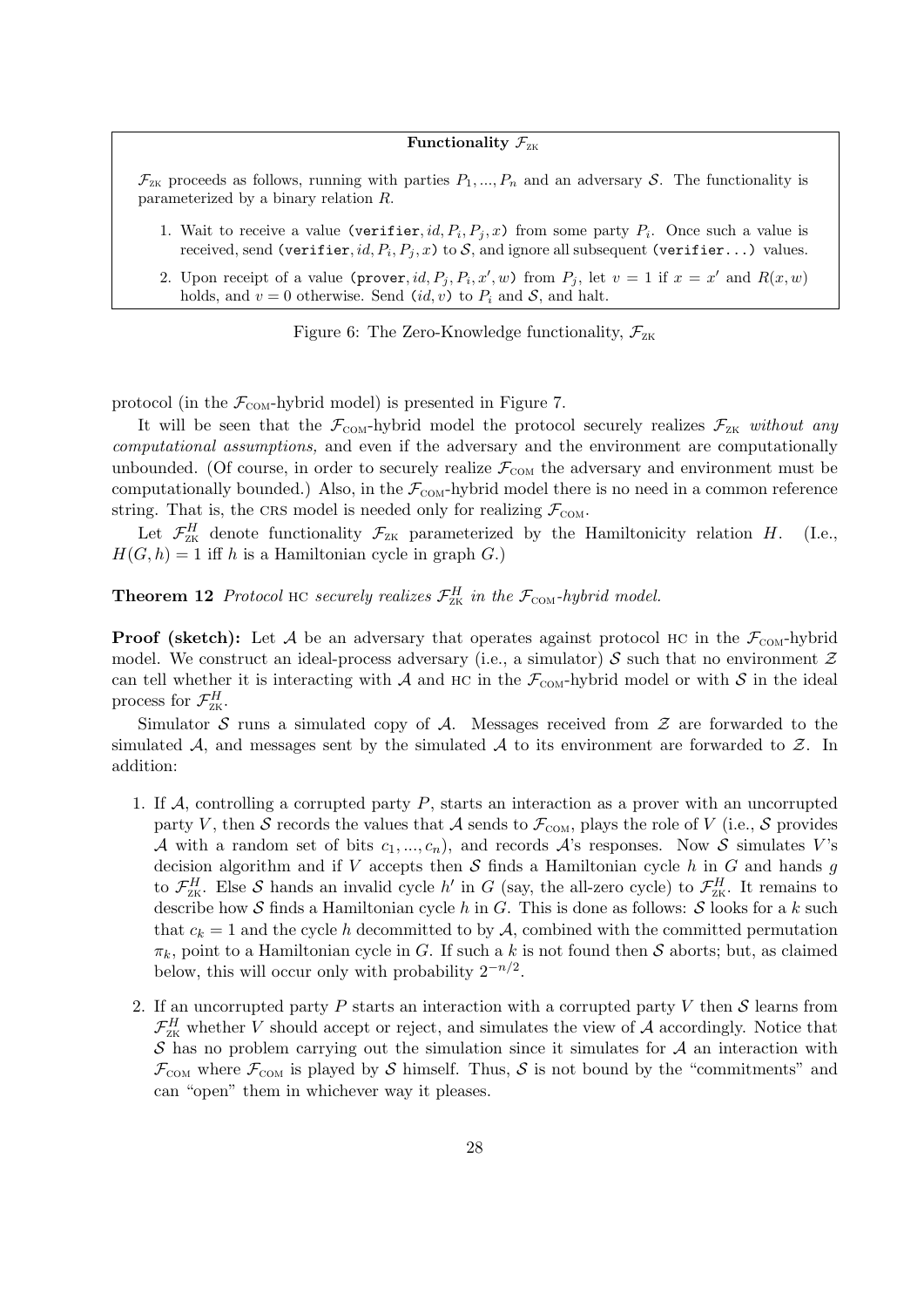## Functionality  $\mathcal{F}_{\text{ZK}}$

 $\mathcal{F}_{\text{ZK}}$  proceeds as follows, running with parties  $P_1, ..., P_n$  and an adversary S. The functionality is parameterized by a binary relation R.

- 1. Wait to receive a value (verifier,  $id, P_i, P_j, x$ ) from some party  $P_i$ . Once such a value is received, send (verifier,  $id, P_i, P_j, x$ ) to  $\mathcal{S}$ , and ignore all subsequent (verifier...) values.
- 2. Upon receipt of a value (prover, id,  $P_j$ ,  $P_i$ ,  $x'$ ,  $w$ ) from  $P_j$ , let  $v = 1$  if  $x = x'$  and  $R(x, w)$ holds, and  $v = 0$  otherwise. Send  $(id, v)$  to  $P_i$  and  $S$ , and halt.

Figure 6: The Zero-Knowledge functionality,  $\mathcal{F}_{\text{ZK}}$ 

protocol (in the  $\mathcal{F}_{COM}$ -hybrid model) is presented in Figure 7.

It will be seen that the  $\mathcal{F}_{COM}$ -hybrid model the protocol securely realizes  $\mathcal{F}_{ZK}$  without any computational assumptions, and even if the adversary and the environment are computationally unbounded. (Of course, in order to securely realize  $\mathcal{F}_{COM}$  the adversary and environment must be computationally bounded.) Also, in the  $\mathcal{F}_{COM}$ -hybrid model there is no need in a common reference string. That is, the CRS model is needed only for realizing  $\mathcal{F}_{COM}$ .

Let  $\mathcal{F}_{\text{ZK}}^H$  denote functionality  $\mathcal{F}_{\text{ZK}}$  parameterized by the Hamiltonicity relation H. (I.e.,  $H(G, h) = 1$  iff h is a Hamiltonian cycle in graph G.)

**Theorem 12** Protocol HC securely realizes  $\mathcal{F}_{\text{ZK}}^{H}$  in the  $\mathcal{F}_{\text{COM}}$ -hybrid model.

**Proof (sketch):** Let A be an adversary that operates against protocol HC in the  $\mathcal{F}_{COM}$ -hybrid model. We construct an ideal-process adversary (i.e., a simulator)  $\mathcal S$  such that no environment  $\mathcal Z$ can tell whether it is interacting with A and HC in the  $\mathcal{F}_{COM}$ -hybrid model or with S in the ideal process for  $\mathcal{F}_{\text{ZK}}^H$ .

Simulator S runs a simulated copy of A. Messages received from  $\mathcal Z$  are forwarded to the simulated  $A$ , and messages sent by the simulated  $A$  to its environment are forwarded to  $Z$ . In addition:

- 1. If  $A$ , controlling a corrupted party  $P$ , starts an interaction as a prover with an uncorrupted party V, then S records the values that A sends to  $\mathcal{F}_{COM}$ , plays the role of V (i.e., S provides A with a random set of bits  $c_1, ..., c_n$ , and records A's responses. Now S simulates V's decision algorithm and if  $V$  accepts then  $S$  finds a Hamiltonian cycle  $h$  in  $G$  and hands  $g$ to  $\mathcal{F}_{\text{ZK}}^H$ . Else S hands an invalid cycle h' in G (say, the all-zero cycle) to  $\mathcal{F}_{\text{ZK}}^H$ . It remains to describe how S finds a Hamiltonian cycle h in G. This is done as follows: S looks for a k such that  $c_k = 1$  and the cycle h decommitted to by A, combined with the committed permutation  $\pi_k$ , point to a Hamiltonian cycle in G. If such a k is not found then S aborts; but, as claimed below, this will occur only with probability  $2^{-n/2}$ .
- 2. If an uncorrupted party  $P$  starts an interaction with a corrupted party  $V$  then  $S$  learns from  $\mathcal{F}_{\text{ZK}}^{H}$  whether V should accept or reject, and simulates the view of A accordingly. Notice that  $S$  has no problem carrying out the simulation since it simulates for  $A$  an interaction with  $\mathcal{F}_{COM}$  where  $\mathcal{F}_{COM}$  is played by S himself. Thus, S is not bound by the "commitments" and can "open" them in whichever way it pleases.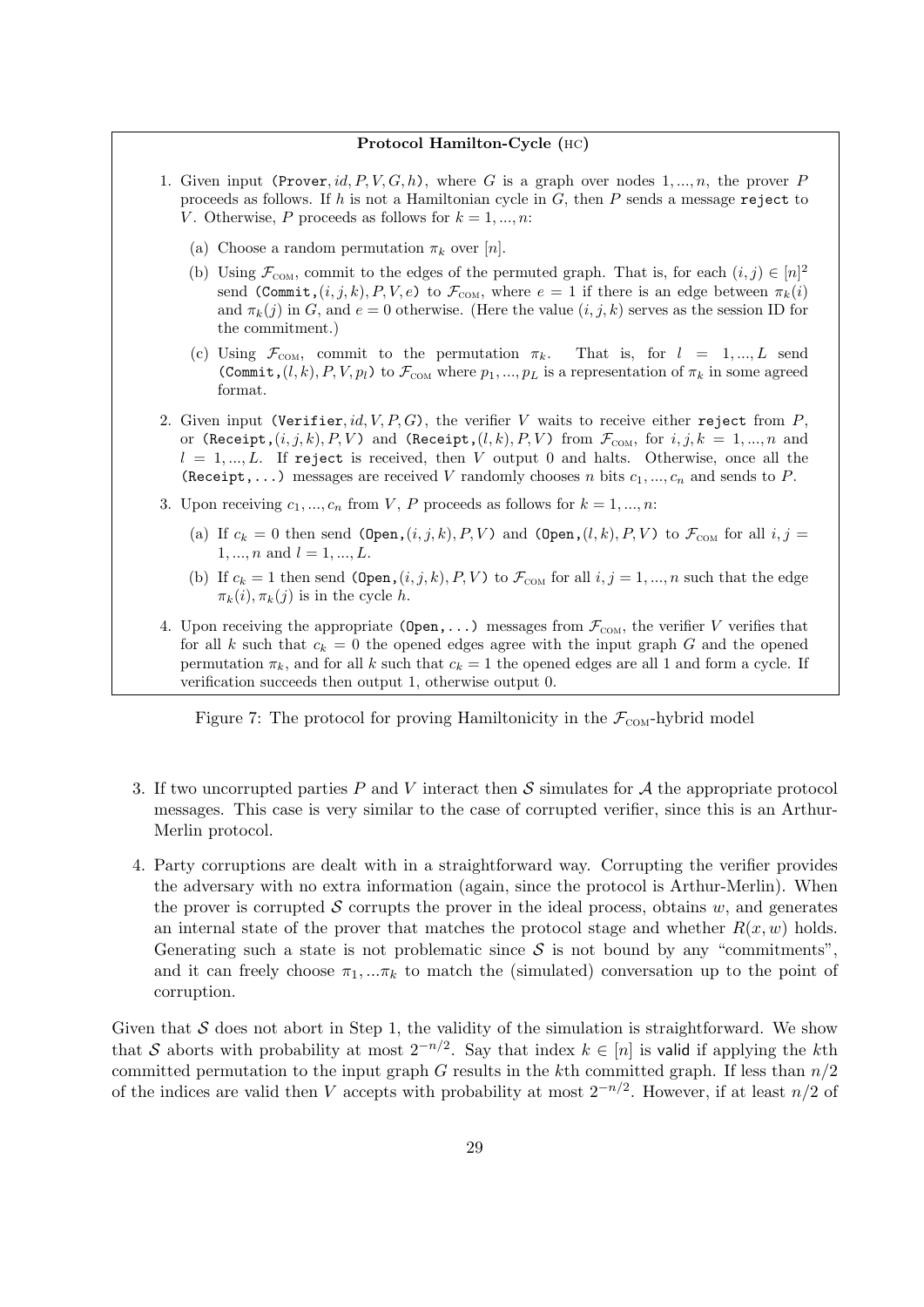## Protocol Hamilton-Cycle (hc)

- 1. Given input (Prover, id, P, V, G, h), where G is a graph over nodes 1, ..., n, the prover P proceeds as follows. If h is not a Hamiltonian cycle in  $G$ , then P sends a message reject to V. Otherwise, P proceeds as follows for  $k = 1, ..., n$ :
	- (a) Choose a random permutation  $\pi_k$  over [n].
	- (b) Using  $\mathcal{F}_{COM}$ , commit to the edges of the permuted graph. That is, for each  $(i, j) \in [n]^2$ send (Commit, $(i, j, k)$ , P, V, e) to  $\mathcal{F}_{COM}$ , where  $e = 1$  if there is an edge between  $\pi_k(i)$ and  $\pi_k(j)$  in G, and  $e = 0$  otherwise. (Here the value  $(i, j, k)$  serves as the session ID for the commitment.)
	- (c) Using  $\mathcal{F}_{COM}$ , commit to the permutation  $\pi_k$ . That is, for  $l = 1, ..., L$  send (Commit,  $(l, k), P, V, p_l$ ) to  $\mathcal{F}_{COM}$  where  $p_1, ..., p_L$  is a representation of  $\pi_k$  in some agreed format.
- 2. Given input (Verifier, id, V, P, G), the verifier V waits to receive either reject from  $P$ , or (Receipt, $(i, j, k)$ , P, V) and (Receipt,  $(l, k)$ , P, V) from  $\mathcal{F}_{COM}$ , for  $i, j, k = 1, ..., n$  and  $l = 1, ..., L$ . If reject is received, then V output 0 and halts. Otherwise, once all the (Receipt,...) messages are received V randomly chooses n bits  $c_1, ..., c_n$  and sends to P.
- 3. Upon receiving  $c_1, ..., c_n$  from V, P proceeds as follows for  $k = 1, ..., n$ :
	- (a) If  $c_k = 0$  then send (Open,  $(i, j, k)$ ,  $P, V$ ) and (Open,  $(l, k)$ ,  $P, V$ ) to  $\mathcal{F}_{COM}$  for all  $i, j =$  $1, ..., n$  and  $l = 1, ..., L$ .
	- (b) If  $c_k = 1$  then send (Open,  $(i, j, k)$ ,  $P, V$ ) to  $\mathcal{F}_{COM}$  for all  $i, j = 1, ..., n$  such that the edge  $\pi_k(i), \pi_k(j)$  is in the cycle h.
- 4. Upon receiving the appropriate ( $Open, \ldots$ ) messages from  $\mathcal{F}_{COM}$ , the verifier V verifies that for all k such that  $c_k = 0$  the opened edges agree with the input graph G and the opened permutation  $\pi_k$ , and for all k such that  $c_k = 1$  the opened edges are all 1 and form a cycle. If verification succeeds then output 1, otherwise output 0.

Figure 7: The protocol for proving Hamiltonicity in the  $\mathcal{F}_{COM}$ -hybrid model

- 3. If two uncorrupted parties P and V interact then S simulates for  $A$  the appropriate protocol messages. This case is very similar to the case of corrupted verifier, since this is an Arthur-Merlin protocol.
- 4. Party corruptions are dealt with in a straightforward way. Corrupting the verifier provides the adversary with no extra information (again, since the protocol is Arthur-Merlin). When the prover is corrupted S corrupts the prover in the ideal process, obtains  $w$ , and generates an internal state of the prover that matches the protocol stage and whether  $R(x, w)$  holds. Generating such a state is not problematic since  $S$  is not bound by any "commitments", and it can freely choose  $\pi_1, \ldots, \pi_k$  to match the (simulated) conversation up to the point of corruption.

Given that  $S$  does not abort in Step 1, the validity of the simulation is straightforward. We show that S aborts with probability at most  $2^{-n/2}$ . Say that index  $k \in [n]$  is valid if applying the kth committed permutation to the input graph G results in the kth committed graph. If less than  $n/2$ of the indices are valid then V accepts with probability at most  $2^{-n/2}$ . However, if at least  $n/2$  of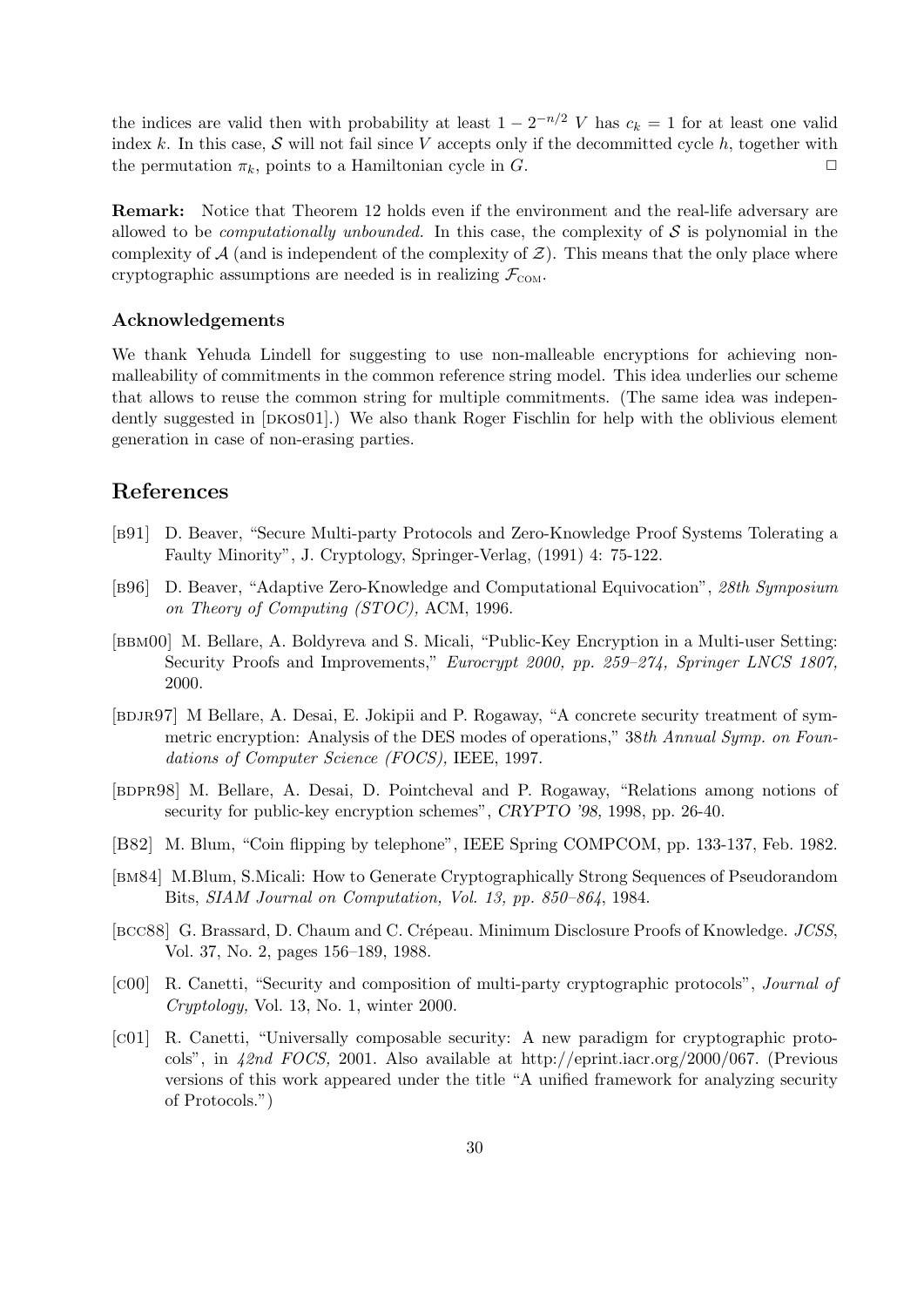the indices are valid then with probability at least  $1 - 2^{-n/2}$  V has  $c_k = 1$  for at least one valid index k. In this case,  $S$  will not fail since V accepts only if the decommitted cycle h, together with the permutation  $\pi_k$ , points to a Hamiltonian cycle in G.

Remark: Notice that Theorem 12 holds even if the environment and the real-life adversary are allowed to be *computationally unbounded*. In this case, the complexity of  $S$  is polynomial in the complexity of  $A$  (and is independent of the complexity of  $Z$ ). This means that the only place where cryptographic assumptions are needed is in realizing  $\mathcal{F}_{COM}$ .

## Acknowledgements

We thank Yehuda Lindell for suggesting to use non-malleable encryptions for achieving nonmalleability of commitments in the common reference string model. This idea underlies our scheme that allows to reuse the common string for multiple commitments. (The same idea was independently suggested in [DKOS01].) We also thank Roger Fischlin for help with the oblivious element generation in case of non-erasing parties.

# References

- [b91] D. Beaver, "Secure Multi-party Protocols and Zero-Knowledge Proof Systems Tolerating a Faulty Minority", J. Cryptology, Springer-Verlag, (1991) 4: 75-122.
- [b96] D. Beaver, "Adaptive Zero-Knowledge and Computational Equivocation", 28th Symposium on Theory of Computing (STOC), ACM, 1996.
- [bbm00] M. Bellare, A. Boldyreva and S. Micali, "Public-Key Encryption in a Multi-user Setting: Security Proofs and Improvements," Eurocrypt 2000, pp. 259-274, Springer LNCS 1807, 2000.
- [BDJR97] M Bellare, A. Desai, E. Jokipii and P. Rogaway, "A concrete security treatment of symmetric encryption: Analysis of the DES modes of operations," 38th Annual Symp. on Foundations of Computer Science (FOCS), IEEE, 1997.
- [bdpr98] M. Bellare, A. Desai, D. Pointcheval and P. Rogaway, "Relations among notions of security for public-key encryption schemes", CRYPTO '98, 1998, pp. 26-40.
- [B82] M. Blum, "Coin flipping by telephone", IEEE Spring COMPCOM, pp. 133-137, Feb. 1982.
- [bm84] M.Blum, S.Micali: How to Generate Cryptographically Strong Sequences of Pseudorandom Bits, SIAM Journal on Computation, Vol. 13, pp. 850–864, 1984.
- [BCC88] G. Brassard, D. Chaum and C. Crépeau. Minimum Disclosure Proofs of Knowledge. JCSS, Vol. 37, No. 2, pages 156–189, 1988.
- [c00] R. Canetti, "Security and composition of multi-party cryptographic protocols", Journal of Cryptology, Vol. 13, No. 1, winter 2000.
- [c01] R. Canetti, "Universally composable security: A new paradigm for cryptographic protocols", in 42nd FOCS, 2001. Also available at http://eprint.iacr.org/2000/067. (Previous versions of this work appeared under the title "A unified framework for analyzing security of Protocols.")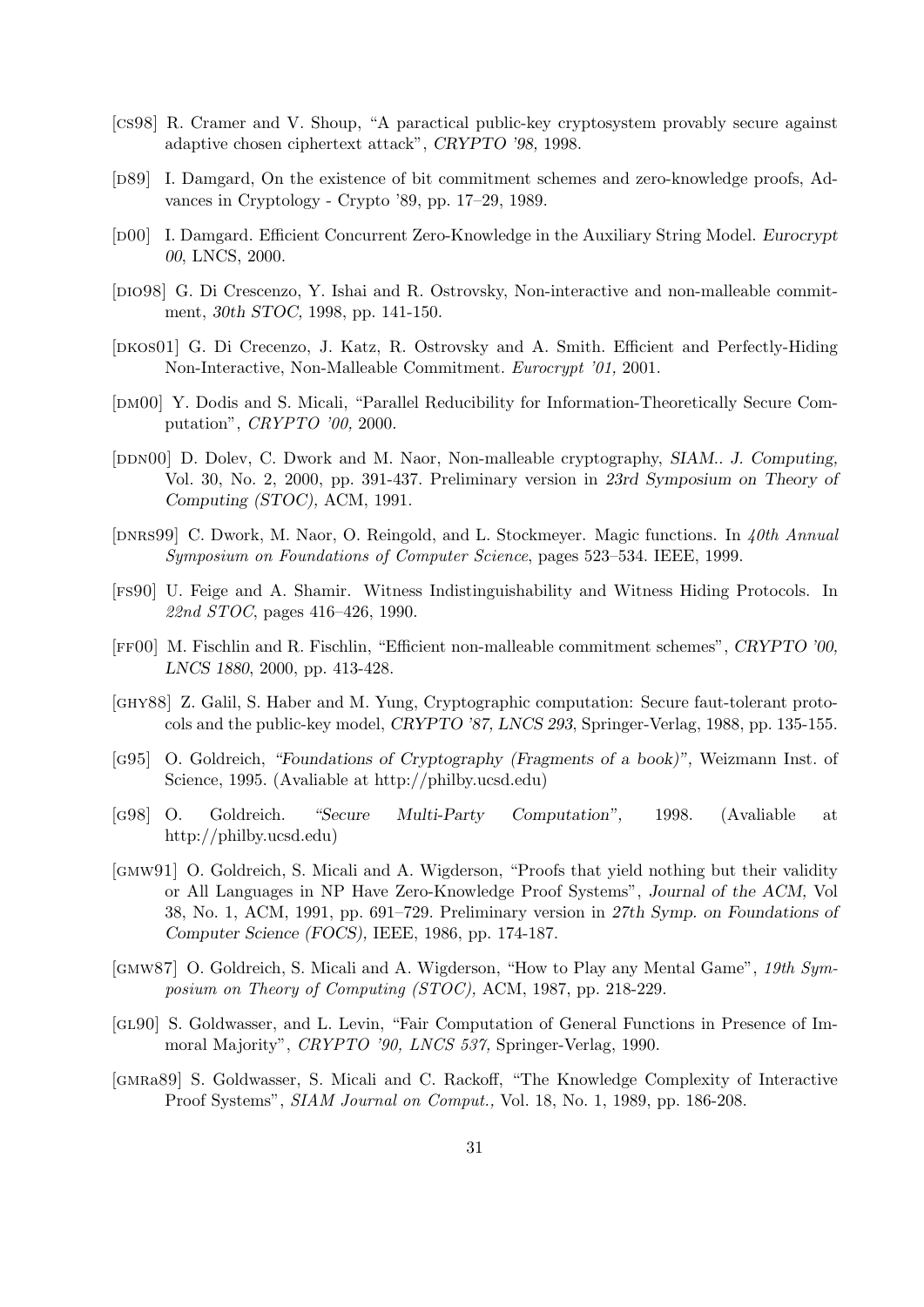- [cs98] R. Cramer and V. Shoup, "A paractical public-key cryptosystem provably secure against adaptive chosen ciphertext attack", CRYPTO '98, 1998.
- [D89] I. Damgard, On the existence of bit commitment schemes and zero-knowledge proofs, Advances in Cryptology - Crypto '89, pp. 17–29, 1989.
- [D00] I. Damgard. Efficient Concurrent Zero-Knowledge in the Auxiliary String Model. Eurocrypt 00, LNCS, 2000.
- [DIO98] G. Di Crescenzo, Y. Ishai and R. Ostrovsky, Non-interactive and non-malleable commitment, 30th STOC, 1998, pp. 141-150.
- [DKOS01] G. Di Crecenzo, J. Katz, R. Ostrovsky and A. Smith. Efficient and Perfectly-Hiding Non-Interactive, Non-Malleable Commitment. Eurocrypt '01, 2001.
- [DM00] Y. Dodis and S. Micali, "Parallel Reducibility for Information-Theoretically Secure Computation", CRYPTO '00, 2000.
- [DDN00] D. Dolev, C. Dwork and M. Naor, Non-malleable cryptography, SIAM.. J. Computing, Vol. 30, No. 2, 2000, pp. 391-437. Preliminary version in 23rd Symposium on Theory of Computing (STOC), ACM, 1991.
- [DNRS99] C. Dwork, M. Naor, O. Reingold, and L. Stockmeyer. Magic functions. In 40th Annual Symposium on Foundations of Computer Science, pages 523–534. IEEE, 1999.
- [fs90] U. Feige and A. Shamir. Witness Indistinguishability and Witness Hiding Protocols. In 22nd STOC, pages 416–426, 1990.
- [ff00] M. Fischlin and R. Fischlin, "Efficient non-malleable commitment schemes", CRYPTO '00, LNCS 1880, 2000, pp. 413-428.
- [ghy88] Z. Galil, S. Haber and M. Yung, Cryptographic computation: Secure faut-tolerant protocols and the public-key model, CRYPTO '87, LNCS 293, Springer-Verlag, 1988, pp. 135-155.
- [g95] O. Goldreich, "Foundations of Cryptography (Fragments of a book)", Weizmann Inst. of Science, 1995. (Avaliable at http://philby.ucsd.edu)
- [g98] O. Goldreich. "Secure Multi-Party Computation", 1998. (Avaliable at http://philby.ucsd.edu)
- [gmw91] O. Goldreich, S. Micali and A. Wigderson, "Proofs that yield nothing but their validity or All Languages in NP Have Zero-Knowledge Proof Systems", Journal of the ACM, Vol 38, No. 1, ACM, 1991, pp. 691–729. Preliminary version in 27th Symp. on Foundations of Computer Science (FOCS), IEEE, 1986, pp. 174-187.
- [GMW87] O. Goldreich, S. Micali and A. Wigderson, "How to Play any Mental Game", 19th Symposium on Theory of Computing (STOC), ACM, 1987, pp. 218-229.
- [gl90] S. Goldwasser, and L. Levin, "Fair Computation of General Functions in Presence of Immoral Majority", CRYPTO '90, LNCS 537, Springer-Verlag, 1990.
- [gmra89] S. Goldwasser, S. Micali and C. Rackoff, "The Knowledge Complexity of Interactive Proof Systems", *SIAM Journal on Comput.*, Vol. 18, No. 1, 1989, pp. 186-208.